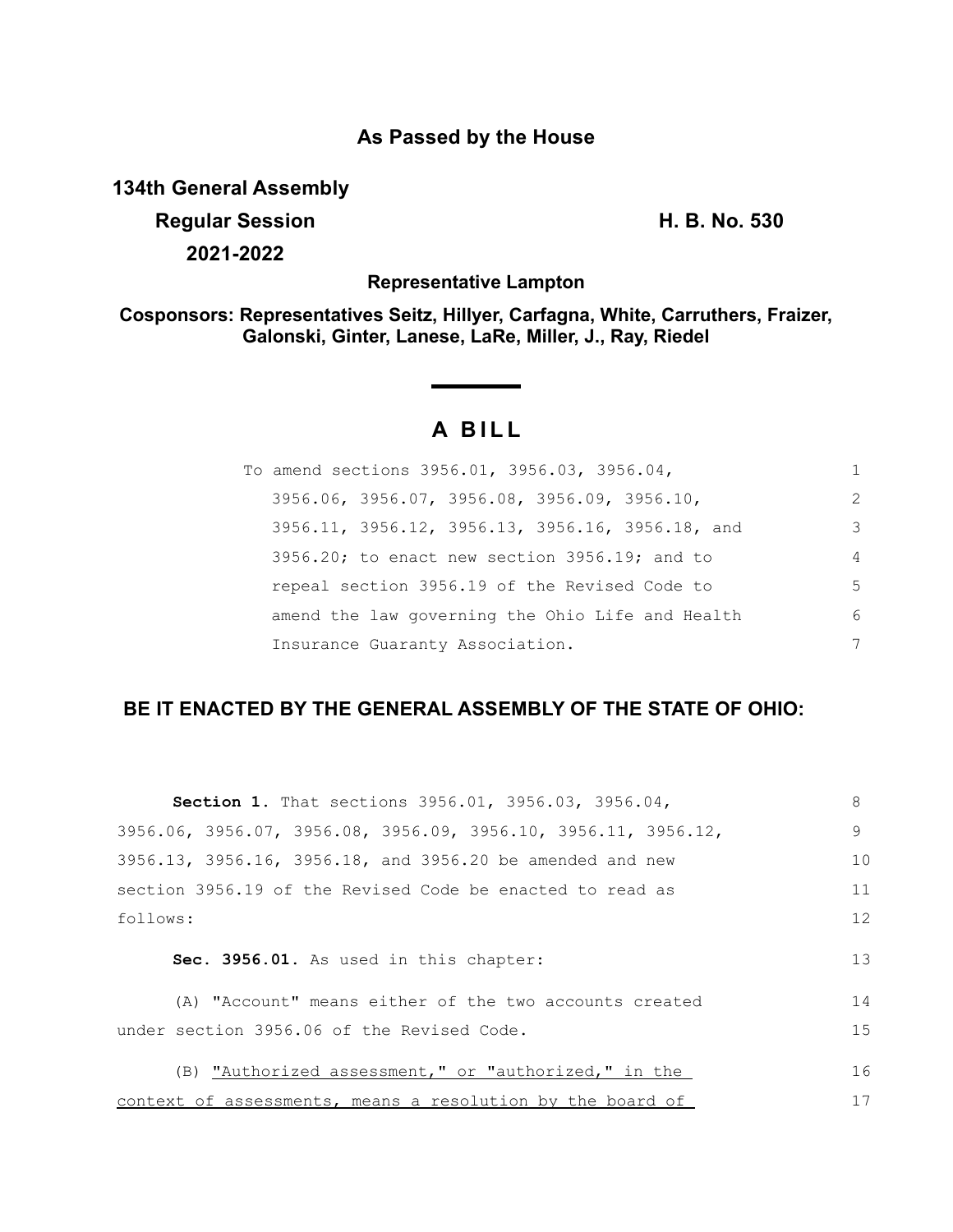## **As Passed by the House**

**134th General Assembly**

**Regular Session H. B. No. 530 2021-2022**

**Representative Lampton**

**Cosponsors: Representatives Seitz, Hillyer, Carfagna, White, Carruthers, Fraizer, Galonski, Ginter, Lanese, LaRe, Miller, J., Ray, Riedel**

# **A BILL**

| To amend sections 3956.01, 3956.03, 3956.04,        | 1              |
|-----------------------------------------------------|----------------|
| 3956.06, 3956.07, 3956.08, 3956.09, 3956.10,        | 2              |
| 3956.11, 3956.12, 3956.13, 3956.16, 3956.18, and    | 3              |
| $3956.20$ ; to enact new section $3956.19$ ; and to | $\overline{4}$ |
| repeal section 3956.19 of the Revised Code to       | 5              |
| amend the law governing the Ohio Life and Health    | 6              |
| Insurance Guaranty Association.                     | 7              |

## **BE IT ENACTED BY THE GENERAL ASSEMBLY OF THE STATE OF OHIO:**

| <b>Section 1.</b> That sections 3956.01, 3956.03, 3956.04,     | 8  |
|----------------------------------------------------------------|----|
| 3956.06, 3956.07, 3956.08, 3956.09, 3956.10, 3956.11, 3956.12, | 9  |
| 3956.13, 3956.16, 3956.18, and 3956.20 be amended and new      | 10 |
| section 3956.19 of the Revised Code be enacted to read as      | 11 |
| follows:                                                       | 12 |
| Sec. 3956.01. As used in this chapter:                         | 13 |
| (A) "Account" means either of the two accounts created         | 14 |
| under section 3956.06 of the Revised Code.                     | 15 |
| (B) "Authorized assessment," or "authorized," in the           | 16 |
| context of assessments, means a resolution by the board of     | 17 |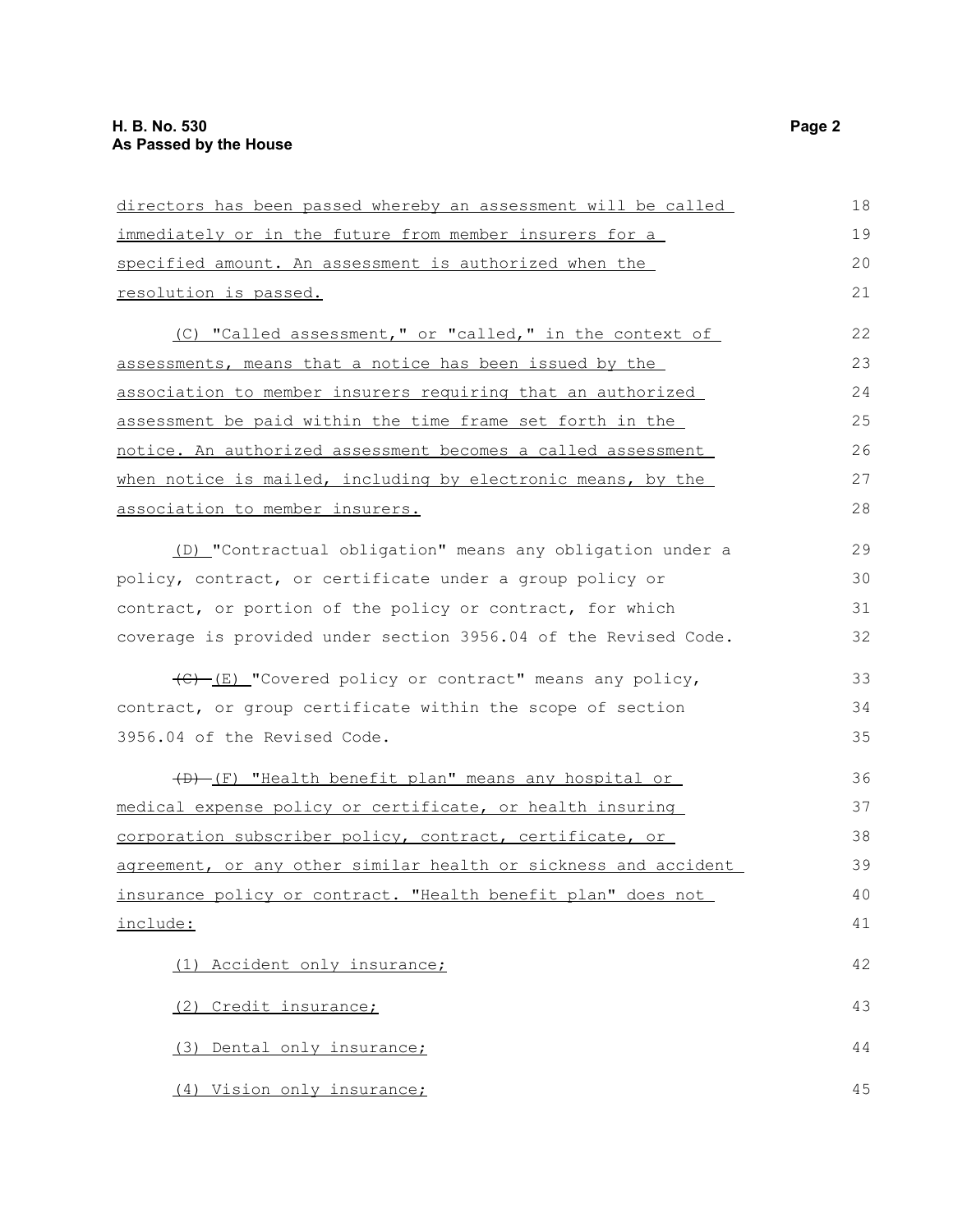| directors has been passed whereby an assessment will be called  | 18 |
|-----------------------------------------------------------------|----|
| immediately or in the future from member insurers for a         | 19 |
| specified amount. An assessment is authorized when the          | 20 |
| resolution is passed.                                           | 21 |
| (C) "Called assessment," or "called," in the context of         | 22 |
| assessments, means that a notice has been issued by the         | 23 |
| association to member insurers requiring that an authorized     | 24 |
| assessment be paid within the time frame set forth in the       | 25 |
| notice. An authorized assessment becomes a called assessment    | 26 |
| when notice is mailed, including by electronic means, by the    | 27 |
| association to member insurers.                                 | 28 |
| (D) "Contractual obligation" means any obligation under a       | 29 |
| policy, contract, or certificate under a group policy or        | 30 |
| contract, or portion of the policy or contract, for which       | 31 |
| coverage is provided under section 3956.04 of the Revised Code. | 32 |
| (C) [E] "Covered policy or contract" means any policy,          | 33 |
| contract, or group certificate within the scope of section      | 34 |
| 3956.04 of the Revised Code.                                    | 35 |
| (D) (F) "Health benefit plan" means any hospital or             | 36 |
| medical expense policy or certificate, or health insuring       | 37 |
| corporation subscriber policy, contract, certificate, or        | 38 |
| agreement, or any other similar health or sickness and accident | 39 |
| insurance policy or contract. "Health benefit plan" does not    | 40 |
| include:                                                        | 41 |
| (1) Accident only insurance;                                    | 42 |
| (2) Credit insurance;                                           | 43 |
| (3) Dental only insurance;                                      | 44 |
| (4) Vision only insurance;                                      | 45 |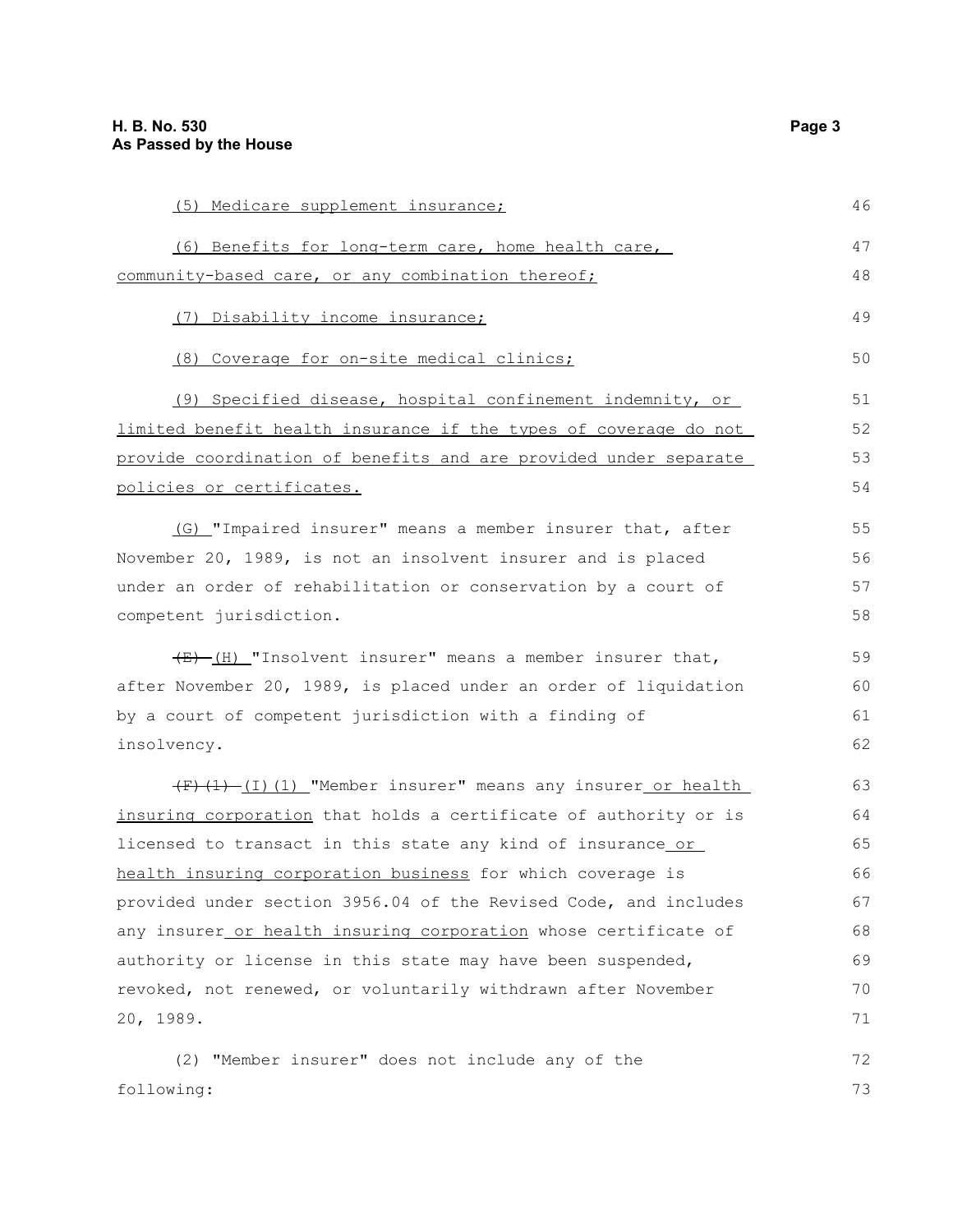| (5) Medicare supplement insurance;                                   | 46 |
|----------------------------------------------------------------------|----|
| (6) Benefits for long-term care, home health care,                   | 47 |
| community-based care, or any combination thereof;                    | 48 |
| (7) Disability income insurance;                                     | 49 |
| (8) Coverage for on-site medical clinics;                            | 50 |
| (9) Specified disease, hospital confinement indemnity, or            | 51 |
| limited benefit health insurance if the types of coverage do not     | 52 |
| provide coordination of benefits and are provided under separate     | 53 |
| <u>policies or certificates.</u>                                     | 54 |
| (G) "Impaired insurer" means a member insurer that, after            | 55 |
| November 20, 1989, is not an insolvent insurer and is placed         | 56 |
| under an order of rehabilitation or conservation by a court of       | 57 |
| competent jurisdiction.                                              | 58 |
| $\frac{E}{E}$ (H) "Insolvent insurer" means a member insurer that,   | 59 |
| after November 20, 1989, is placed under an order of liquidation     | 60 |
| by a court of competent jurisdiction with a finding of               | 61 |
| insolvency.                                                          | 62 |
| $(F)$ $(1)$ $(1)$ $(1)$ "Member insurer" means any insurer or health | 63 |
| insuring corporation that holds a certificate of authority or is     | 64 |
| licensed to transact in this state any kind of insurance or          | 65 |
| health insuring corporation business for which coverage is           | 66 |
| provided under section 3956.04 of the Revised Code, and includes     | 67 |
| any insurer_or health insuring corporation whose certificate of      | 68 |
| authority or license in this state may have been suspended,          | 69 |
| revoked, not renewed, or voluntarily withdrawn after November        | 70 |
| 20, 1989.                                                            | 71 |
| (2) "Member insurer" does not include any of the                     | 72 |
| following:                                                           | 73 |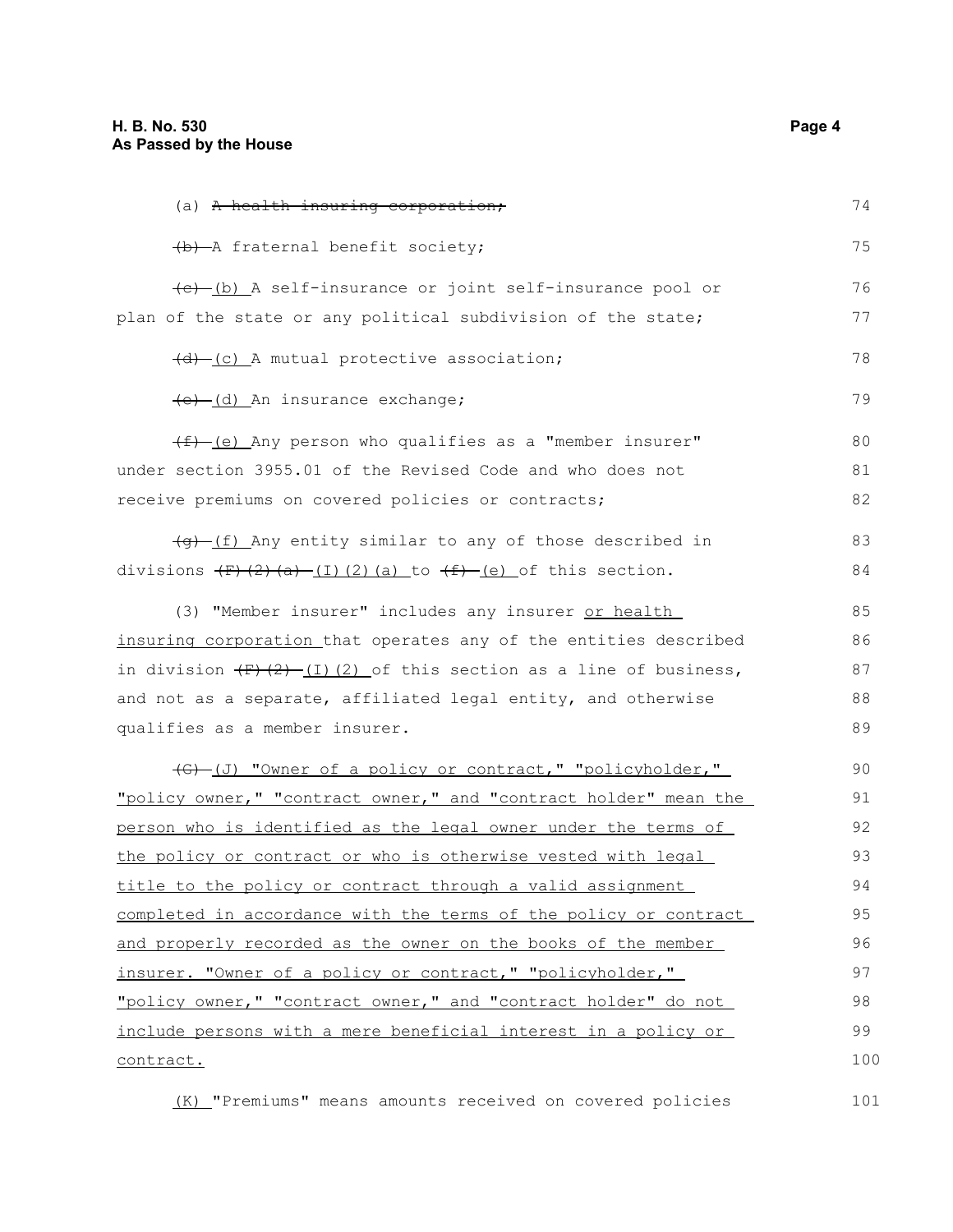| (a) A health insuring corporation;                                         | 74  |
|----------------------------------------------------------------------------|-----|
| (b) A fraternal benefit society;                                           | 75  |
| (e) (b) A self-insurance or joint self-insurance pool or                   | 76  |
| plan of the state or any political subdivision of the state;               | 77  |
| (d) (c) A mutual protective association;                                   | 78  |
| (e) (d) An insurance exchange;                                             | 79  |
| (E) (e) Any person who qualifies as a "member insurer"                     | 80  |
| under section 3955.01 of the Revised Code and who does not                 | 81  |
| receive premiums on covered policies or contracts;                         | 82  |
| $\frac{f(g)-f(f)}{f}$ Any entity similar to any of those described in      | 83  |
|                                                                            | 84  |
| (3) "Member insurer" includes any insurer or health                        | 85  |
| insuring corporation that operates any of the entities described           | 86  |
| in division $(F)$ $(2)$ $(1)$ $(2)$ of this section as a line of business, | 87  |
| and not as a separate, affiliated legal entity, and otherwise              | 88  |
| qualifies as a member insurer.                                             | 89  |
| (G) -(J) "Owner of a policy or contract," "policyholder,"                  | 90  |
| "policy owner," "contract owner," and "contract holder" mean the           | 91  |
| <u>person who is identified as the legal owner under the terms of </u>     | 92  |
| the policy or contract or who is otherwise vested with legal               | 93  |
| title to the policy or contract through a valid assignment                 | 94  |
| completed in accordance with the terms of the policy or contract           | 95  |
| and properly recorded as the owner on the books of the member              | 96  |
| insurer. "Owner of a policy or contract," "policyholder,"                  | 97  |
| "policy owner," "contract owner," and "contract holder" do not             | 98  |
| include persons with a mere beneficial interest in a policy or             | 99  |
| contract.                                                                  | 100 |
|                                                                            |     |

(K) "Premiums" means amounts received on covered policies 101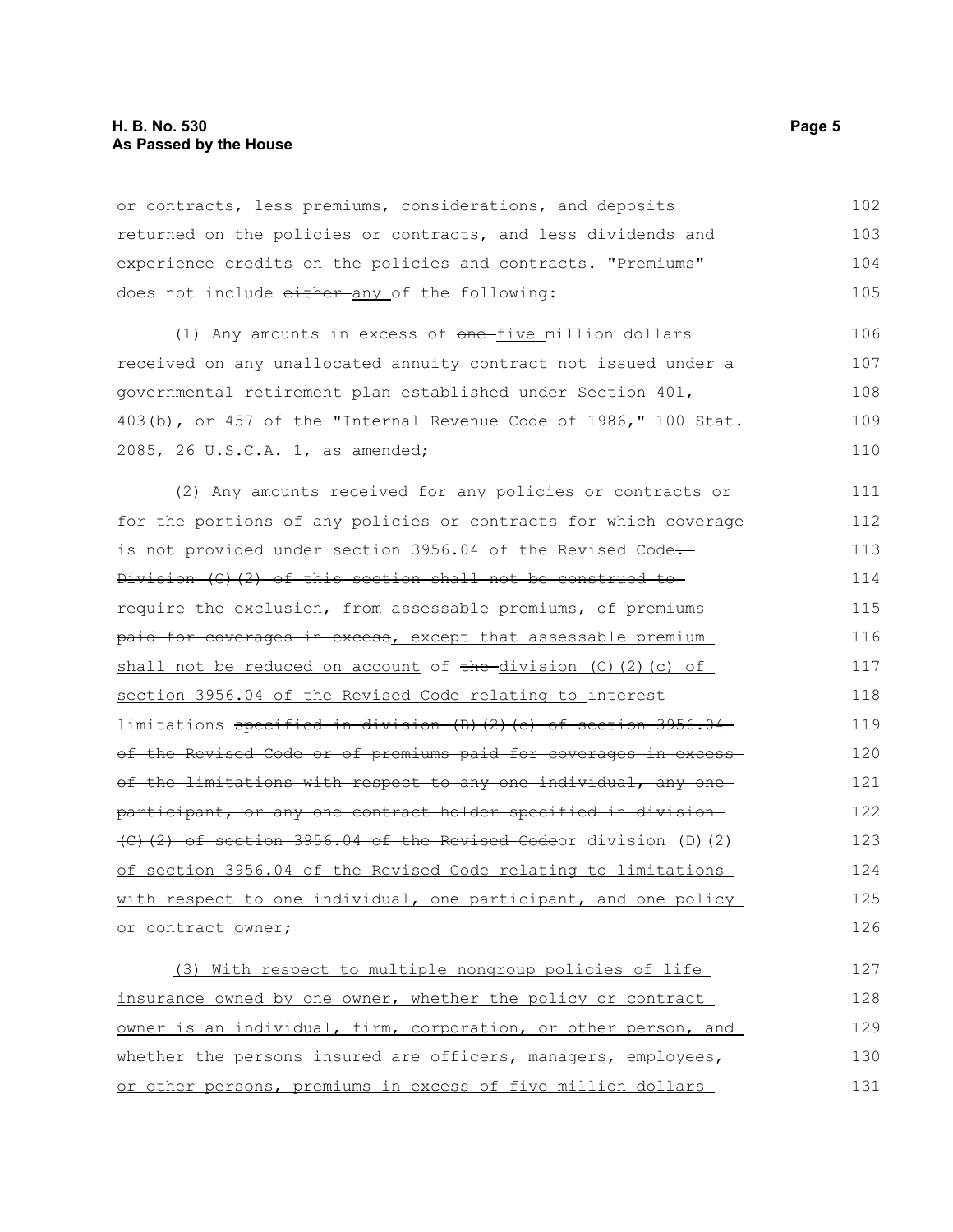or contracts, less premiums, considerations, and deposits returned on the policies or contracts, and less dividends and experience credits on the policies and contracts. "Premiums" does not include either any of the following: 102 103 104 105

(1) Any amounts in excess of  $one$ -five million dollars received on any unallocated annuity contract not issued under a governmental retirement plan established under Section 401, 403(b), or 457 of the "Internal Revenue Code of 1986," 100 Stat. 2085, 26 U.S.C.A. 1, as amended; 106 107 108 109 110

(2) Any amounts received for any policies or contracts or for the portions of any policies or contracts for which coverage is not provided under section 3956.04 of the Revised Code. Division (G)(2) of this section shall not be construed to require the exclusion, from assessable premiums, of premiums paid for coverages in excess, except that assessable premium shall not be reduced on account of  $the-division (C)(2)$  (c) of section 3956.04 of the Revised Code relating to interest limitations specified in division (B)(2)(c) of section 3956.04 of the Revised Code or of premiums paid for coverages in excessof the limitations with respect to any one individual, any one participant, or any one contract holder specified in division (C)(2) of section 3956.04 of the Revised Codeor division (D)(2) of section 3956.04 of the Revised Code relating to limitations with respect to one individual, one participant, and one policy or contract owner; 111 112 113 114 115 116 117 118 119 120 121 122 123 124 125 126

(3) With respect to multiple nongroup policies of life insurance owned by one owner, whether the policy or contract owner is an individual, firm, corporation, or other person, and whether the persons insured are officers, managers, employees, or other persons, premiums in excess of five million dollars 127 128 129 130 131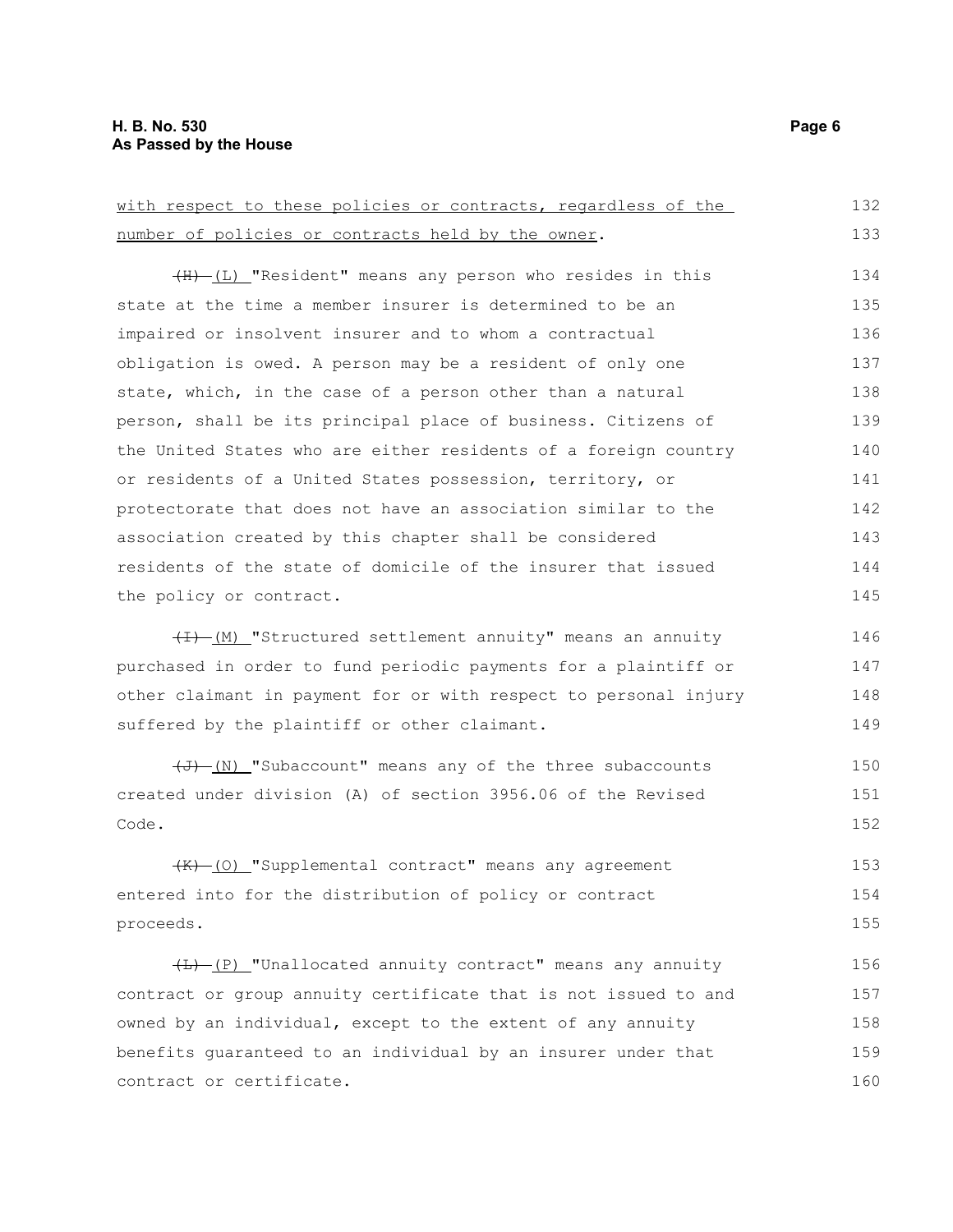| with respect to these policies or contracts, regardless of the      | 132 |
|---------------------------------------------------------------------|-----|
| number of policies or contracts held by the owner.                  | 133 |
| (H) (L) "Resident" means any person who resides in this             | 134 |
| state at the time a member insurer is determined to be an           | 135 |
| impaired or insolvent insurer and to whom a contractual             | 136 |
| obligation is owed. A person may be a resident of only one          | 137 |
| state, which, in the case of a person other than a natural          | 138 |
| person, shall be its principal place of business. Citizens of       | 139 |
| the United States who are either residents of a foreign country     | 140 |
| or residents of a United States possession, territory, or           | 141 |
| protectorate that does not have an association similar to the       | 142 |
| association created by this chapter shall be considered             | 143 |
| residents of the state of domicile of the insurer that issued       | 144 |
| the policy or contract.                                             | 145 |
| (H) (M) "Structured settlement annuity" means an annuity            | 146 |
| purchased in order to fund periodic payments for a plaintiff or     | 147 |
| other claimant in payment for or with respect to personal injury    | 148 |
| suffered by the plaintiff or other claimant.                        | 149 |
| $\overline{+J}$ (N) "Subaccount" means any of the three subaccounts | 150 |
| created under division (A) of section 3956.06 of the Revised        | 151 |
| Code.                                                               | 152 |
| (K) (0) "Supplemental contract" means any agreement                 | 153 |
| entered into for the distribution of policy or contract             | 154 |
| proceeds.                                                           | 155 |
| (E) "Unallocated annuity contract" means any annuity                | 156 |
| contract or group annuity certificate that is not issued to and     | 157 |
| owned by an individual, except to the extent of any annuity         | 158 |
| benefits guaranteed to an individual by an insurer under that       | 159 |
| contract or certificate.                                            | 160 |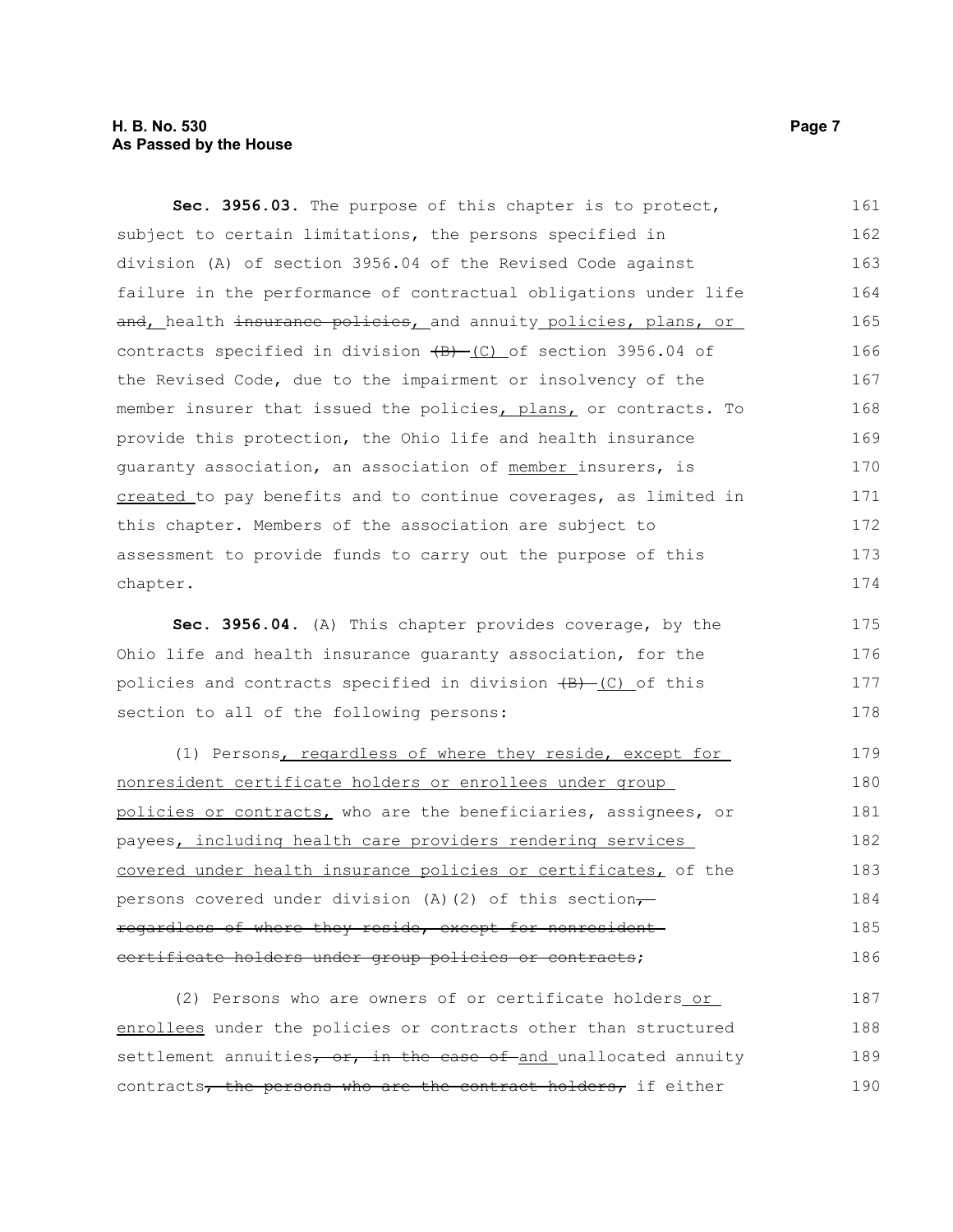#### **H. B. No. 530 Page 7 As Passed by the House**

**Sec. 3956.03.** The purpose of this chapter is to protect, subject to certain limitations, the persons specified in division (A) of section 3956.04 of the Revised Code against failure in the performance of contractual obligations under life and, health insurance policies, and annuity policies, plans, or contracts specified in division  $\overline{(B) - (C)}$  of section 3956.04 of the Revised Code, due to the impairment or insolvency of the member insurer that issued the policies, plans, or contracts. To provide this protection, the Ohio life and health insurance guaranty association, an association of member insurers, is created to pay benefits and to continue coverages, as limited in this chapter. Members of the association are subject to assessment to provide funds to carry out the purpose of this chapter. 161 162 163 164 165 166 167 168 169 170 171 172 173 174

**Sec. 3956.04.** (A) This chapter provides coverage, by the Ohio life and health insurance guaranty association, for the policies and contracts specified in division  $\overline{(B) - (C)}$  of this section to all of the following persons: 175 176 177 178

(1) Persons, regardless of where they reside, except for nonresident certificate holders or enrollees under group policies or contracts, who are the beneficiaries, assignees, or payees, including health care providers rendering services covered under health insurance policies or certificates, of the persons covered under division (A)(2) of this section $\tau$ regardless of where they reside, except for nonresident certificate holders under group policies or contracts; 179 180 181 182 183 184 185 186

(2) Persons who are owners of or certificate holders or enrollees under the policies or contracts other than structured settlement annuities, or, in the case of and unallocated annuity contracts, the persons who are the contract holders, if either 187 188 189 190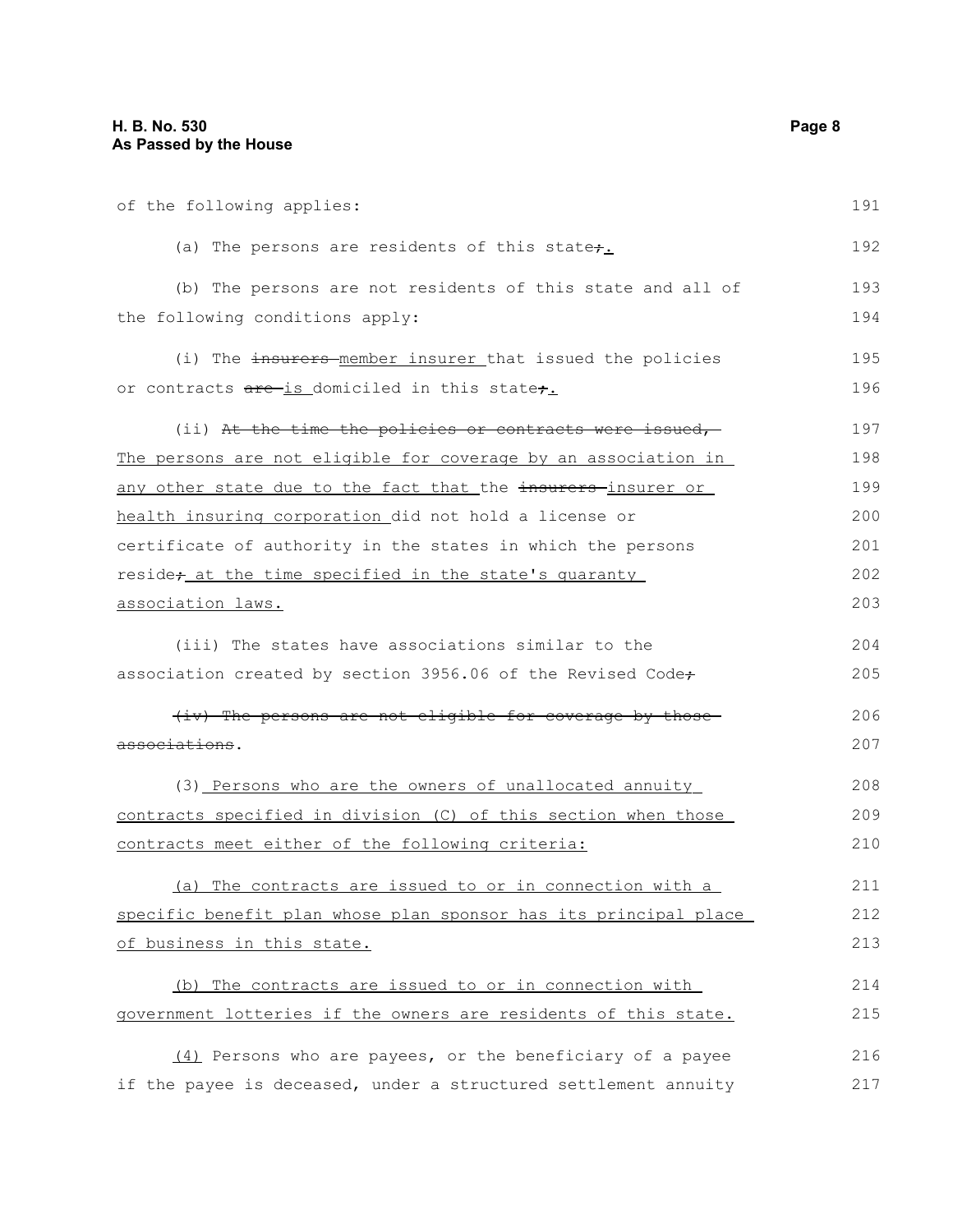| of the following applies:                                         | 191 |
|-------------------------------------------------------------------|-----|
| (a) The persons are residents of this state $\div$ .              | 192 |
| (b) The persons are not residents of this state and all of        | 193 |
| the following conditions apply:                                   | 194 |
| (i) The insurers member insurer that issued the policies          | 195 |
| or contracts are is domiciled in this state,                      | 196 |
| (ii) At the time the policies or contracts were issued,           | 197 |
| The persons are not eligible for coverage by an association in    | 198 |
| any other state due to the fact that the insurers-insurer or      | 199 |
| health insuring corporation did not hold a license or             | 200 |
| certificate of authority in the states in which the persons       | 201 |
| reside <sub>t</sub> at the time specified in the state's quaranty | 202 |
| association laws.                                                 | 203 |
| (iii) The states have associations similar to the                 | 204 |
| association created by section 3956.06 of the Revised Code+       | 205 |
| (iv) The persons are not eligible for coverage by those           | 206 |
| associations.                                                     | 207 |
| (3) Persons who are the owners of unallocated annuity             | 208 |
| contracts specified in division (C) of this section when those    | 209 |
| contracts meet either of the following criteria:                  | 210 |
| (a) The contracts are issued to or in connection with a           | 211 |
| specific benefit plan whose plan sponsor has its principal place  | 212 |
| of business in this state.                                        | 213 |
| (b) The contracts are issued to or in connection with             | 214 |
| government lotteries if the owners are residents of this state.   | 215 |
| (4) Persons who are payees, or the beneficiary of a payee         | 216 |
| if the payee is deceased, under a structured settlement annuity   | 217 |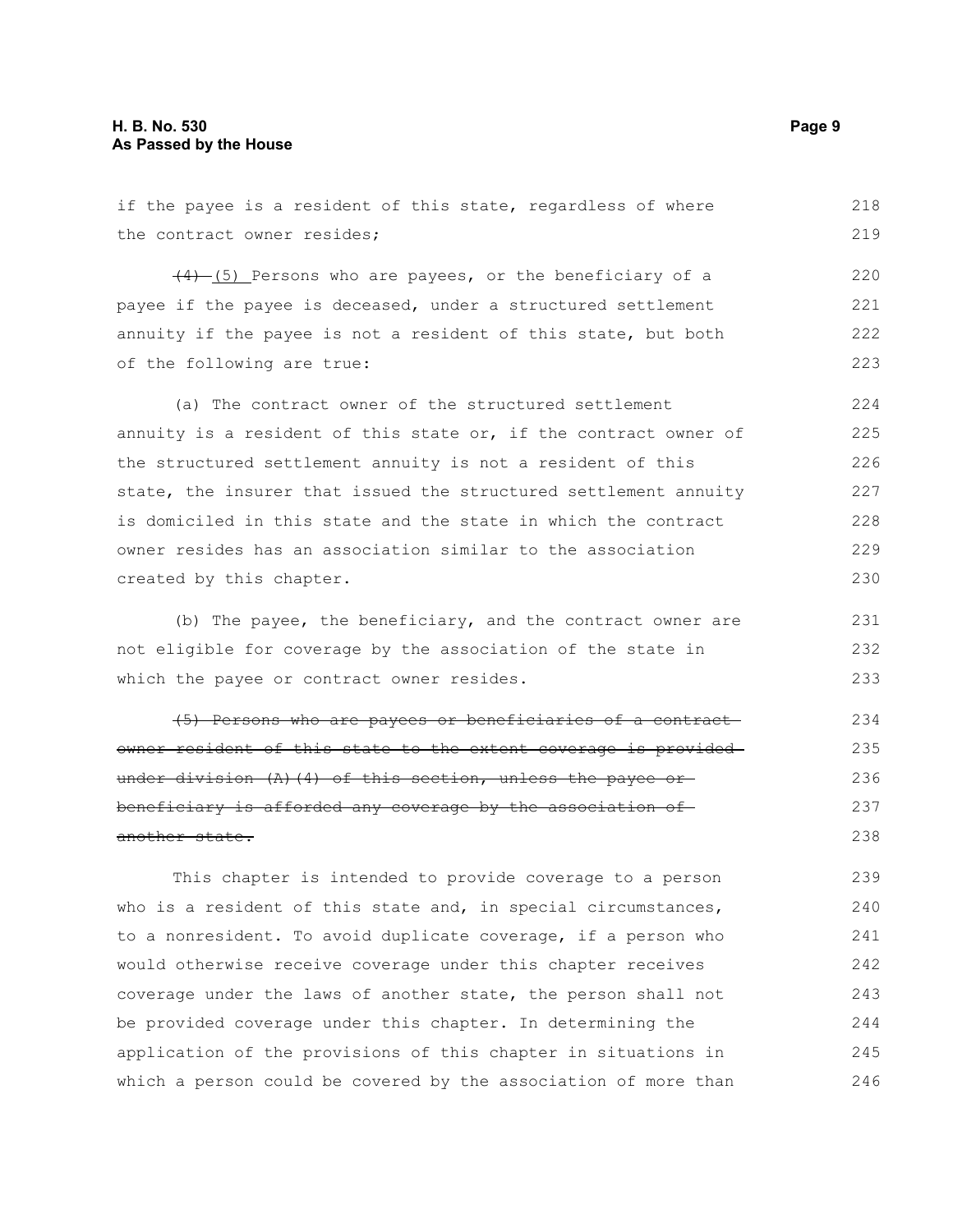if the payee is a resident of this state, regardless of where the contract owner resides; (4) (5) Persons who are payees, or the beneficiary of a payee if the payee is deceased, under a structured settlement annuity if the payee is not a resident of this state, but both of the following are true: (a) The contract owner of the structured settlement annuity is a resident of this state or, if the contract owner of the structured settlement annuity is not a resident of this state, the insurer that issued the structured settlement annuity is domiciled in this state and the state in which the contract owner resides has an association similar to the association created by this chapter. (b) The payee, the beneficiary, and the contract owner are not eligible for coverage by the association of the state in which the payee or contract owner resides. (5) Persons who are payees or beneficiaries of a contract owner resident of this state to the extent coverage is provided under division (A)(4) of this section, unless the payee orbeneficiary is afforded any coverage by the association of another state. This chapter is intended to provide coverage to a person who is a resident of this state and, in special circumstances, to a nonresident. To avoid duplicate coverage, if a person who would otherwise receive coverage under this chapter receives coverage under the laws of another state, the person shall not 218 219 220 221 222 223 224 225 226 227 228 229 230 231 232 233 234 235 236 237 238 239 240 241 242 243

be provided coverage under this chapter. In determining the application of the provisions of this chapter in situations in which a person could be covered by the association of more than 244 245 246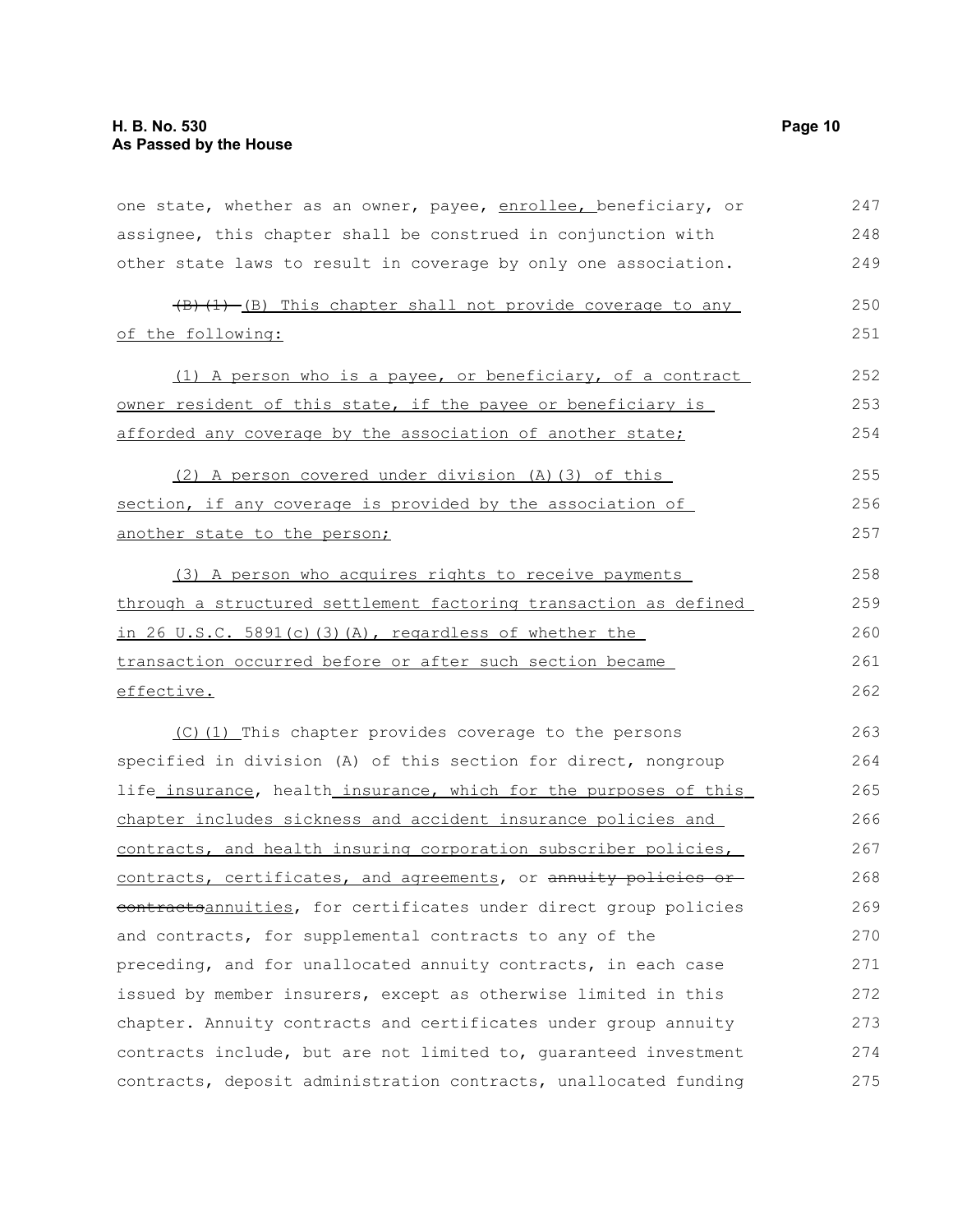| one state, whether as an owner, payee, enrollee, beneficiary, or | 247 |
|------------------------------------------------------------------|-----|
| assignee, this chapter shall be construed in conjunction with    | 248 |
| other state laws to result in coverage by only one association.  | 249 |
| (B) (1) -(B) This chapter shall not provide coverage to any      | 250 |
| of the following:                                                | 251 |
| (1) A person who is a payee, or beneficiary, of a contract       | 252 |
| owner resident of this state, if the payee or beneficiary is     | 253 |
| afforded any coverage by the association of another state;       | 254 |
| (2) A person covered under division (A) (3) of this              | 255 |
| section, if any coverage is provided by the association of       | 256 |
| another state to the person;                                     | 257 |
| (3) A person who acquires rights to receive payments             | 258 |
| through a structured settlement factoring transaction as defined | 259 |
| in 26 U.S.C. 5891(c)(3)(A), regardless of whether the            | 260 |
| transaction occurred before or after such section became         | 261 |
| effective.                                                       | 262 |
| (C) (1) This chapter provides coverage to the persons            | 263 |
| specified in division (A) of this section for direct, nongroup   | 264 |
| life_insurance, health_insurance, which for the purposes of this | 265 |
| chapter includes sickness and accident insurance policies and    | 266 |
| contracts, and health insuring corporation subscriber policies,  | 267 |
| contracts, certificates, and agreements, or annuity policies or  | 268 |
| contractsannuities, for certificates under direct group policies | 269 |
| and contracts, for supplemental contracts to any of the          | 270 |
| preceding, and for unallocated annuity contracts, in each case   | 271 |
| issued by member insurers, except as otherwise limited in this   | 272 |
| chapter. Annuity contracts and certificates under group annuity  | 273 |
| contracts include, but are not limited to, quaranteed investment | 274 |
| contracts, deposit administration contracts, unallocated funding | 275 |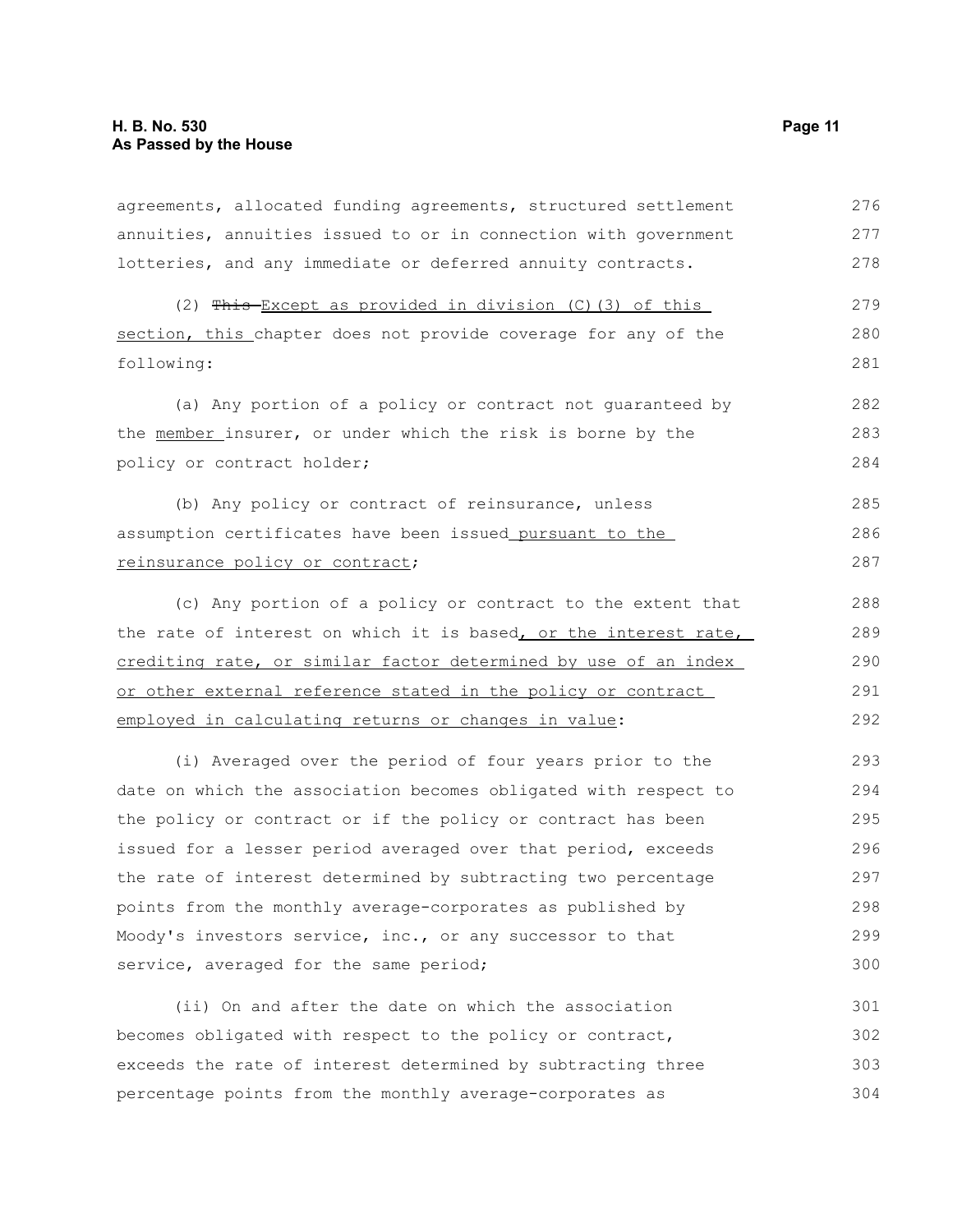agreements, allocated funding agreements, structured settlement annuities, annuities issued to or in connection with government lotteries, and any immediate or deferred annuity contracts. 276 277 278

(2)  $This-Except as provided in division (C) (3) of this$ section, this chapter does not provide coverage for any of the following:

(a) Any portion of a policy or contract not guaranteed by the member insurer, or under which the risk is borne by the policy or contract holder;

(b) Any policy or contract of reinsurance, unless assumption certificates have been issued pursuant to the reinsurance policy or contract; 285 286 287

(c) Any portion of a policy or contract to the extent that the rate of interest on which it is based, or the interest rate, crediting rate, or similar factor determined by use of an index or other external reference stated in the policy or contract employed in calculating returns or changes in value:

(i) Averaged over the period of four years prior to the date on which the association becomes obligated with respect to the policy or contract or if the policy or contract has been issued for a lesser period averaged over that period, exceeds the rate of interest determined by subtracting two percentage points from the monthly average-corporates as published by Moody's investors service, inc., or any successor to that service, averaged for the same period; 293 294 295 296 297 298 299 300

(ii) On and after the date on which the association becomes obligated with respect to the policy or contract, exceeds the rate of interest determined by subtracting three percentage points from the monthly average-corporates as 301 302 303 304

279 280 281

282 283 284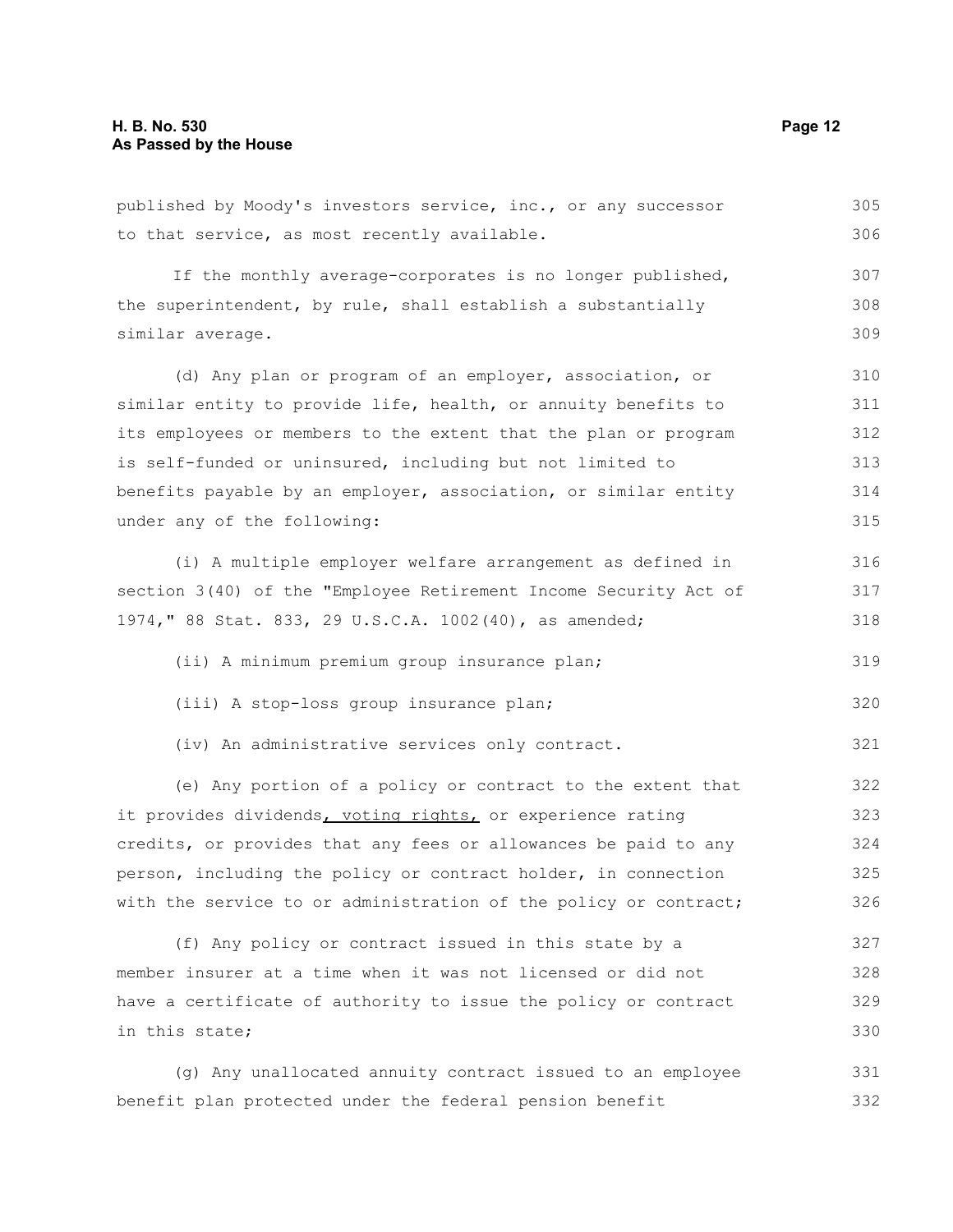in this state;

published by Moody's investors service, inc., or any successor to that service, as most recently available. If the monthly average-corporates is no longer published, the superintendent, by rule, shall establish a substantially similar average. (d) Any plan or program of an employer, association, or similar entity to provide life, health, or annuity benefits to its employees or members to the extent that the plan or program is self-funded or uninsured, including but not limited to benefits payable by an employer, association, or similar entity under any of the following: (i) A multiple employer welfare arrangement as defined in section 3(40) of the "Employee Retirement Income Security Act of 1974," 88 Stat. 833, 29 U.S.C.A. 1002(40), as amended; (ii) A minimum premium group insurance plan; (iii) A stop-loss group insurance plan; (iv) An administrative services only contract. (e) Any portion of a policy or contract to the extent that it provides dividends, voting rights, or experience rating credits, or provides that any fees or allowances be paid to any person, including the policy or contract holder, in connection with the service to or administration of the policy or contract; (f) Any policy or contract issued in this state by a member insurer at a time when it was not licensed or did not 305 306 307 308 309 310 311 312 313 314 315 316 317 318 319 320 321 322 323 324 325 326 327 328

(g) Any unallocated annuity contract issued to an employee benefit plan protected under the federal pension benefit 331 332

have a certificate of authority to issue the policy or contract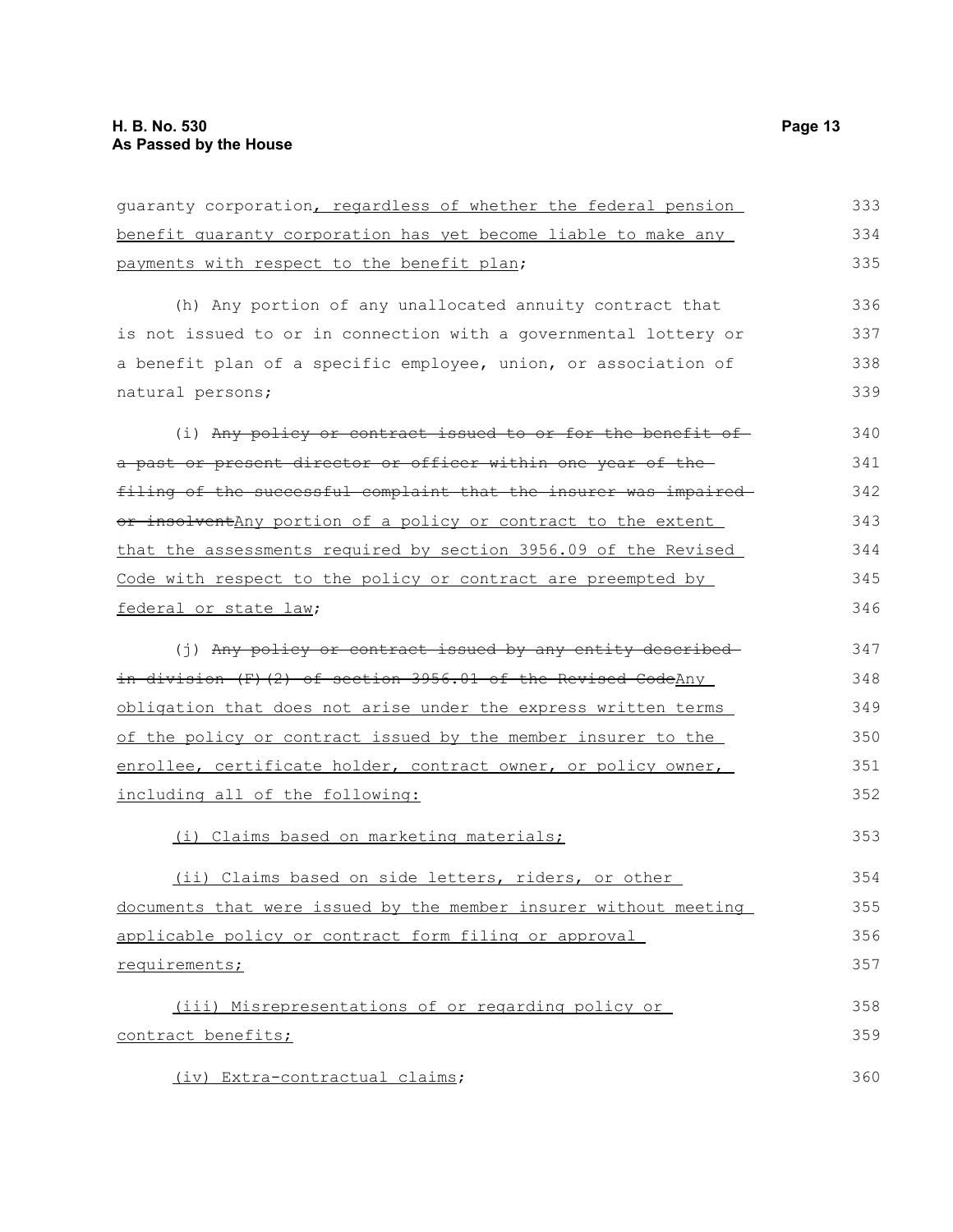| guaranty corporation, regardless of whether the federal pension  | 333 |
|------------------------------------------------------------------|-----|
| benefit quaranty corporation has yet become liable to make any   | 334 |
| payments with respect to the benefit plan;                       | 335 |
| (h) Any portion of any unallocated annuity contract that         | 336 |
| is not issued to or in connection with a governmental lottery or | 337 |
| a benefit plan of a specific employee, union, or association of  | 338 |
| natural persons;                                                 | 339 |
| (i) Any policy or contract issued to or for the benefit of       | 340 |
| a past or present director or officer within one year of the-    | 341 |
| filing of the successful complaint that the insurer was impaired | 342 |
| or insolventAny portion of a policy or contract to the extent    | 343 |
| that the assessments required by section 3956.09 of the Revised  | 344 |
| Code with respect to the policy or contract are preempted by     | 345 |
| federal or state law;                                            | 346 |
| (j) Any policy or contract issued by any entity described-       | 347 |
| in division (F)(2) of section 3956.01 of the Revised CodeAny     | 348 |
| obligation that does not arise under the express written terms   | 349 |
| of the policy or contract issued by the member insurer to the    | 350 |
| enrollee, certificate holder, contract owner, or policy owner,   | 351 |
| including all of the following:                                  | 352 |
| (i) Claims based on marketing materials;                         | 353 |
| (ii) Claims based on side letters, riders, or other              | 354 |
| documents that were issued by the member insurer without meeting | 355 |
| applicable policy or contract form filing or approval            | 356 |
| requirements;                                                    | 357 |
| (iii) Misrepresentations of or regarding policy or               | 358 |
| contract benefits;                                               | 359 |
| (iv) Extra-contractual claims;                                   | 360 |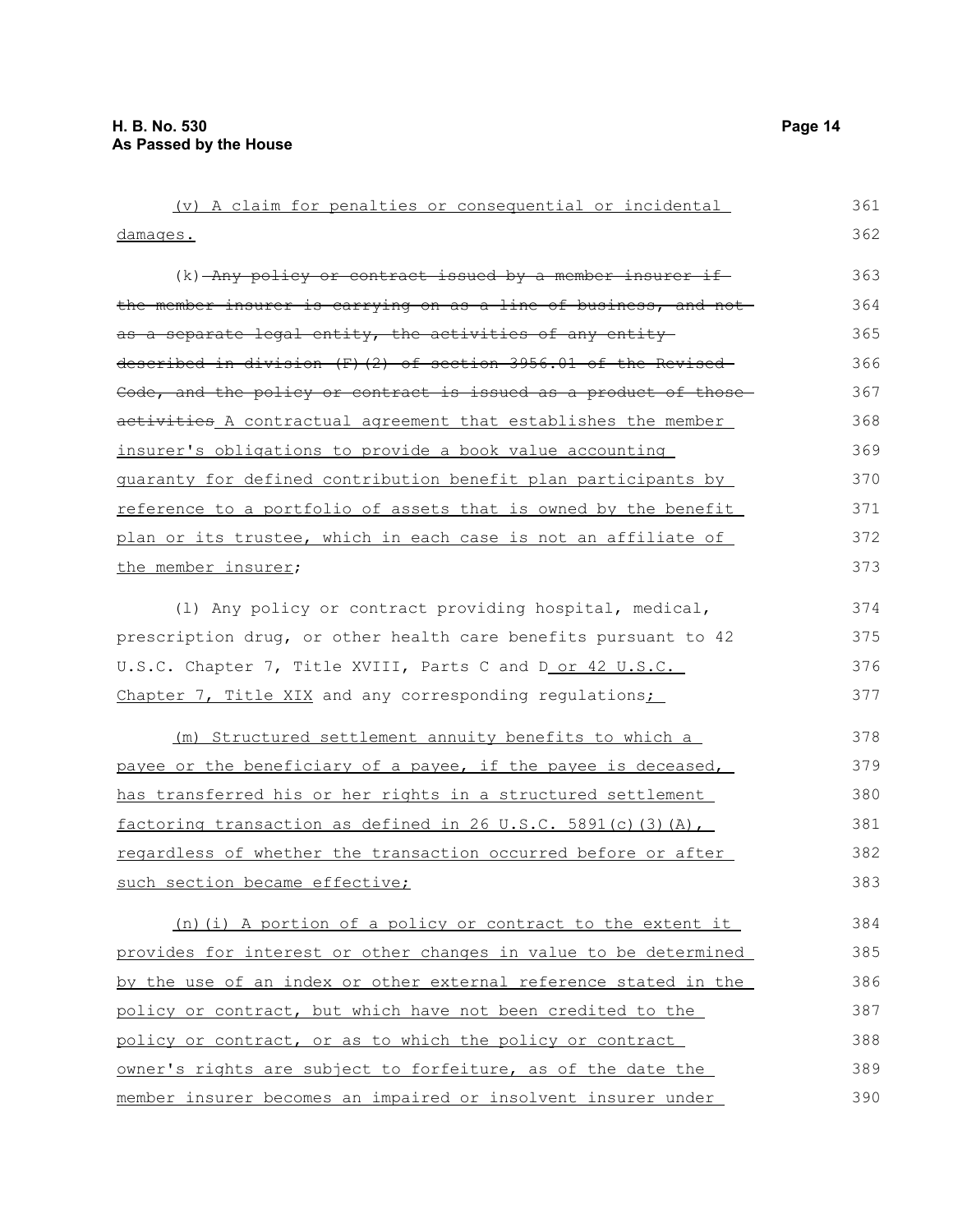damages.

(v) A claim for penalties or consequential or incidental  $(k)$  -Any policy or contract issued by a member insurer ifthe member insurer is carrying on as a line of business, and not as a separate legal entity, the activities of any entitydescribed in division (F)(2) of section 3956.01 of the Revised Code, and the policy or contract is issued as a product of thoseactivities A contractual agreement that establishes the member insurer's obligations to provide a book value accounting guaranty for defined contribution benefit plan participants by reference to a portfolio of assets that is owned by the benefit plan or its trustee, which in each case is not an affiliate of 361 364 365 366 367 368 369 370 371 372

the member insurer; (l) Any policy or contract providing hospital, medical, prescription drug, or other health care benefits pursuant to 42

U.S.C. Chapter 7, Title XVIII, Parts C and D or 42 U.S.C. Chapter 7, Title XIX and any corresponding regulations; 376 377

(m) Structured settlement annuity benefits to which a payee or the beneficiary of a payee, if the payee is deceased, has transferred his or her rights in a structured settlement factoring transaction as defined in 26 U.S.C. 5891(c)(3)(A), regardless of whether the transaction occurred before or after such section became effective; 378 379 380 381

(n)(i) A portion of a policy or contract to the extent it provides for interest or other changes in value to be determined by the use of an index or other external reference stated in the policy or contract, but which have not been credited to the policy or contract, or as to which the policy or contract owner's rights are subject to forfeiture, as of the date the member insurer becomes an impaired or insolvent insurer under 384 385 386 387 388 389 390

362 363

373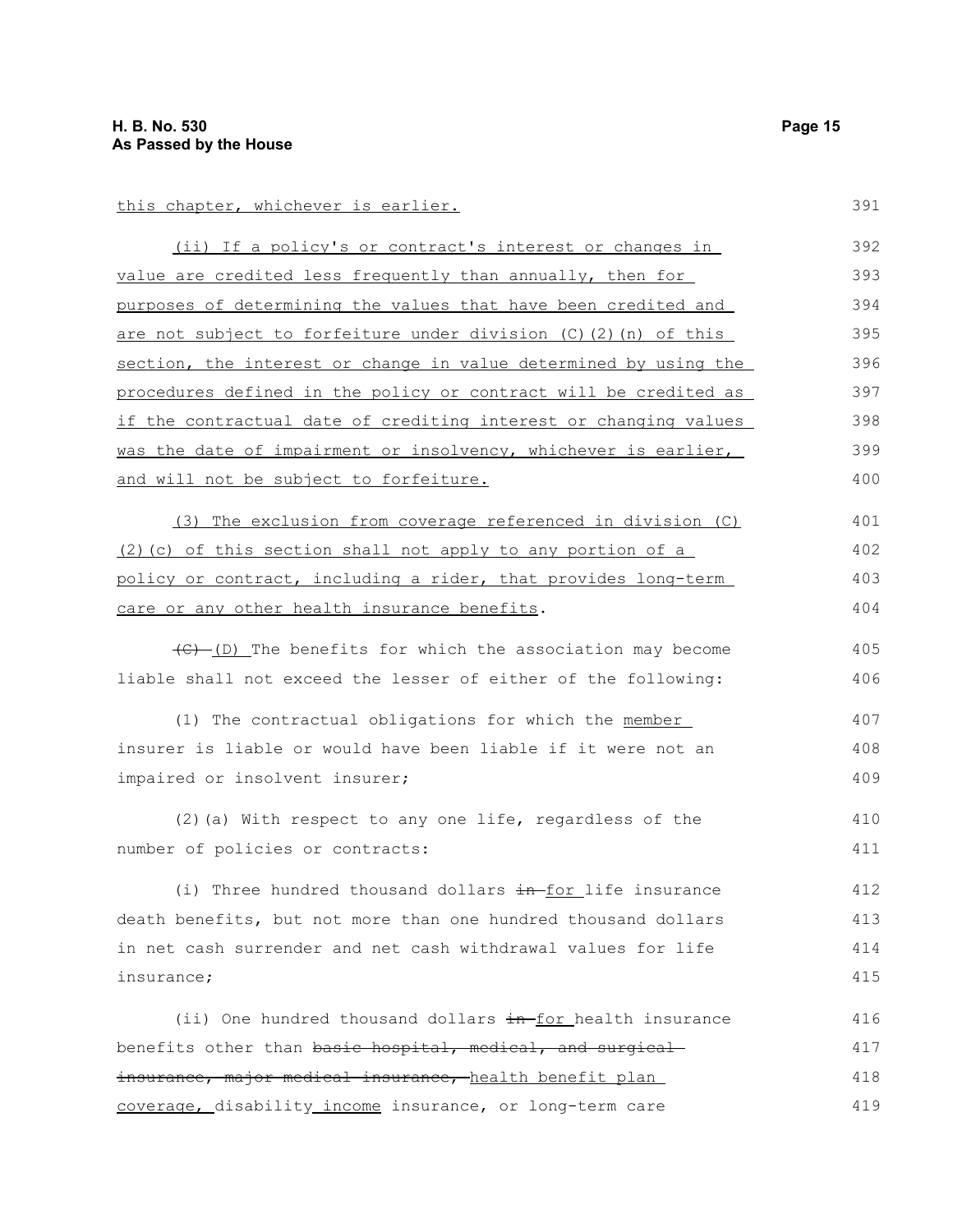this chapter, whichever is earlier.

| (ii) If a policy's or contract's interest or changes in              | 392 |
|----------------------------------------------------------------------|-----|
| value are credited less frequently than annually, then for           | 393 |
| purposes of determining the values that have been credited and       | 394 |
| are not subject to forfeiture under division (C)(2)(n) of this       | 395 |
| section, the interest or change in value determined by using the     | 396 |
| procedures defined in the policy or contract will be credited as     | 397 |
| if the contractual date of crediting interest or changing values     | 398 |
| was the date of impairment or insolvency, whichever is earlier, $\,$ | 399 |
| and will not be subject to forfeiture.                               | 400 |
|                                                                      |     |

(3) The exclusion from coverage referenced in division (C) (2)(c) of this section shall not apply to any portion of a policy or contract, including a rider, that provides long-term care or any other health insurance benefits. 401 402 403 404

(C) (D) The benefits for which the association may become liable shall not exceed the lesser of either of the following:

(1) The contractual obligations for which the member insurer is liable or would have been liable if it were not an impaired or insolvent insurer; 407 408 409

(2)(a) With respect to any one life, regardless of the number of policies or contracts: 410 411

(i) Three hundred thousand dollars  $\frac{1}{2}$  in for life insurance death benefits, but not more than one hundred thousand dollars in net cash surrender and net cash withdrawal values for life insurance; 412 413 414 415

(ii) One hundred thousand dollars in-for health insurance benefits other than basic hospital, medical, and surgical insurance, major medical insurance, health benefit plan coverage, disability income insurance, or long-term care 416 417 418 419

391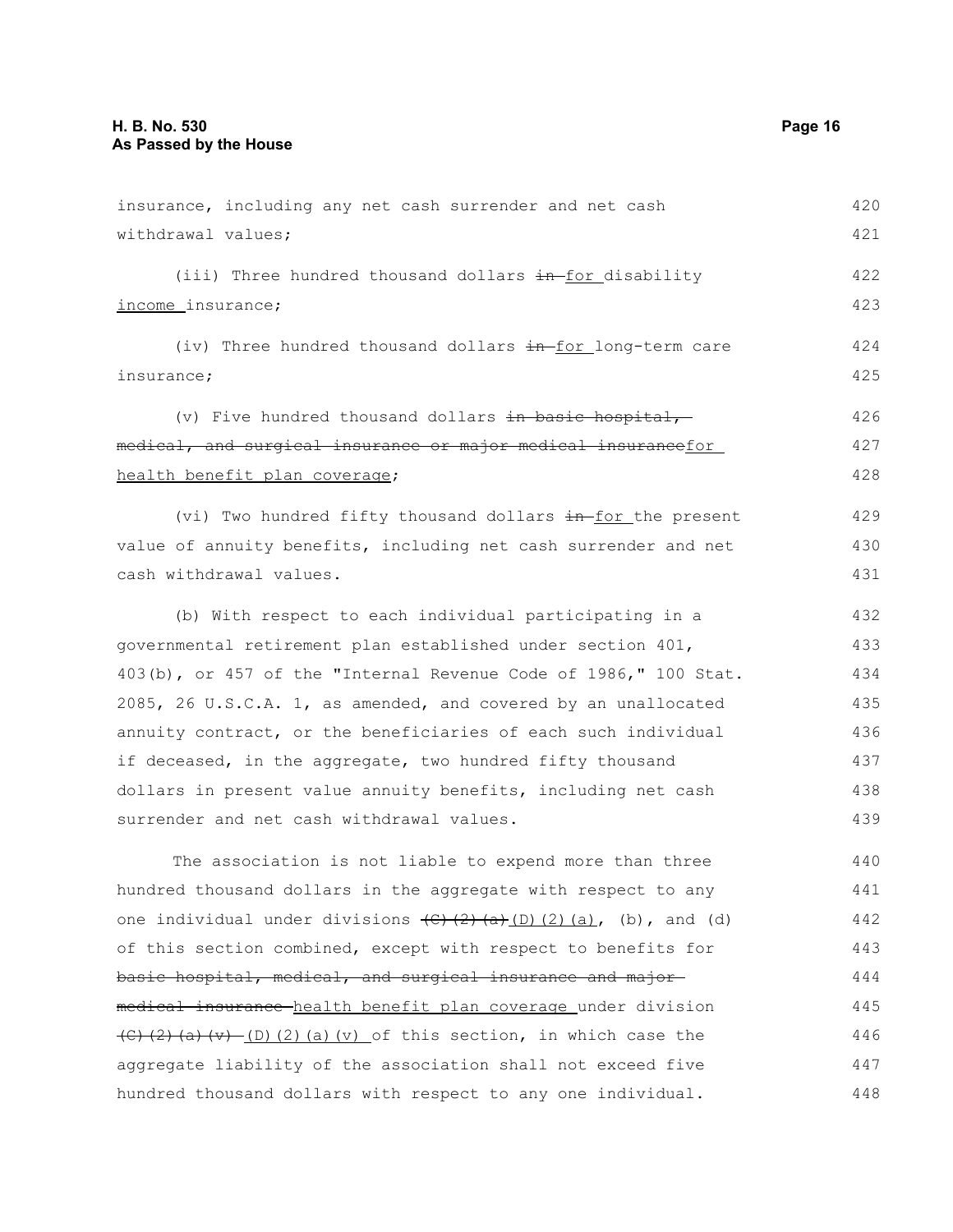| insurance, including any net cash surrender and net cash                                                                                         | 420 |
|--------------------------------------------------------------------------------------------------------------------------------------------------|-----|
| withdrawal values;                                                                                                                               | 421 |
| (iii) Three hundred thousand dollars in-for disability                                                                                           | 422 |
| income insurance;                                                                                                                                | 423 |
| (iv) Three hundred thousand dollars in for long-term care                                                                                        | 424 |
| insurance;                                                                                                                                       | 425 |
| (v) Five hundred thousand dollars in basic hospital,-                                                                                            | 426 |
| medical, and surgical insurance or major medical insurancefor                                                                                    | 427 |
| health benefit plan coverage;                                                                                                                    | 428 |
| (vi) Two hundred fifty thousand dollars in for the present                                                                                       | 429 |
| value of annuity benefits, including net cash surrender and net                                                                                  | 430 |
| cash withdrawal values.                                                                                                                          | 431 |
| (b) With respect to each individual participating in a                                                                                           | 432 |
| governmental retirement plan established under section 401,                                                                                      | 433 |
| 403(b), or 457 of the "Internal Revenue Code of 1986," 100 Stat.                                                                                 | 434 |
| 2085, 26 U.S.C.A. 1, as amended, and covered by an unallocated                                                                                   | 435 |
| annuity contract, or the beneficiaries of each such individual                                                                                   | 436 |
| if deceased, in the aggregate, two hundred fifty thousand                                                                                        | 437 |
| dollars in present value annuity benefits, including net cash                                                                                    | 438 |
| surrender and net cash withdrawal values.                                                                                                        | 439 |
| The association is not liable to expend more than three                                                                                          | 440 |
| hundred thousand dollars in the aggregate with respect to any                                                                                    | 441 |
| one individual under divisions $\left(\frac{c}{c}\right)\left(\frac{c}{c}\right)\left(\frac{c}{c}\right)\left(\frac{c}{c}\right)$ , (b), and (d) | 442 |
| of this section combined, except with respect to benefits for                                                                                    | 443 |
| basic hospital, medical, and surgical insurance and major-                                                                                       | 444 |
| medical insurance health benefit plan coverage under division                                                                                    | 445 |
| $\left(\frac{1}{2}(2)(a)(v)-(D)(2)(a)(v) \right)$ of this section, in which case the                                                             | 446 |
| aggregate liability of the association shall not exceed five                                                                                     | 447 |
| hundred thousand dollars with respect to any one individual.                                                                                     | 448 |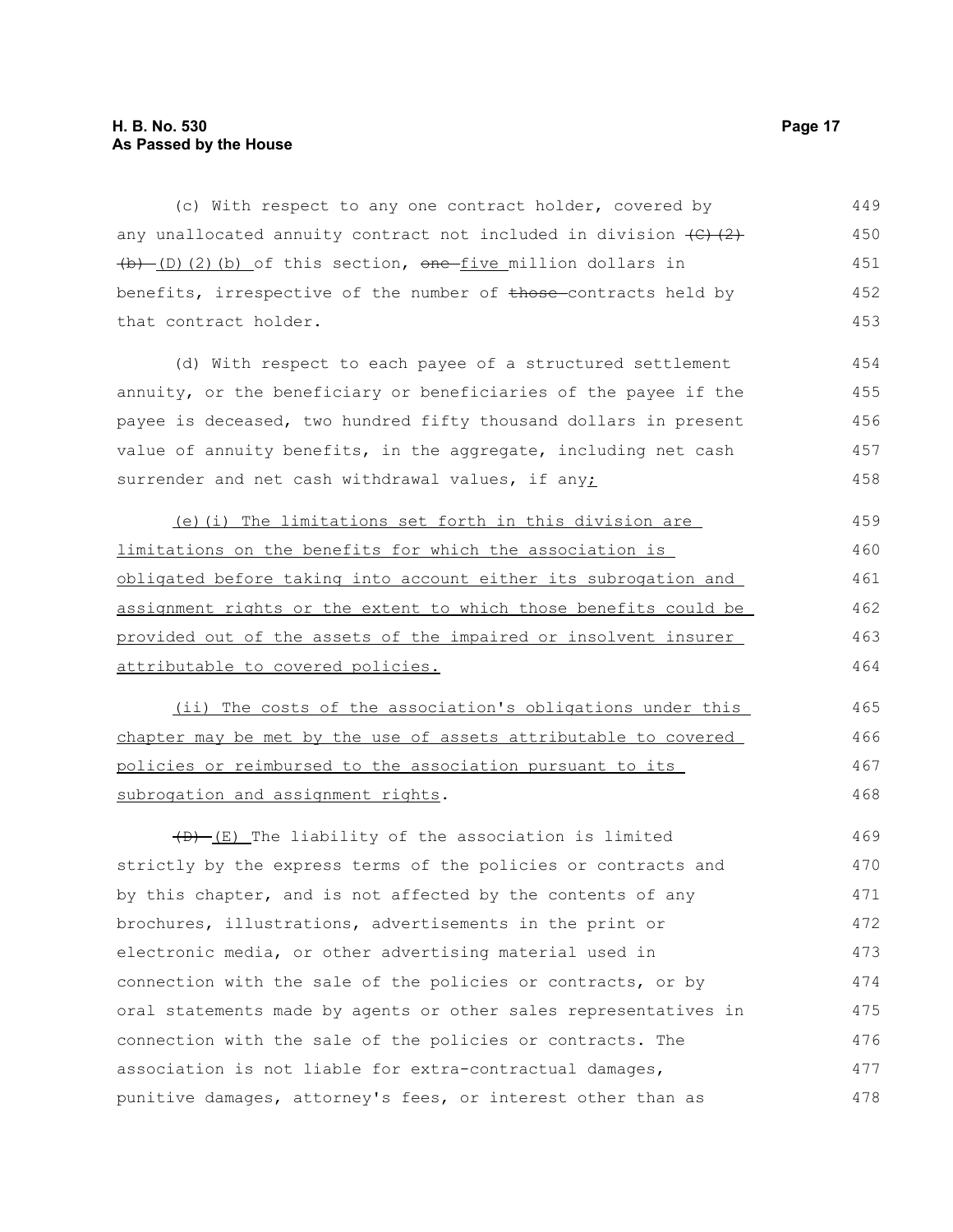#### **H. B. No. 530 Page 17 As Passed by the House**

(c) With respect to any one contract holder, covered by any unallocated annuity contract not included in division  $\{C\}$   $(2)$  $\left(\frac{b}{D}\right)(2)(b)$  of this section, one five million dollars in benefits, irrespective of the number of those-contracts held by that contract holder. 449 450 451 452 453

(d) With respect to each payee of a structured settlement annuity, or the beneficiary or beneficiaries of the payee if the payee is deceased, two hundred fifty thousand dollars in present value of annuity benefits, in the aggregate, including net cash surrender and net cash withdrawal values, if any;

(e)(i) The limitations set forth in this division are limitations on the benefits for which the association is obligated before taking into account either its subrogation and assignment rights or the extent to which those benefits could be provided out of the assets of the impaired or insolvent insurer attributable to covered policies.

(ii) The costs of the association's obligations under this chapter may be met by the use of assets attributable to covered policies or reimbursed to the association pursuant to its subrogation and assignment rights.

 $(D)$  (E) The liability of the association is limited strictly by the express terms of the policies or contracts and by this chapter, and is not affected by the contents of any brochures, illustrations, advertisements in the print or electronic media, or other advertising material used in connection with the sale of the policies or contracts, or by oral statements made by agents or other sales representatives in connection with the sale of the policies or contracts. The association is not liable for extra-contractual damages, punitive damages, attorney's fees, or interest other than as 469 470 471 472 473 474 475 476 477 478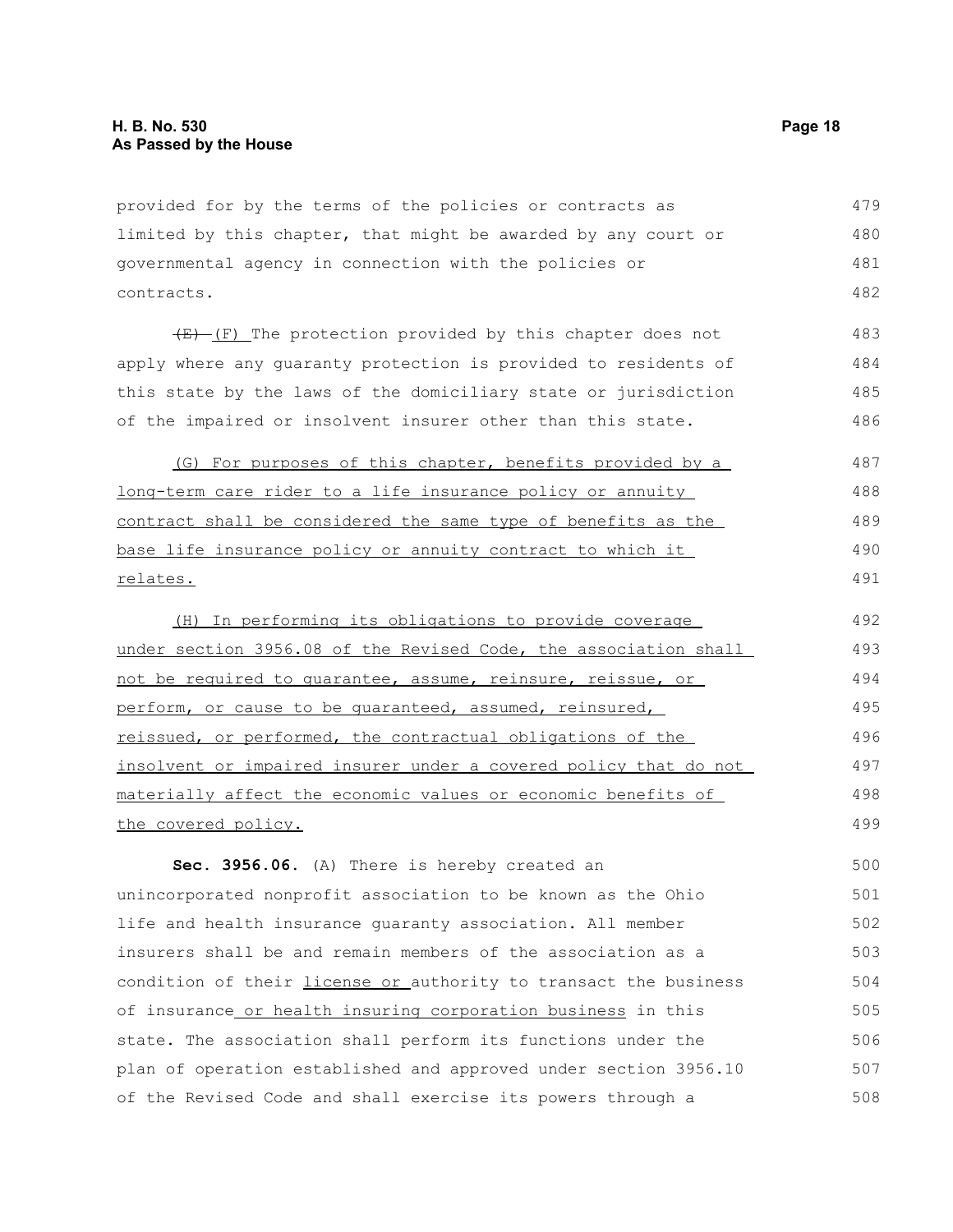provided for by the terms of the policies or contracts as limited by this chapter, that might be awarded by any court or governmental agency in connection with the policies or contracts. 479 480 481 482

 $(E)$  (F) The protection provided by this chapter does not apply where any guaranty protection is provided to residents of this state by the laws of the domiciliary state or jurisdiction of the impaired or insolvent insurer other than this state.

(G) For purposes of this chapter, benefits provided by a long-term care rider to a life insurance policy or annuity contract shall be considered the same type of benefits as the base life insurance policy or annuity contract to which it relates. 487 488 489 490 491

(H) In performing its obligations to provide coverage under section 3956.08 of the Revised Code, the association shall not be required to guarantee, assume, reinsure, reissue, or perform, or cause to be guaranteed, assumed, reinsured, reissued, or performed, the contractual obligations of the insolvent or impaired insurer under a covered policy that do not materially affect the economic values or economic benefits of the covered policy. 492 493 494 495 496 497 498 499

**Sec. 3956.06.** (A) There is hereby created an unincorporated nonprofit association to be known as the Ohio life and health insurance guaranty association. All member insurers shall be and remain members of the association as a condition of their *license or authority* to transact the business of insurance or health insuring corporation business in this state. The association shall perform its functions under the plan of operation established and approved under section 3956.10 of the Revised Code and shall exercise its powers through a 500 501 502 503 504 505 506 507 508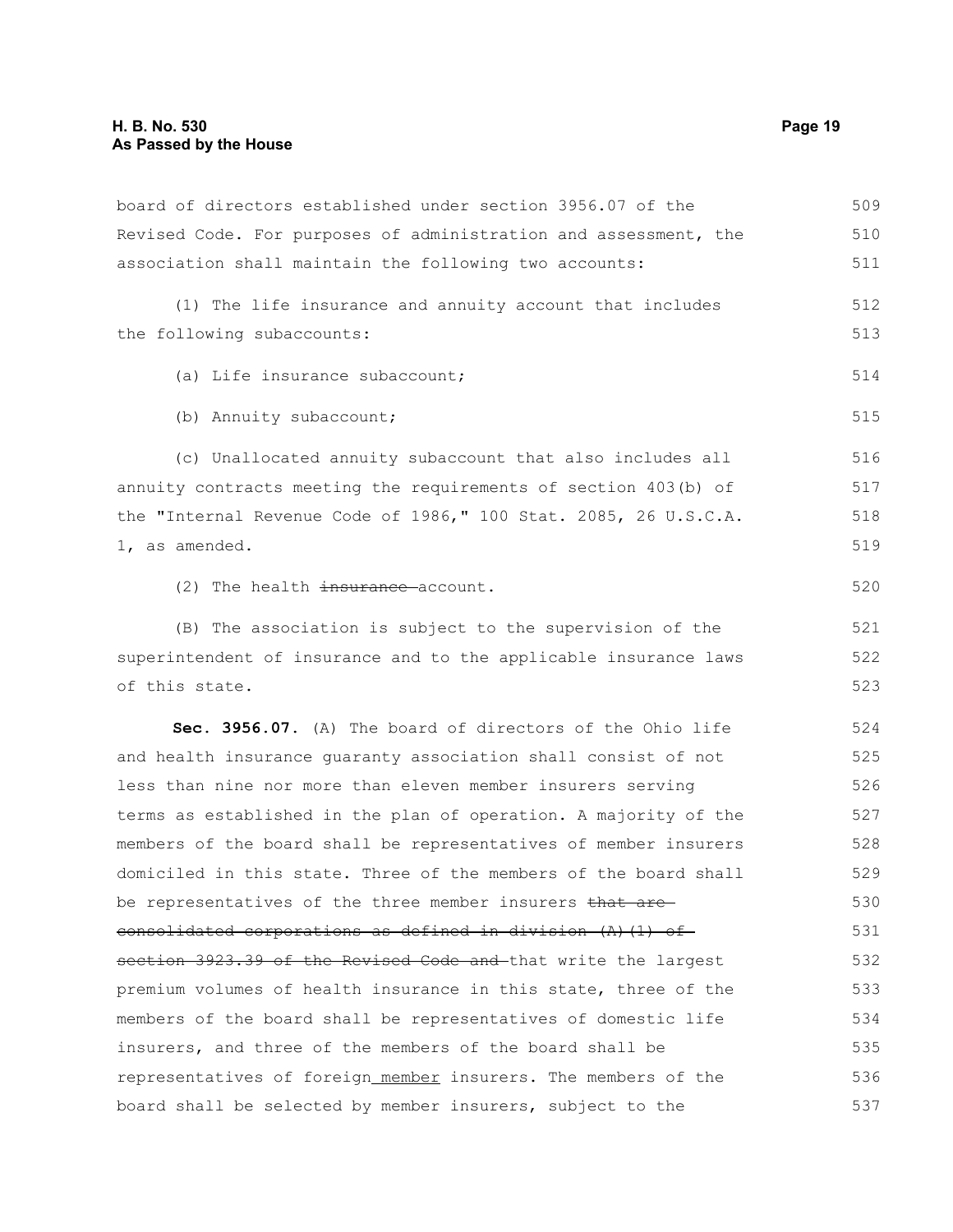board of directors established under section 3956.07 of the Revised Code. For purposes of administration and assessment, the association shall maintain the following two accounts: (1) The life insurance and annuity account that includes the following subaccounts: (a) Life insurance subaccount; (b) Annuity subaccount; (c) Unallocated annuity subaccount that also includes all annuity contracts meeting the requirements of section 403(b) of the "Internal Revenue Code of 1986," 100 Stat. 2085, 26 U.S.C.A. 1, as amended. (2) The health insurance account. (B) The association is subject to the supervision of the superintendent of insurance and to the applicable insurance laws of this state. **Sec. 3956.07.** (A) The board of directors of the Ohio life and health insurance guaranty association shall consist of not less than nine nor more than eleven member insurers serving terms as established in the plan of operation. A majority of the members of the board shall be representatives of member insurers domiciled in this state. Three of the members of the board shall be representatives of the three member insurers that are consolidated corporations as defined in division (A)(1) of section 3923.39 of the Revised Code and that write the largest premium volumes of health insurance in this state, three of the members of the board shall be representatives of domestic life insurers, and three of the members of the board shall be representatives of foreign member insurers. The members of the board shall be selected by member insurers, subject to the 509 510 511 512 513 514 515 516 517 518 519 520 521 522 523 524 525 526 527 528 529 530 531 532 533 534 535 536 537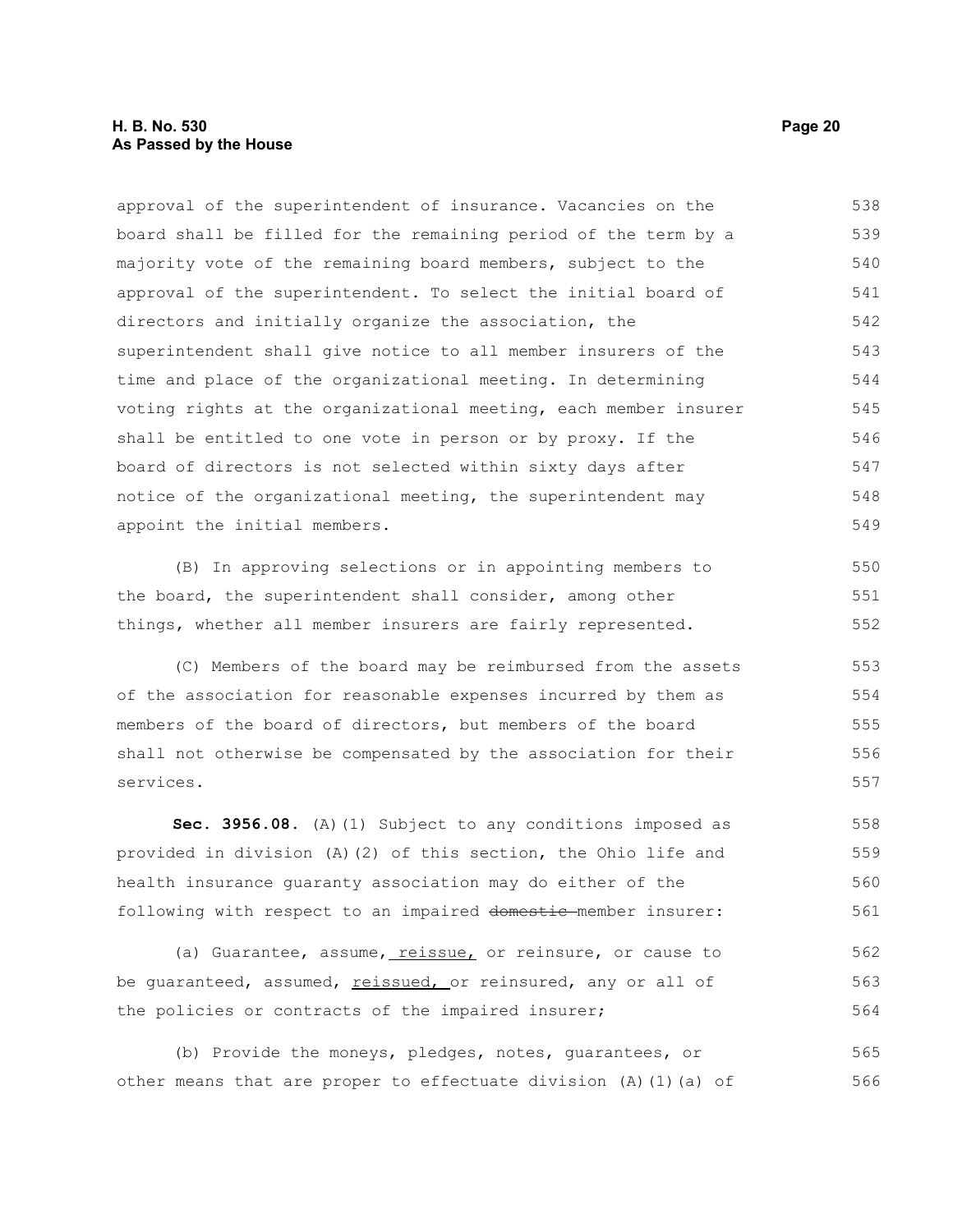#### **H. B. No. 530 Page 20 As Passed by the House**

approval of the superintendent of insurance. Vacancies on the board shall be filled for the remaining period of the term by a majority vote of the remaining board members, subject to the approval of the superintendent. To select the initial board of directors and initially organize the association, the superintendent shall give notice to all member insurers of the time and place of the organizational meeting. In determining voting rights at the organizational meeting, each member insurer shall be entitled to one vote in person or by proxy. If the board of directors is not selected within sixty days after notice of the organizational meeting, the superintendent may appoint the initial members. 538 539 540 541 542 543 544 545 546 547 548 549

(B) In approving selections or in appointing members to the board, the superintendent shall consider, among other things, whether all member insurers are fairly represented. 550 551 552

(C) Members of the board may be reimbursed from the assets of the association for reasonable expenses incurred by them as members of the board of directors, but members of the board shall not otherwise be compensated by the association for their services. 553 554 555 556 557

**Sec. 3956.08.** (A)(1) Subject to any conditions imposed as provided in division (A)(2) of this section, the Ohio life and health insurance guaranty association may do either of the following with respect to an impaired domestic member insurer: 558 559 560 561

(a) Guarantee, assume, reissue, or reinsure, or cause to be guaranteed, assumed, reissued, or reinsured, any or all of the policies or contracts of the impaired insurer; 562 563 564

(b) Provide the moneys, pledges, notes, guarantees, or other means that are proper to effectuate division (A)(1)(a) of 565 566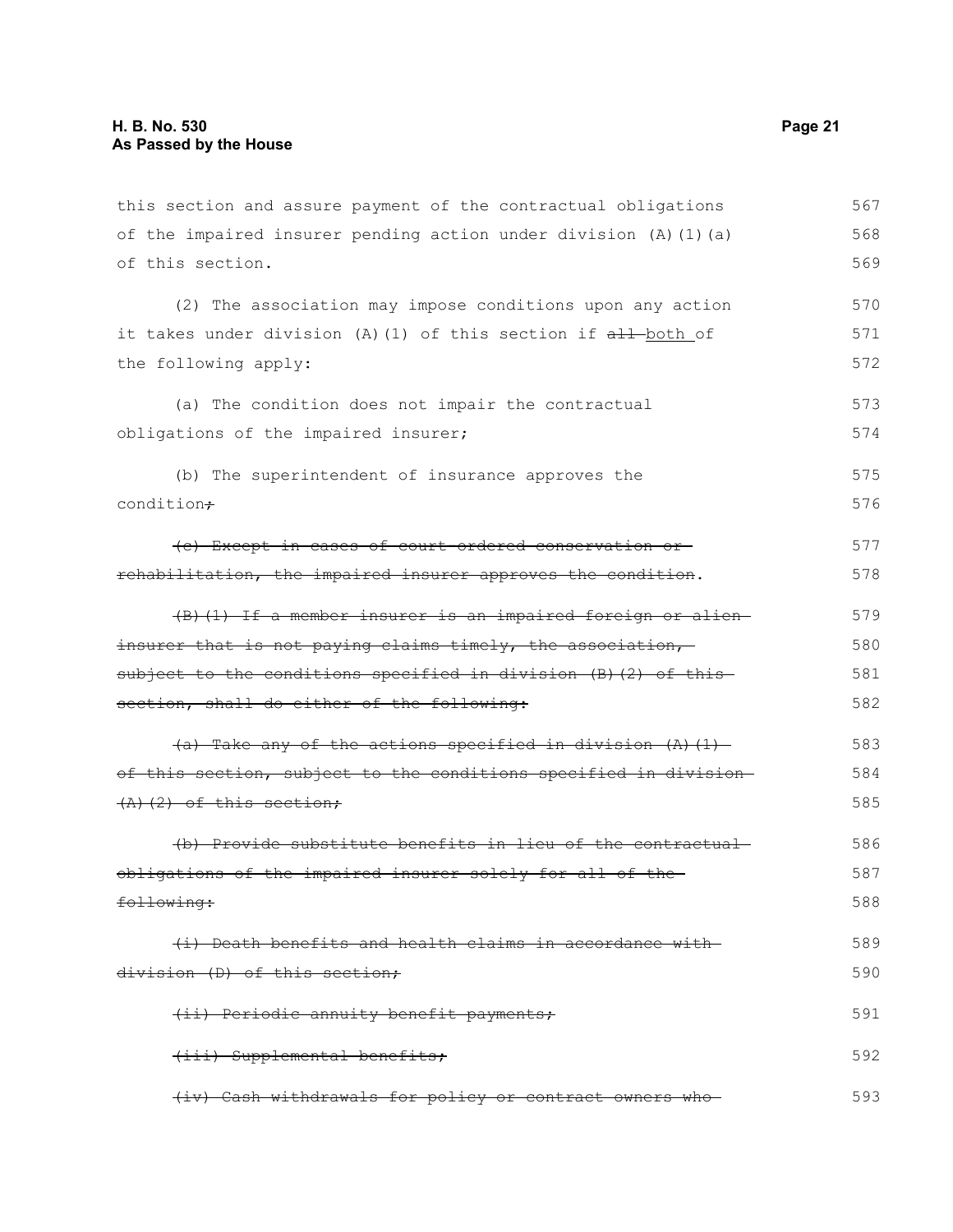this section and assure payment of the contractual obligations of the impaired insurer pending action under division (A)(1)(a) of this section. (2) The association may impose conditions upon any action it takes under division (A)(1) of this section if all-both of the following apply: (a) The condition does not impair the contractual obligations of the impaired insurer; (b) The superintendent of insurance approves the condition+ (c) Except in cases of court-ordered conservation or rehabilitation, the impaired insurer approves the condition. (B)(1) If a member insurer is an impaired foreign or alien insurer that is not paying claims timely, the association,subject to the conditions specified in division (B)(2) of thissection, shall do either of the following:  $(a)$  Take any of the actions specified in division  $(A)$   $(1)$ of this section, subject to the conditions specified in division  $(A)$   $(2)$  of this section; (b) Provide substitute benefits in lieu of the contractual obligations of the impaired insurer solely for all of the following: (i) Death benefits and health claims in accordance with division (D) of this section; (ii) Periodic annuity benefit payments; (iii) Supplemental benefits; (iv) Cash withdrawals for policy or contract owners who 567 568 569 570 571 572 573 574 575 576 577 578 579 580 581 582 583 584 585 586 587 588 589 590 591 592 593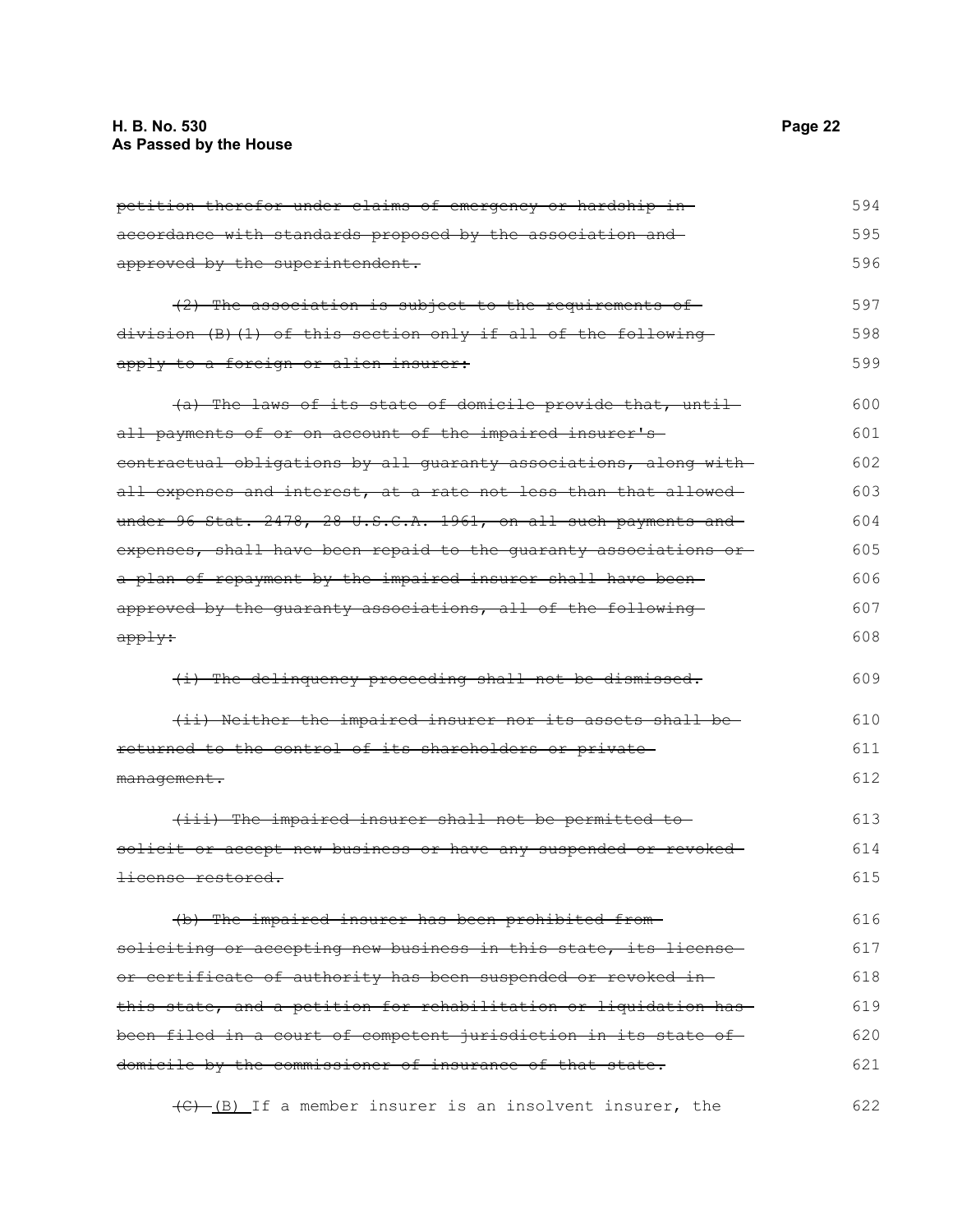| petition therefor under claims of emergency or hardship in-             | 594 |
|-------------------------------------------------------------------------|-----|
| accordance with standards proposed by the association and—              | 595 |
| approved by the superintendent.                                         | 596 |
| (2) The association is subject to the requirements of-                  | 597 |
| <u>division (B)(1) of this section only if all of the following-</u>    | 598 |
| apply to a foreign or alien insurer:                                    | 599 |
| (a) The laws of its state of domicile provide that, until-              | 600 |
| all payments of or on account of the impaired insurer's-                | 601 |
| contractual obligations by all guaranty associations, along with        | 602 |
| all expenses and interest, at a rate not less than that allowed-        | 603 |
| under 96 Stat. 2478, 28 U.S.C.A. 1961, on all such payments and         | 604 |
| expenses, shall have been repaid to the quaranty associations or-       | 605 |
| a plan of repayment by the impaired insurer shall have been-            | 606 |
| approved by the guaranty associations, all of the following-            | 607 |
| <del>apply:</del>                                                       | 608 |
| (i) The delinquency proceeding shall not be dismissed.                  | 609 |
| (ii) Neither the impaired insurer nor its assets shall be-              | 610 |
| returned to the control of its shareholders or private-                 | 611 |
| <del>management.</del>                                                  | 612 |
| (iii) The impaired insurer shall not be permitted to                    | 613 |
| <u>solicit or accept new business or have any suspended or revoked-</u> | 614 |
| license restored.                                                       | 615 |
| (b) The impaired insurer has been prohibited from-                      | 616 |
| soliciting or accepting new business in this state, its license-        | 617 |
| or certificate of authority has been suspended or revoked in-           | 618 |
| this state, and a petition for rehabilitation or liquidation has        | 619 |
| been filed in a court of competent jurisdiction in its state of-        | 620 |
| domicile by the commissioner of insurance of that state.                | 621 |
|                                                                         |     |

(C) (B) If a member insurer is an insolvent insurer, the 622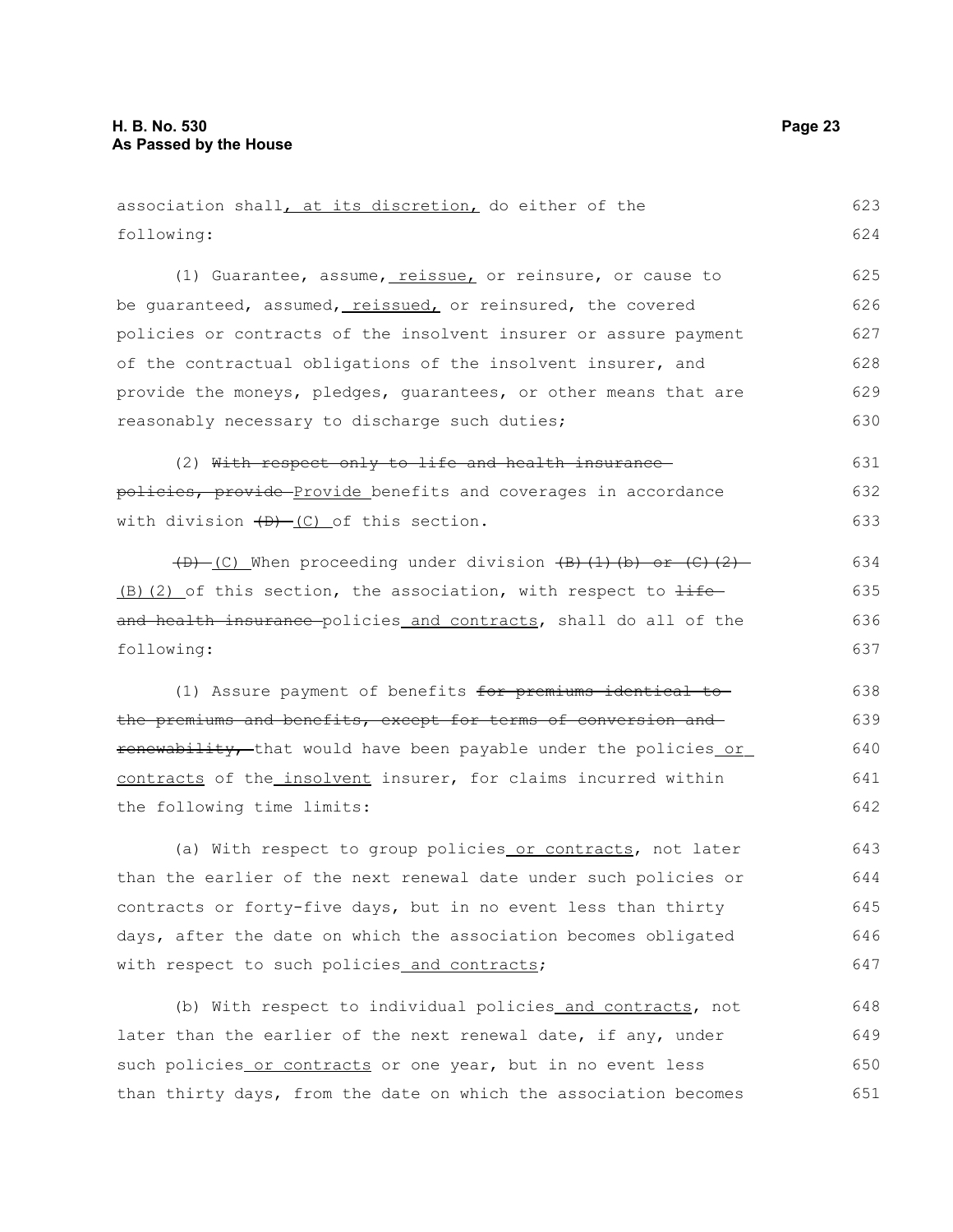following:

association shall, at its discretion, do either of the

(1) Guarantee, assume, reissue, or reinsure, or cause to be guaranteed, assumed, reissued, or reinsured, the covered policies or contracts of the insolvent insurer or assure payment of the contractual obligations of the insolvent insurer, and provide the moneys, pledges, guarantees, or other means that are reasonably necessary to discharge such duties; (2) With respect only to life and health insurance policies, provide Provide benefits and coverages in accordance with division  $(D)$  (C) of this section.  $(D)$  (C) When proceeding under division  $(B)$  (1)(b) or (C)(2)  $(B)$ (2) of this section, the association, with respect to  $\pm i\epsilon$ and health insurance policies and contracts, shall do all of the following: (1) Assure payment of benefits for premiums identical to the premiums and benefits, except for terms of conversion and renewability, that would have been payable under the policies or contracts of the insolvent insurer, for claims incurred within the following time limits: (a) With respect to group policies or contracts, not later than the earlier of the next renewal date under such policies or contracts or forty-five days, but in no event less than thirty days, after the date on which the association becomes obligated with respect to such policies and contracts; (b) With respect to individual policies and contracts, not later than the earlier of the next renewal date, if any, under such policies or contracts or one year, but in no event less 625 626 627 628 629 630 631 632 633 634 635 636 637 638 639 640 641 642 643 644 645 646 647 648 649 650

than thirty days, from the date on which the association becomes 651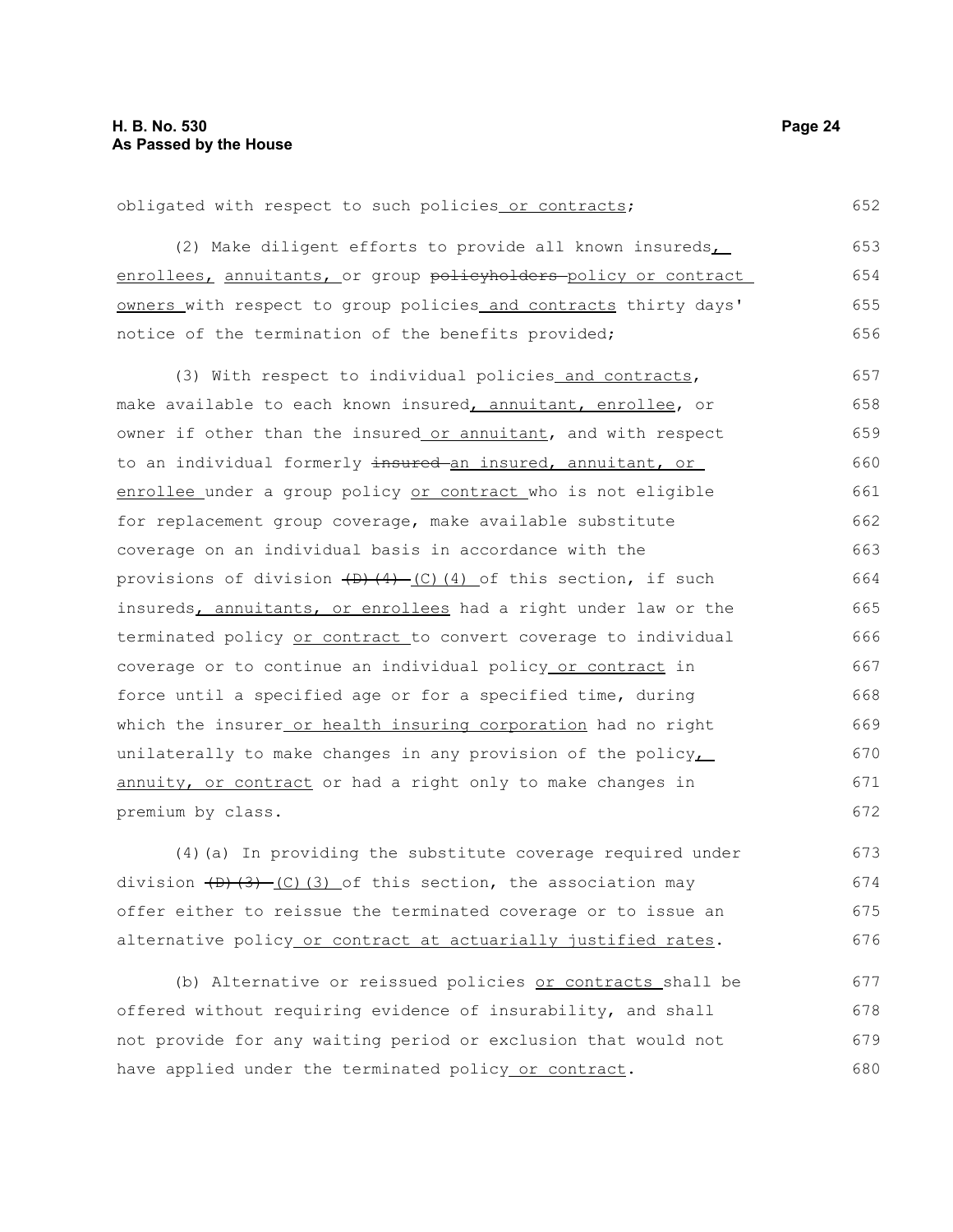obligated with respect to such policies or contracts;

(2) Make diligent efforts to provide all known insureds enrollees, annuitants, or group policyholders policy or contract owners with respect to group policies and contracts thirty days' notice of the termination of the benefits provided; 653 654 655 656

(3) With respect to individual policies and contracts, make available to each known insured, annuitant, enrollee, or owner if other than the insured or annuitant, and with respect to an individual formerly insured an insured, annuitant, or enrollee under a group policy or contract who is not eligible for replacement group coverage, make available substitute coverage on an individual basis in accordance with the provisions of division  $(D)$   $(4)$   $(C)$   $(4)$  of this section, if such insureds, annuitants, or enrollees had a right under law or the terminated policy or contract to convert coverage to individual coverage or to continue an individual policy or contract in force until a specified age or for a specified time, during which the insurer or health insuring corporation had no right unilaterally to make changes in any provision of the policy $\overline{L}$ annuity, or contract or had a right only to make changes in premium by class. 657 658 659 660 661 662 663 664 665 666 667 668 669 670 671 672

(4)(a) In providing the substitute coverage required under division  $(D)$ (3) (3) of this section, the association may offer either to reissue the terminated coverage or to issue an alternative policy or contract at actuarially justified rates.

(b) Alternative or reissued policies or contracts shall be offered without requiring evidence of insurability, and shall not provide for any waiting period or exclusion that would not have applied under the terminated policy or contract. 677 678 679 680

652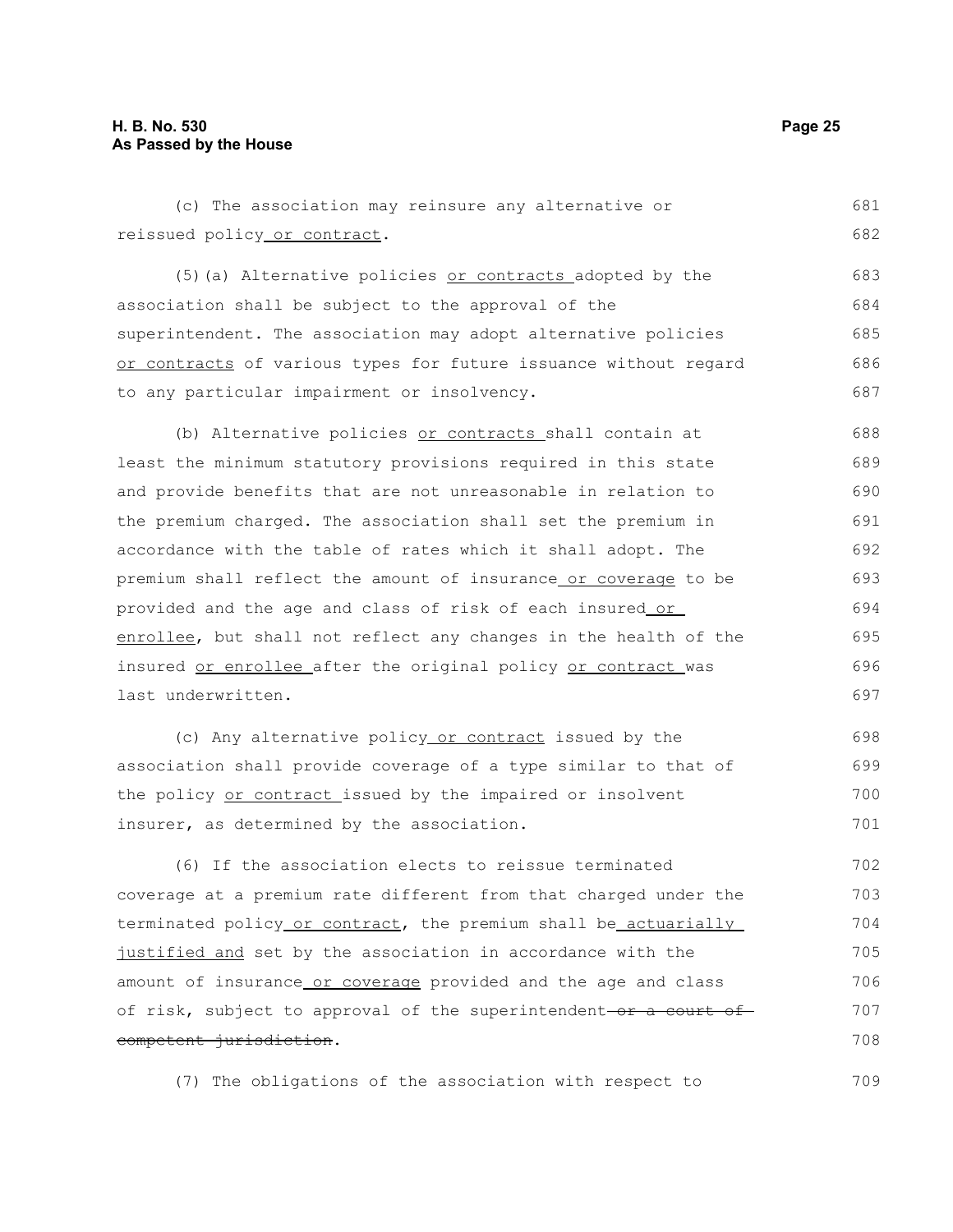709

| (c) The association may reinsure any alternative or              | 681 |
|------------------------------------------------------------------|-----|
| reissued policy or contract.                                     | 682 |
| (5) (a) Alternative policies or contracts adopted by the         | 683 |
| association shall be subject to the approval of the              | 684 |
| superintendent. The association may adopt alternative policies   | 685 |
| or contracts of various types for future issuance without regard | 686 |
| to any particular impairment or insolvency.                      | 687 |
| (b) Alternative policies or contracts shall contain at           | 688 |
| least the minimum statutory provisions required in this state    | 689 |
| and provide benefits that are not unreasonable in relation to    | 690 |
| the premium charged. The association shall set the premium in    | 691 |
| accordance with the table of rates which it shall adopt. The     | 692 |
| premium shall reflect the amount of insurance or coverage to be  | 693 |
| provided and the age and class of risk of each insured or        | 694 |
| enrollee, but shall not reflect any changes in the health of the | 695 |
| insured or enrollee after the original policy or contract was    | 696 |
| last underwritten.                                               | 697 |
| (c) Any alternative policy or contract issued by the             | 698 |
| association shall provide coverage of a type similar to that of  | 699 |
| the policy or contract issued by the impaired or insolvent       | 700 |
| insurer, as determined by the association.                       | 701 |
| (6) If the association elects to reissue terminated              | 702 |
| coverage at a premium rate different from that charged under the | 703 |
| terminated policy or contract, the premium shall be actuarially  | 704 |
| justified and set by the association in accordance with the      | 705 |
| amount of insurance or coverage provided and the age and class   | 706 |
| of risk, subject to approval of the superintendent-or a court of | 707 |
| competent jurisdiction.                                          | 708 |

(7) The obligations of the association with respect to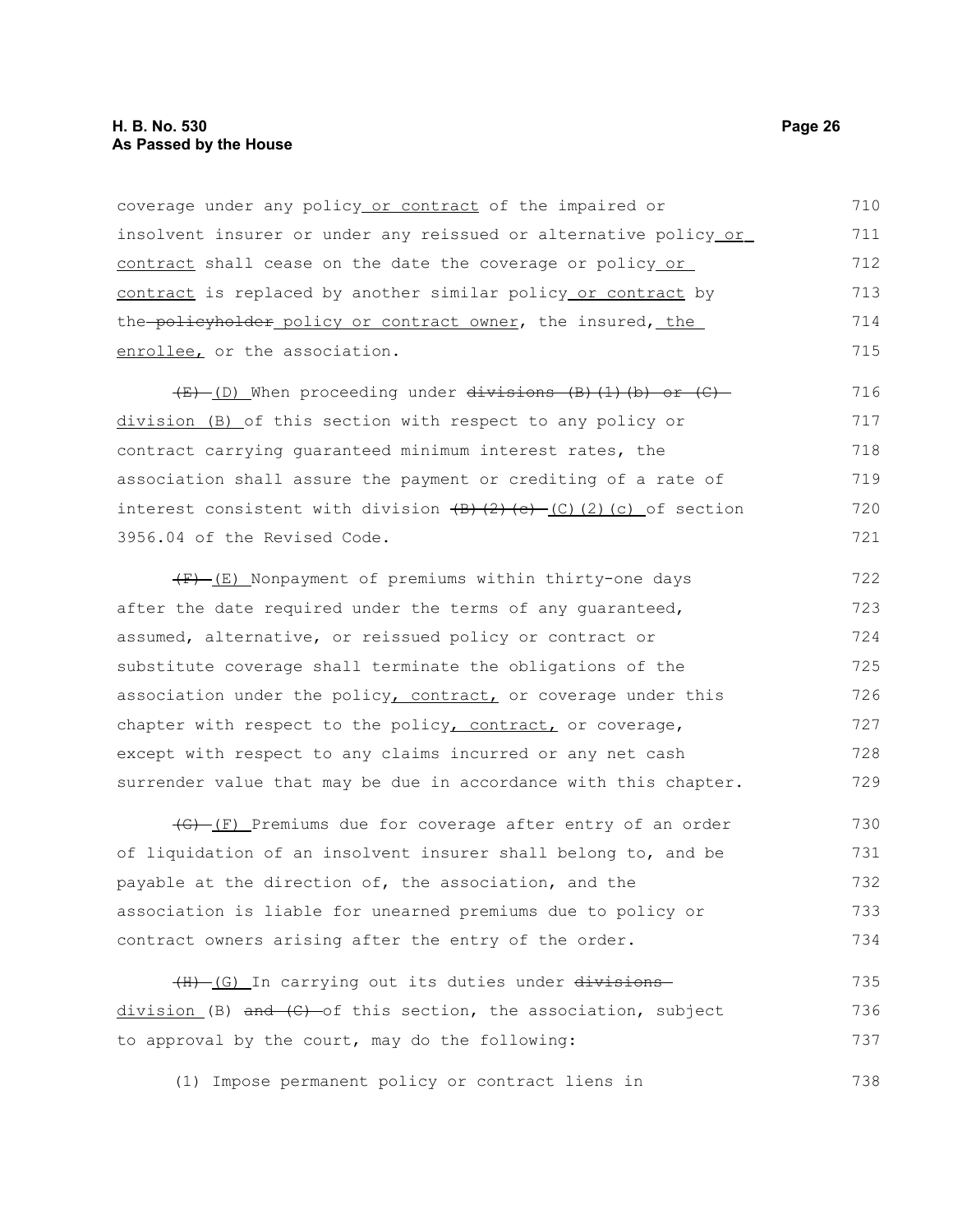coverage under any policy or contract of the impaired or insolvent insurer or under any reissued or alternative policy or contract shall cease on the date the coverage or policy or contract is replaced by another similar policy or contract by the policyholder policy or contract owner, the insured, the enrollee, or the association. 710 711 712 713 714 715

 $(E)$  (D) When proceeding under divisions (B)(1)(b) or (C) division (B) of this section with respect to any policy or contract carrying guaranteed minimum interest rates, the association shall assure the payment or crediting of a rate of interest consistent with division  $(B)$   $(2)$   $(c)$   $(2)$   $(c)$  of section 3956.04 of the Revised Code. 716 717 718 719 720 721

 $(F)$  (E) Nonpayment of premiums within thirty-one days after the date required under the terms of any guaranteed, assumed, alternative, or reissued policy or contract or substitute coverage shall terminate the obligations of the association under the policy, contract, or coverage under this chapter with respect to the policy, contract, or coverage, except with respect to any claims incurred or any net cash surrender value that may be due in accordance with this chapter. 722 723 724 725 726 727 728 729

 $\overline{(G)}$  (F) Premiums due for coverage after entry of an order of liquidation of an insolvent insurer shall belong to, and be payable at the direction of, the association, and the association is liable for unearned premiums due to policy or contract owners arising after the entry of the order. 730 731 732 733 734

(H) (G) In carrying out its duties under divisions division (B)  $\overline{and}$   $\overline{(C)}$  of this section, the association, subject to approval by the court, may do the following: 735 736 737

(1) Impose permanent policy or contract liens in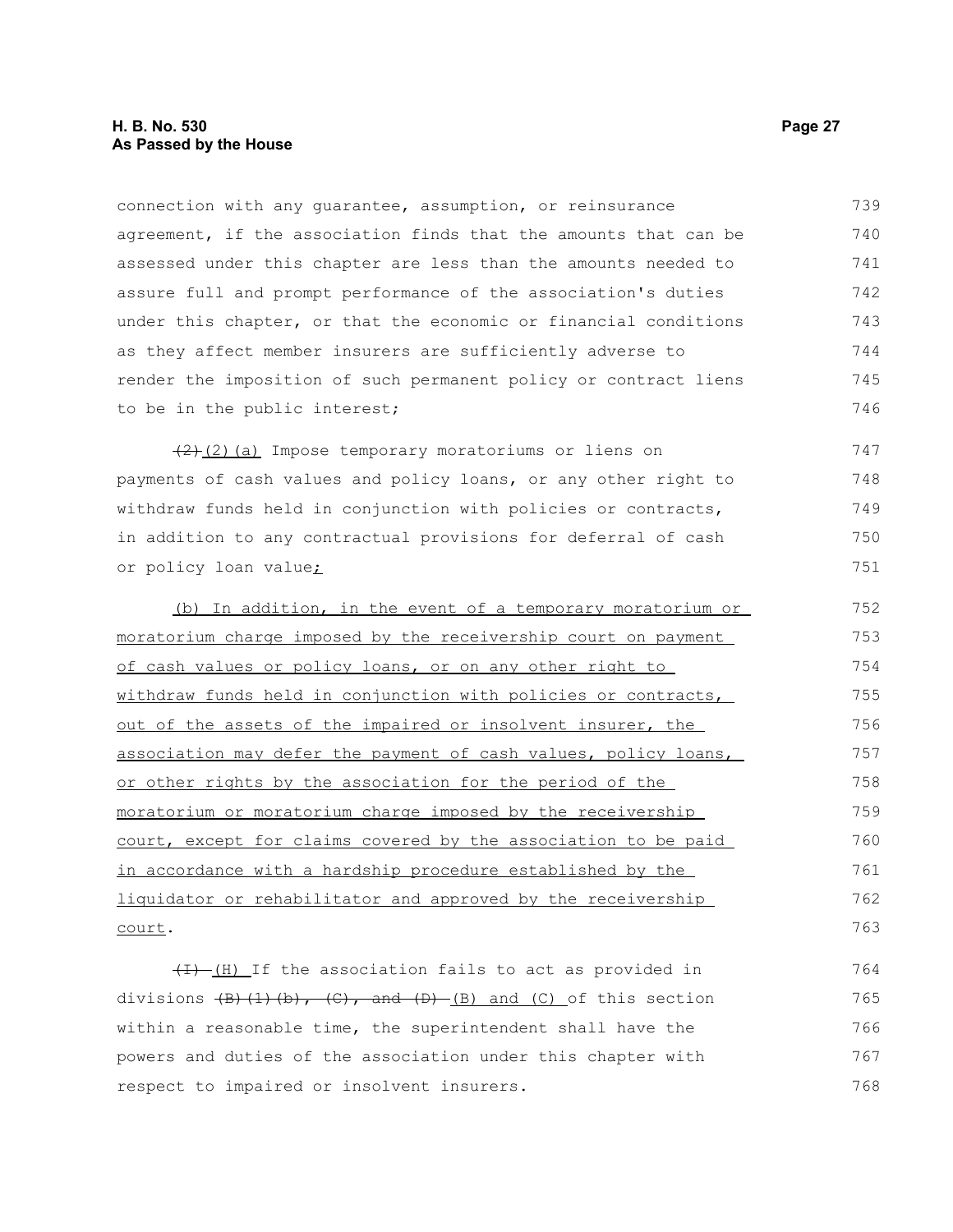#### **H. B. No. 530 Page 27 As Passed by the House**

connection with any guarantee, assumption, or reinsurance agreement, if the association finds that the amounts that can be assessed under this chapter are less than the amounts needed to assure full and prompt performance of the association's duties under this chapter, or that the economic or financial conditions as they affect member insurers are sufficiently adverse to render the imposition of such permanent policy or contract liens to be in the public interest; 739 740 741 742 743 744 745 746

 $(2)$  (2) (a) Impose temporary moratoriums or liens on payments of cash values and policy loans, or any other right to withdraw funds held in conjunction with policies or contracts, in addition to any contractual provisions for deferral of cash or policy loan value; 747 748 749 750 751

(b) In addition, in the event of a temporary moratorium or moratorium charge imposed by the receivership court on payment of cash values or policy loans, or on any other right to withdraw funds held in conjunction with policies or contracts, out of the assets of the impaired or insolvent insurer, the association may defer the payment of cash values, policy loans, or other rights by the association for the period of the moratorium or moratorium charge imposed by the receivership court, except for claims covered by the association to be paid in accordance with a hardship procedure established by the liquidator or rehabilitator and approved by the receivership court. 752 753 754 755 756 757 758 759 760 761 762 763

 $(H)$  If the association fails to act as provided in divisions  $\left(\frac{B}{C}\right)$ ,  $\left(\frac{C}{D}\right)$ , and  $\left(\frac{D}{D}\right)$  and  $\left(\frac{C}{D}\right)$  of this section within a reasonable time, the superintendent shall have the powers and duties of the association under this chapter with respect to impaired or insolvent insurers. 764 765 766 767 768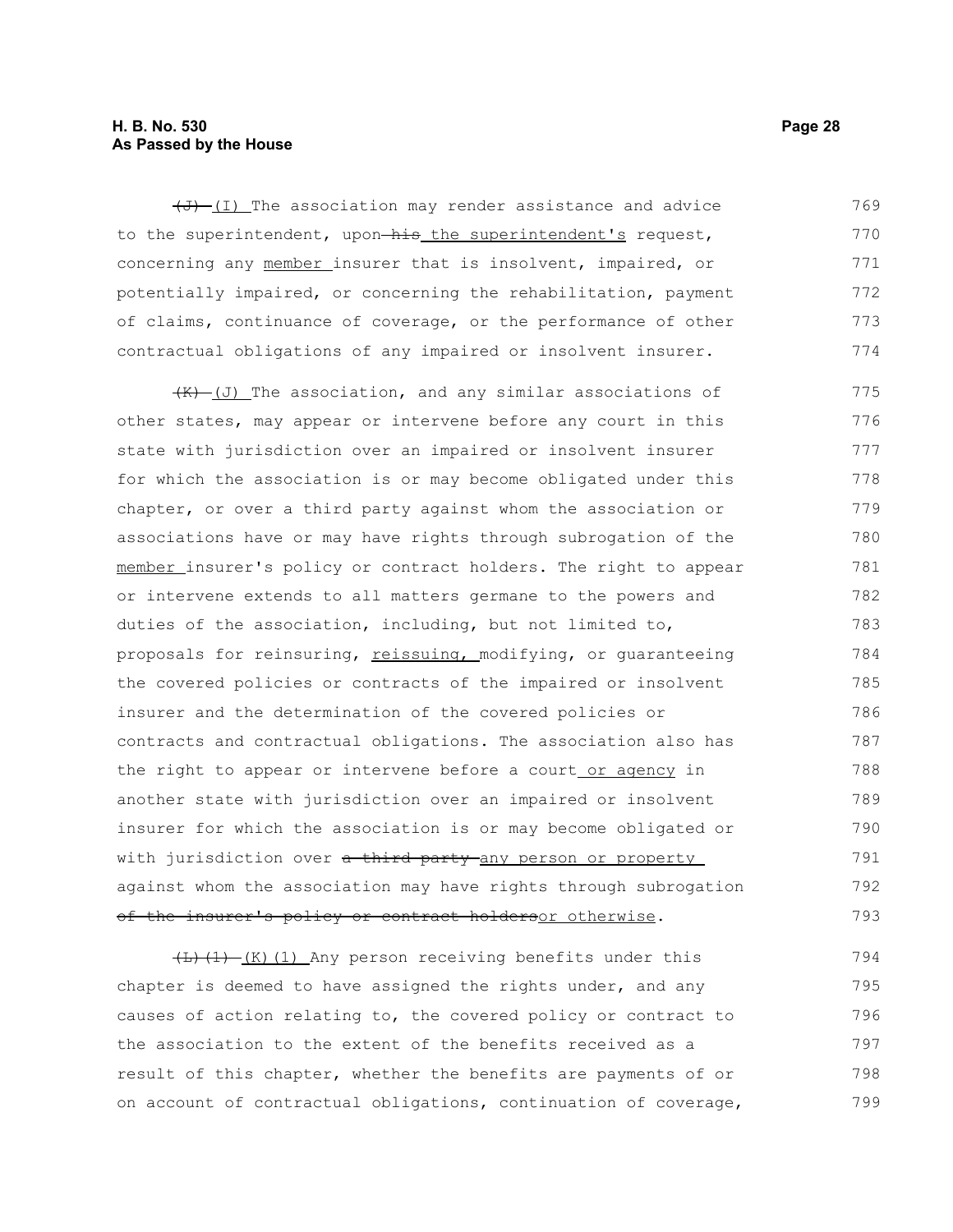#### **H. B. No. 530 Page 28 As Passed by the House**

 $(\overline{J} + (\overline{I})$  The association may render assistance and advice to the superintendent, upon-his the superintendent's request, concerning any member insurer that is insolvent, impaired, or potentially impaired, or concerning the rehabilitation, payment of claims, continuance of coverage, or the performance of other contractual obligations of any impaired or insolvent insurer. 769 770 771 772 773 774

 $(K)$  (J) The association, and any similar associations of other states, may appear or intervene before any court in this state with jurisdiction over an impaired or insolvent insurer for which the association is or may become obligated under this chapter, or over a third party against whom the association or associations have or may have rights through subrogation of the member insurer's policy or contract holders. The right to appear or intervene extends to all matters germane to the powers and duties of the association, including, but not limited to, proposals for reinsuring, reissuing, modifying, or quaranteeing the covered policies or contracts of the impaired or insolvent insurer and the determination of the covered policies or contracts and contractual obligations. The association also has the right to appear or intervene before a court or agency in another state with jurisdiction over an impaired or insolvent insurer for which the association is or may become obligated or with jurisdiction over a third party any person or property against whom the association may have rights through subrogation of the insurer's policy or contract holdersor otherwise. 775 776 777 778 779 780 781 782 783 784 785 786 787 788 789 790 791 792 793

 $\left(\frac{L}{L}\right)\left(1\right)$  (K)(1) Any person receiving benefits under this chapter is deemed to have assigned the rights under, and any causes of action relating to, the covered policy or contract to the association to the extent of the benefits received as a result of this chapter, whether the benefits are payments of or on account of contractual obligations, continuation of coverage, 794 795 796 797 798 799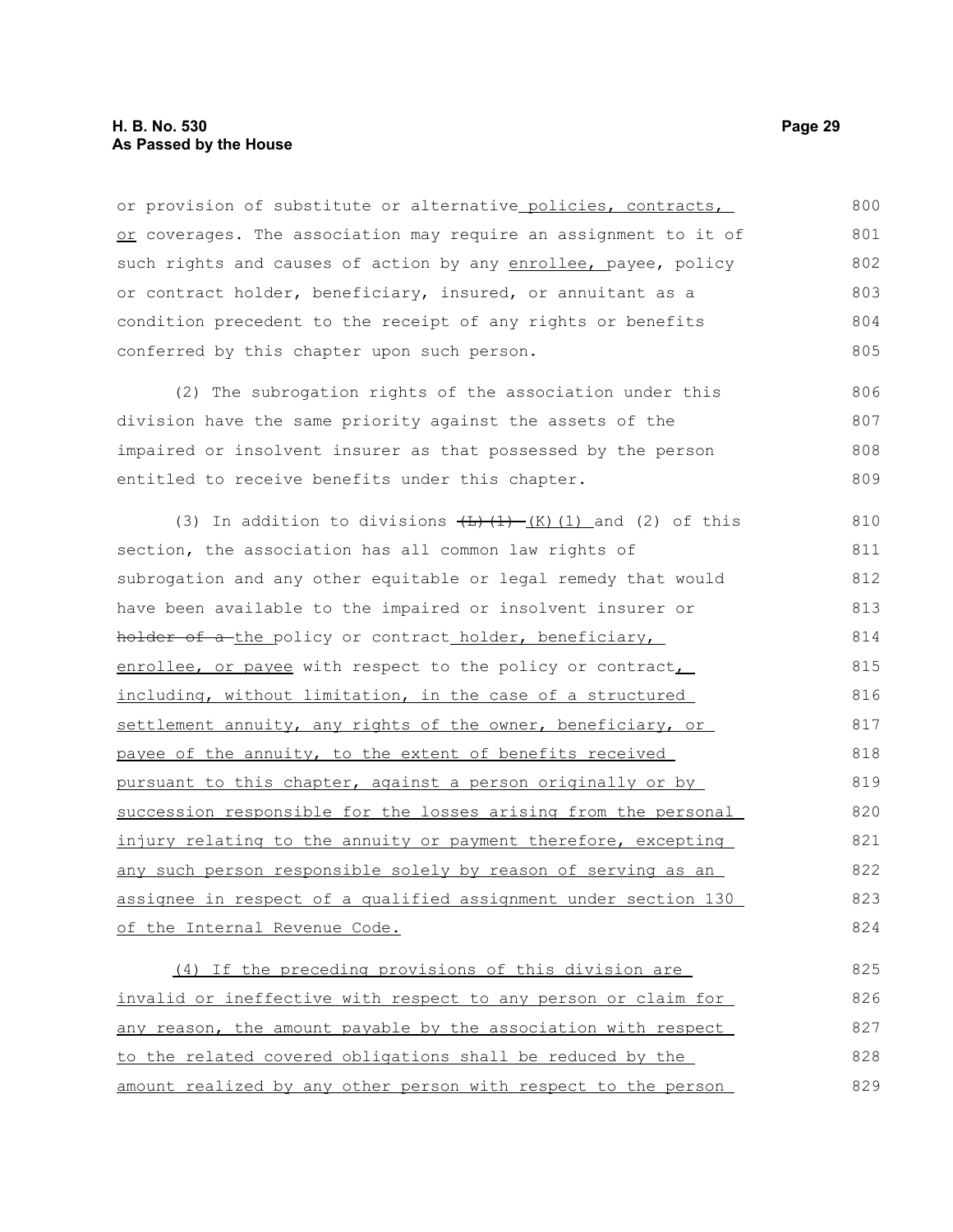#### **H. B. No. 530 Page 29 As Passed by the House**

or provision of substitute or alternative policies, contracts, or coverages. The association may require an assignment to it of such rights and causes of action by any enrollee, payee, policy or contract holder, beneficiary, insured, or annuitant as a condition precedent to the receipt of any rights or benefits conferred by this chapter upon such person. 800 801 802 803 804 805

(2) The subrogation rights of the association under this division have the same priority against the assets of the impaired or insolvent insurer as that possessed by the person entitled to receive benefits under this chapter. 806 807 808 809

(3) In addition to divisions  $\left(\frac{L}{L}\right)\left(\frac{1}{K}\right)$  (1) and (2) of this section, the association has all common law rights of subrogation and any other equitable or legal remedy that would have been available to the impaired or insolvent insurer or holder of a the policy or contract holder, beneficiary, enrollee, or payee with respect to the policy or contract, including, without limitation, in the case of a structured settlement annuity, any rights of the owner, beneficiary, or payee of the annuity, to the extent of benefits received pursuant to this chapter, against a person originally or by succession responsible for the losses arising from the personal injury relating to the annuity or payment therefore, excepting any such person responsible solely by reason of serving as an assignee in respect of a qualified assignment under section 130 of the Internal Revenue Code. 810 811 812 813 814 815 816 817 818 819 820 821 822 823 824

(4) If the preceding provisions of this division are invalid or ineffective with respect to any person or claim for any reason, the amount payable by the association with respect to the related covered obligations shall be reduced by the amount realized by any other person with respect to the person 825 826 827 828 829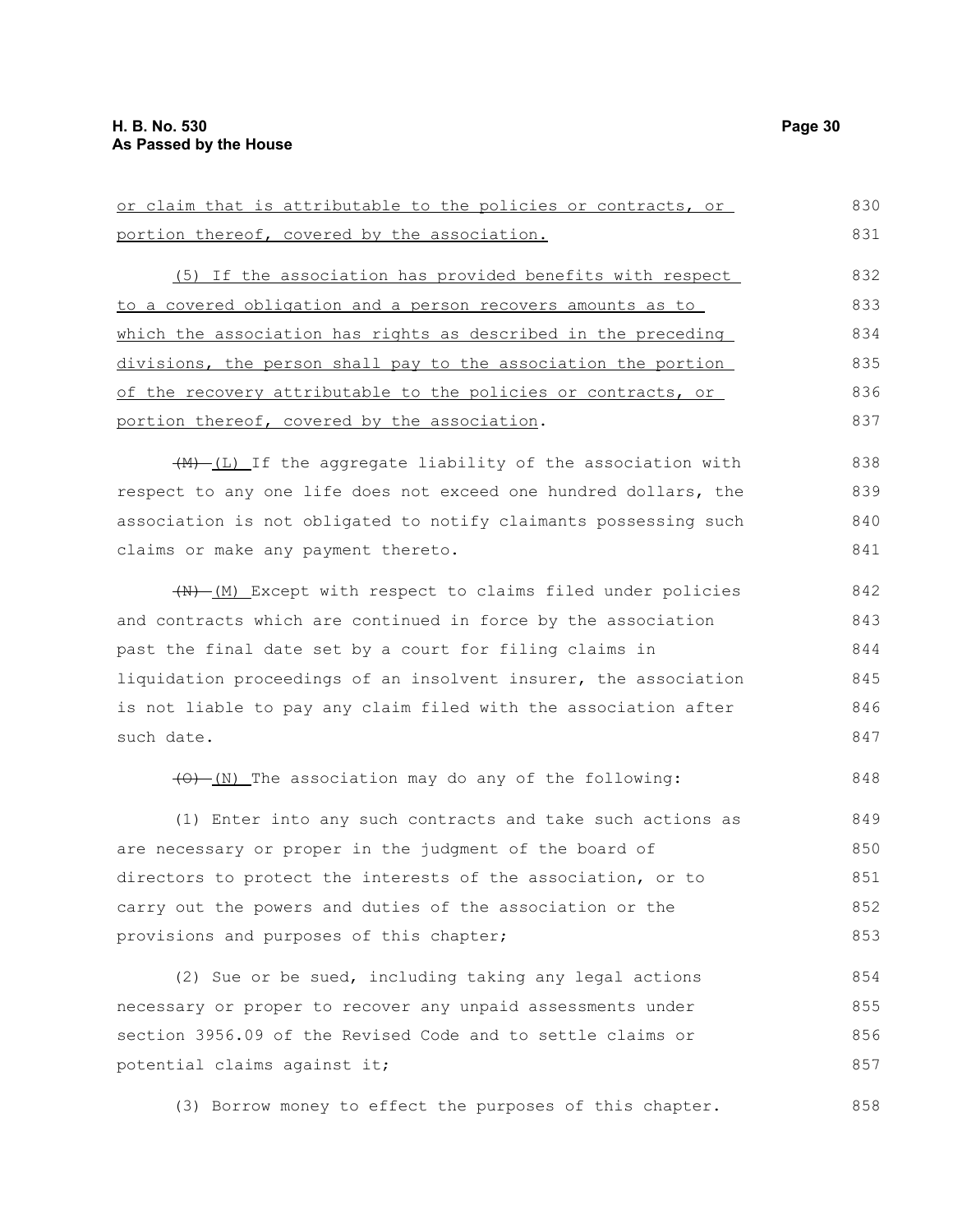or claim that is attributable to the policies or contracts, or portion thereof, covered by the association. (5) If the association has provided benefits with respect to a covered obligation and a person recovers amounts as to which the association has rights as described in the preceding divisions, the person shall pay to the association the portion of the recovery attributable to the policies or contracts, or 830 832 833 834 835 836

portion thereof, covered by the association.

(M) (L) If the aggregate liability of the association with respect to any one life does not exceed one hundred dollars, the association is not obligated to notify claimants possessing such claims or make any payment thereto.

(N) (M) Except with respect to claims filed under policies and contracts which are continued in force by the association past the final date set by a court for filing claims in liquidation proceedings of an insolvent insurer, the association is not liable to pay any claim filed with the association after such date. 842 843 844 845 846 847

 $(0)$  (N) The association may do any of the following:

(1) Enter into any such contracts and take such actions as are necessary or proper in the judgment of the board of directors to protect the interests of the association, or to carry out the powers and duties of the association or the provisions and purposes of this chapter; 849 850 851 852 853

(2) Sue or be sued, including taking any legal actions necessary or proper to recover any unpaid assessments under section 3956.09 of the Revised Code and to settle claims or potential claims against it; 854 855 856 857

(3) Borrow money to effect the purposes of this chapter. 858

831

837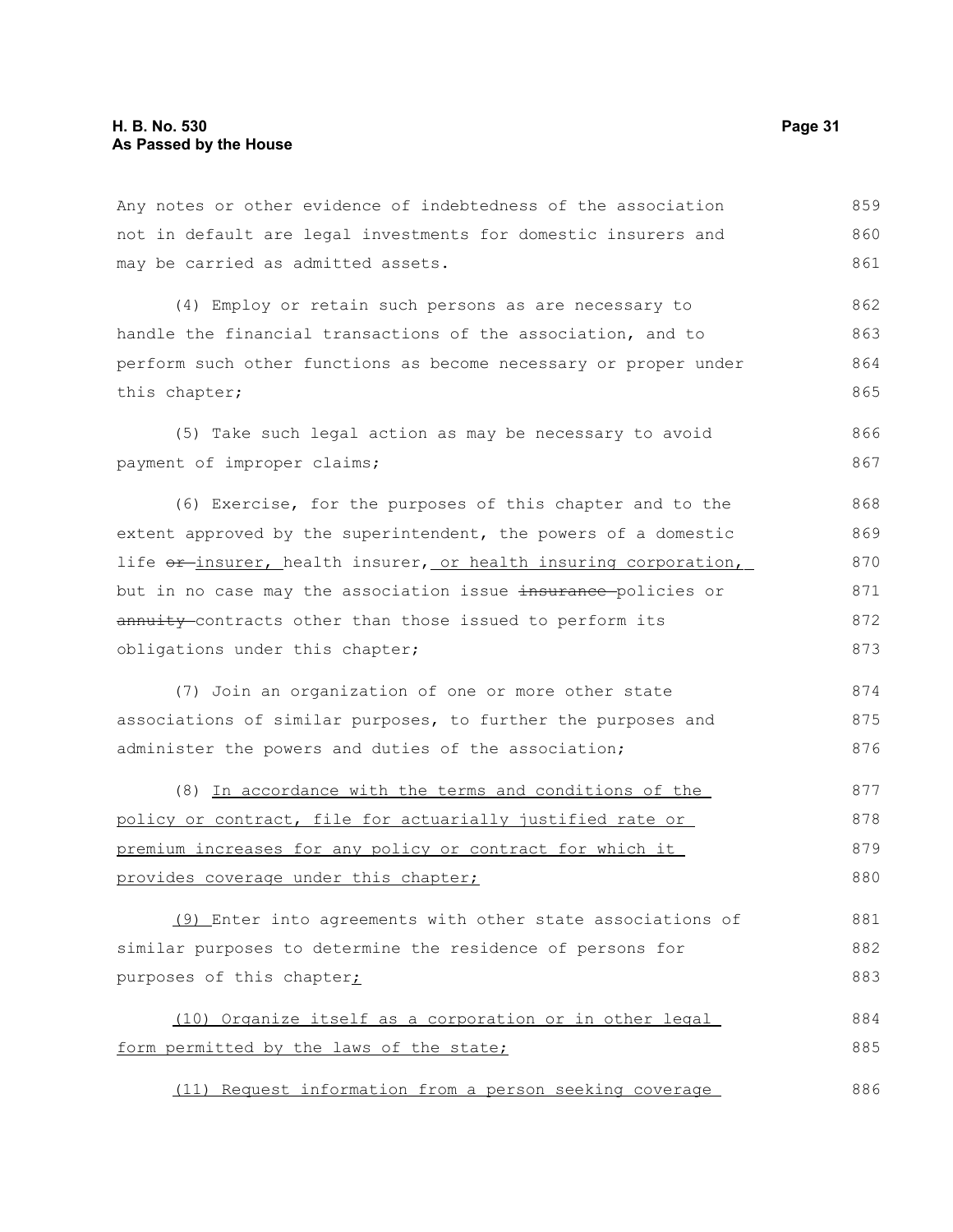Any notes or other evidence of indebtedness of the association not in default are legal investments for domestic insurers and may be carried as admitted assets. 859 860 861

(4) Employ or retain such persons as are necessary to handle the financial transactions of the association, and to perform such other functions as become necessary or proper under this chapter; 862 863 864 865

(5) Take such legal action as may be necessary to avoid payment of improper claims; 866 867

(6) Exercise, for the purposes of this chapter and to the extent approved by the superintendent, the powers of a domestic life  $or$ -insurer, health insurer, or health insuring corporation, but in no case may the association issue insurance policies or annuity contracts other than those issued to perform its obligations under this chapter; 868 869 870 871 872 873

(7) Join an organization of one or more other state associations of similar purposes, to further the purposes and administer the powers and duties of the association; 874 875 876

(8) In accordance with the terms and conditions of the policy or contract, file for actuarially justified rate or premium increases for any policy or contract for which it provides coverage under this chapter; 877 878 879 880

(9) Enter into agreements with other state associations of similar purposes to determine the residence of persons for purposes of this chapter; 881 882 883

(10) Organize itself as a corporation or in other legal form permitted by the laws of the state; 884 885

(11) Request information from a person seeking coverage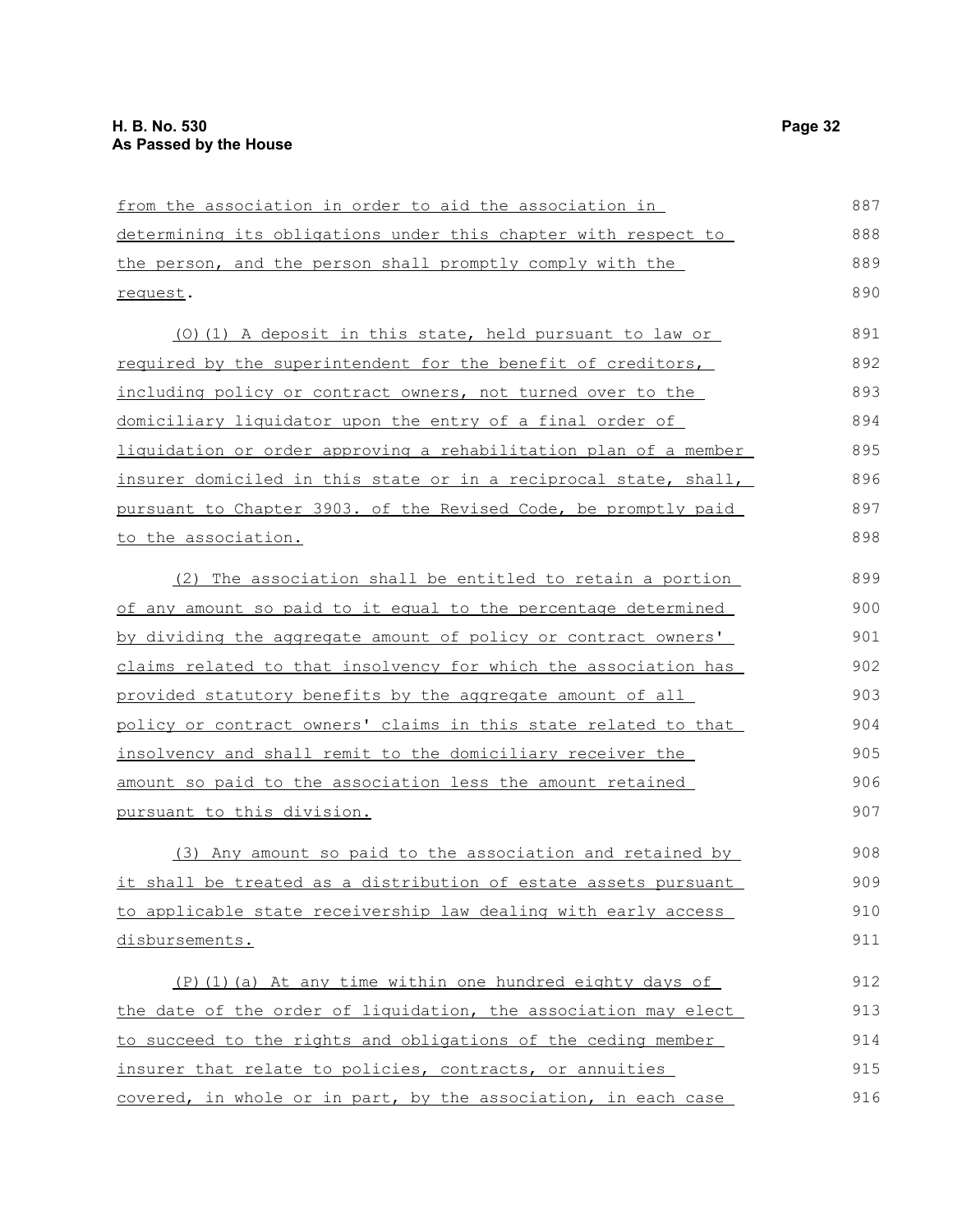| from the association in order to aid the association in                 | 887 |
|-------------------------------------------------------------------------|-----|
| <u>determining its obligations under this chapter with respect to </u>  | 888 |
| the person, and the person shall promptly comply with the               | 889 |
| request.                                                                | 890 |
| (0) (1) A deposit in this state, held pursuant to law or                | 891 |
| required by the superintendent for the benefit of creditors,            | 892 |
| including policy or contract owners, not turned over to the             | 893 |
| domiciliary liquidator upon the entry of a final order of               | 894 |
| liquidation or order approving a rehabilitation plan of a member        | 895 |
| <u>insurer domiciled in this state or in a reciprocal state, shall,</u> | 896 |
| pursuant to Chapter 3903. of the Revised Code, be promptly paid         | 897 |
| <u>to the association.</u>                                              | 898 |
| (2) The association shall be entitled to retain a portion               | 899 |
| of any amount so paid to it equal to the percentage determined          | 900 |
| by dividing the aggregate amount of policy or contract owners'          | 901 |
| claims related to that insolvency for which the association has         | 902 |
| provided statutory benefits by the aggregate amount of all              | 903 |
| policy or contract owners' claims in this state related to that         | 904 |
| insolvency and shall remit to the domiciliary receiver the              | 905 |
| <u>amount so paid to the association less the amount retained</u>       | 906 |
| pursuant to this division.                                              | 907 |
| (3) Any amount so paid to the association and retained by               | 908 |
| <u>it shall be treated as a distribution of estate assets pursuant</u>  | 909 |
| to applicable state receivership law dealing with early access          | 910 |
| disbursements.                                                          | 911 |
| (P) (1) (a) At any time within one hundred eighty days of               | 912 |
| the date of the order of liquidation, the association may elect         | 913 |
| to succeed to the rights and obligations of the ceding member           | 914 |
| insurer that relate to policies, contracts, or annuities                | 915 |
| covered, in whole or in part, by the association, in each case          | 916 |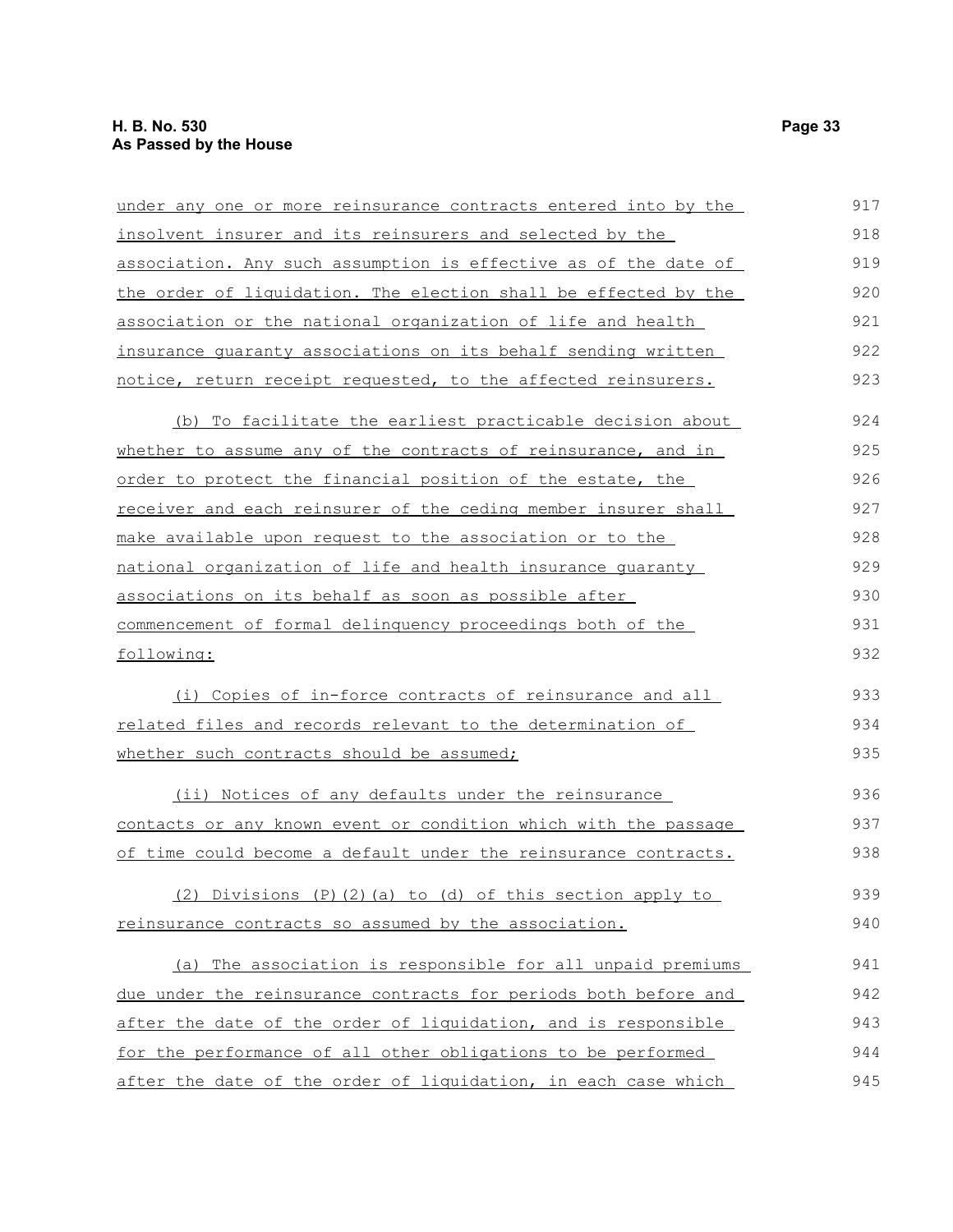| under any one or more reinsurance contracts entered into by the   | 917 |
|-------------------------------------------------------------------|-----|
| insolvent insurer and its reinsurers and selected by the          | 918 |
| association. Any such assumption is effective as of the date of   | 919 |
| the order of liquidation. The election shall be effected by the   | 920 |
| association or the national organization of life and health       | 921 |
| insurance quaranty associations on its behalf sending written     | 922 |
| notice, return receipt requested, to the affected reinsurers.     | 923 |
| (b) To facilitate the earliest practicable decision about         | 924 |
| whether to assume any of the contracts of reinsurance, and in     | 925 |
| order to protect the financial position of the estate, the        | 926 |
| receiver and each reinsurer of the ceding member insurer shall    | 927 |
| make available upon request to the association or to the          | 928 |
| national organization of life and health insurance quaranty       | 929 |
| associations on its behalf as soon as possible after              | 930 |
| commencement of formal delinguency proceedings both of the        | 931 |
| following:                                                        | 932 |
| (i) Copies of in-force contracts of reinsurance and all           | 933 |
| <u>related files and records relevant to the determination of</u> | 934 |
| whether such contracts should be assumed;                         | 935 |
| (ii) Notices of any defaults under the reinsurance                | 936 |
| contacts or any known event or condition which with the passage   | 937 |
| of time could become a default under the reinsurance contracts.   | 938 |
| (2) Divisions (P)(2)(a) to (d) of this section apply to           | 939 |
| reinsurance contracts so assumed by the association.              | 940 |
| (a) The association is responsible for all unpaid premiums        | 941 |
| due under the reinsurance contracts for periods both before and   | 942 |
| after the date of the order of liquidation, and is responsible    | 943 |
| for the performance of all other obligations to be performed      | 944 |
| after the date of the order of liquidation, in each case which    | 945 |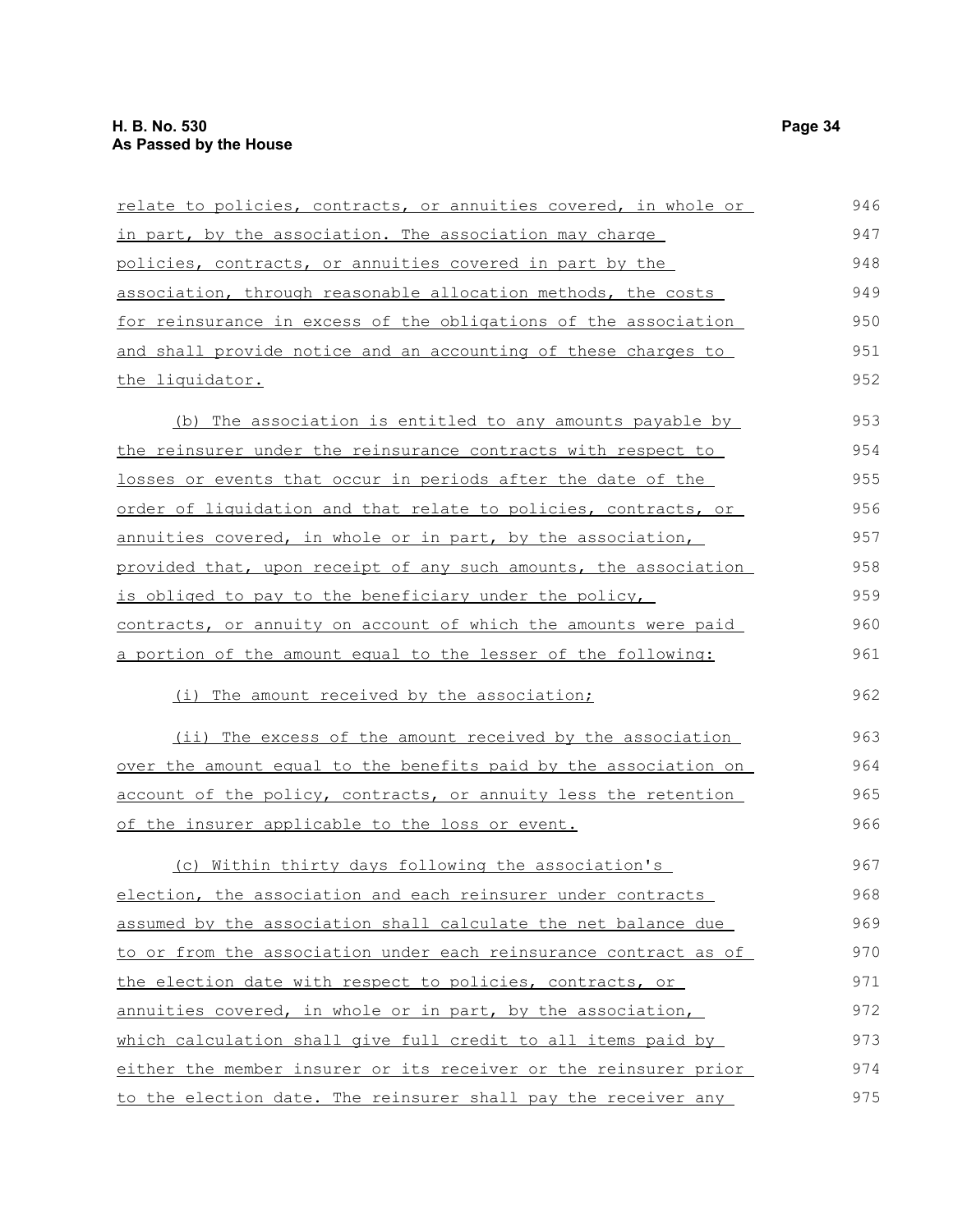| relate to policies, contracts, or annuities covered, in whole or | 946 |
|------------------------------------------------------------------|-----|
| in part, by the association. The association may charge          | 947 |
| policies, contracts, or annuities covered in part by the         | 948 |
| association, through reasonable allocation methods, the costs    | 949 |
| for reinsurance in excess of the obligations of the association  | 950 |
| and shall provide notice and an accounting of these charges to   | 951 |
| the liquidator.                                                  | 952 |
| (b) The association is entitled to any amounts payable by        | 953 |
| the reinsurer under the reinsurance contracts with respect to    | 954 |
| losses or events that occur in periods after the date of the     | 955 |
| order of liquidation and that relate to policies, contracts, or  | 956 |
| annuities covered, in whole or in part, by the association,      | 957 |
| provided that, upon receipt of any such amounts, the association | 958 |
| is obliged to pay to the beneficiary under the policy,           | 959 |
| contracts, or annuity on account of which the amounts were paid  | 960 |
| a portion of the amount equal to the lesser of the following:    | 961 |
| (i) The amount received by the association;                      | 962 |
| (ii) The excess of the amount received by the association        | 963 |
| over the amount equal to the benefits paid by the association on | 964 |
| account of the policy, contracts, or annuity less the retention  | 965 |
| of the insurer applicable to the loss or event.                  | 966 |
| (c) Within thirty days following the association's               | 967 |
| election, the association and each reinsurer under contracts     | 968 |
| assumed by the association shall calculate the net balance due   | 969 |
| to or from the association under each reinsurance contract as of | 970 |
| the election date with respect to policies, contracts, or        | 971 |
| annuities covered, in whole or in part, by the association,      | 972 |
| which calculation shall give full credit to all items paid by    | 973 |
| either the member insurer or its receiver or the reinsurer prior | 974 |
| to the election date. The reinsurer shall pay the receiver any   | 975 |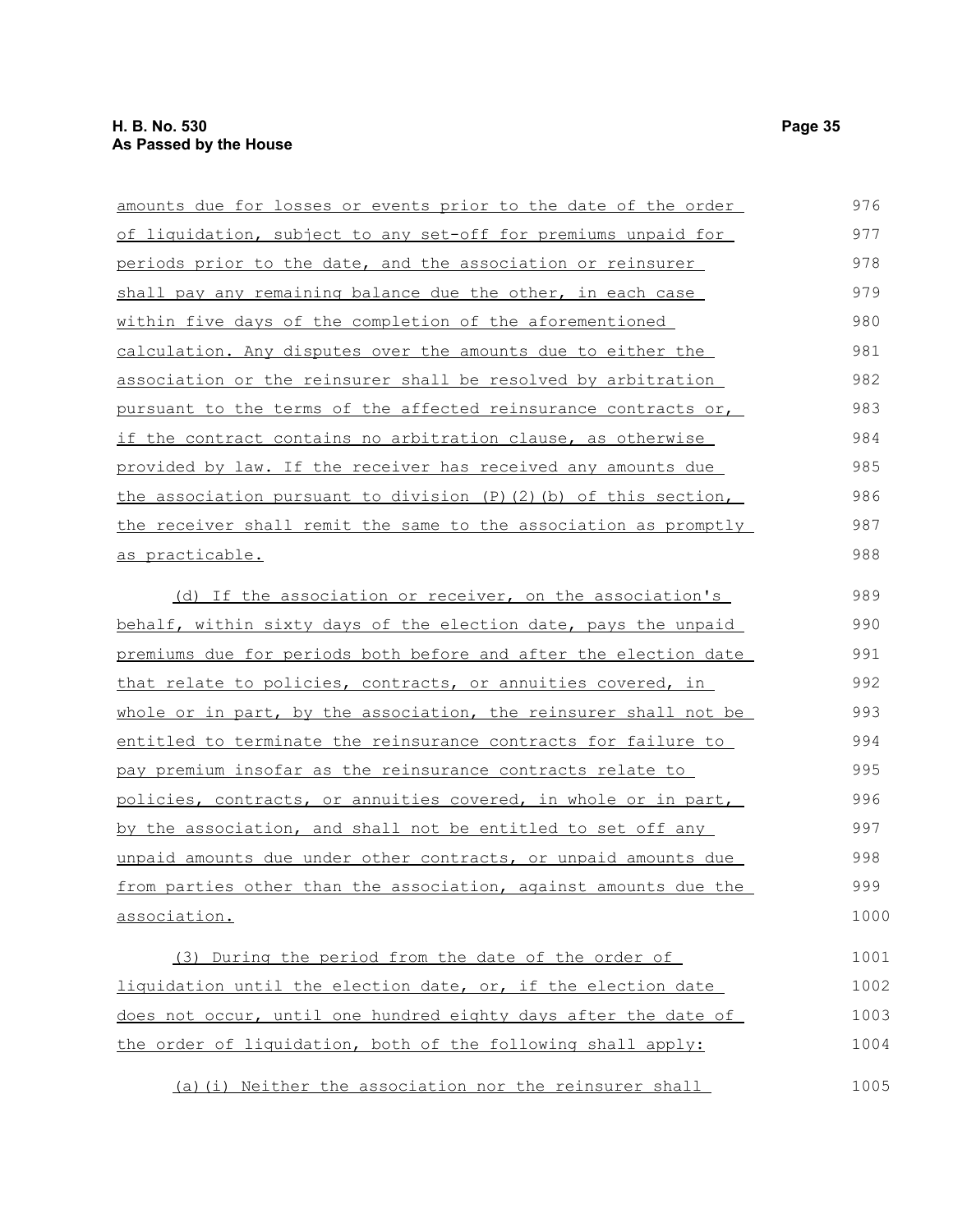| <u>amounts due for losses or events prior to the date of the order</u>  | 976  |
|-------------------------------------------------------------------------|------|
| of liquidation, subject to any set-off for premiums unpaid for          | 977  |
| periods prior to the date, and the association or reinsurer             | 978  |
| shall pay any remaining balance due the other, in each case             | 979  |
| within five days of the completion of the aforementioned                | 980  |
| calculation. Any disputes over the amounts due to either the            | 981  |
| association or the reinsurer shall be resolved by arbitration           | 982  |
| pursuant to the terms of the affected reinsurance contracts or,         | 983  |
| if the contract contains no arbitration clause, as otherwise            | 984  |
| provided by law. If the receiver has received any amounts due           | 985  |
| the association pursuant to division $(P)$ $(2)$ $(b)$ of this section, | 986  |
| the receiver shall remit the same to the association as promptly        | 987  |
| as practicable.                                                         | 988  |
| (d) If the association or receiver, on the association's                | 989  |
| behalf, within sixty days of the election date, pays the unpaid         | 990  |
| premiums due for periods both before and after the election date        | 991  |
| that relate to policies, contracts, or annuities covered, in            | 992  |
| whole or in part, by the association, the reinsurer shall not be        | 993  |
| entitled to terminate the reinsurance contracts for failure to          | 994  |
| pay premium insofar as the reinsurance contracts relate to              | 995  |
| policies, contracts, or annuities covered, in whole or in part,         | 996  |
| by the association, and shall not be entitled to set off any            | 997  |
| unpaid amounts due under other contracts, or unpaid amounts due         | 998  |
| from parties other than the association, against amounts due the        | 999  |
| association.                                                            | 1000 |
| (3) During the period from the date of the order of                     | 1001 |
| liquidation until the election date, or, if the election date           | 1002 |
| does not occur, until one hundred eighty days after the date of         | 1003 |
| the order of liquidation, both of the following shall apply:            | 1004 |

(a)(i) Neither the association nor the reinsurer shall 1005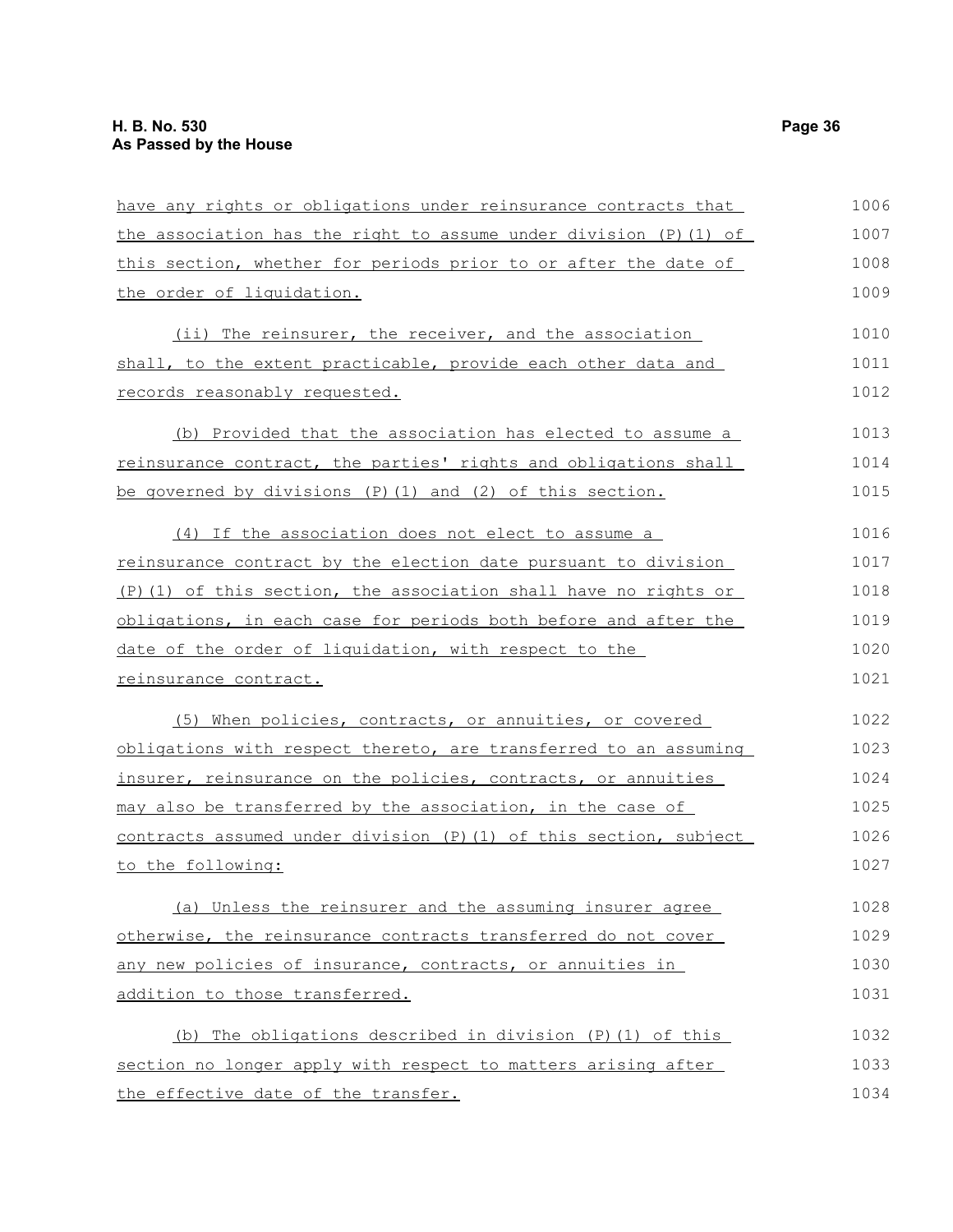| have any rights or obligations under reinsurance contracts that    | 1006 |
|--------------------------------------------------------------------|------|
| the association has the right to assume under division (P) (1) of  | 1007 |
| this section, whether for periods prior to or after the date of    | 1008 |
| the order of liquidation.                                          | 1009 |
| (ii) The reinsurer, the receiver, and the association              | 1010 |
| shall, to the extent practicable, provide each other data and      | 1011 |
| records reasonably requested.                                      | 1012 |
| (b) Provided that the association has elected to assume a          | 1013 |
| reinsurance contract, the parties' rights and obligations shall    | 1014 |
| be governed by divisions $(P)$ (1) and (2) of this section.        | 1015 |
| (4) If the association does not elect to assume a                  | 1016 |
| reinsurance contract by the election date pursuant to division     | 1017 |
| $(P)$ (1) of this section, the association shall have no rights or | 1018 |
| obligations, in each case for periods both before and after the    | 1019 |
| date of the order of liquidation, with respect to the              | 1020 |
| <u>reinsurance contract.</u>                                       | 1021 |
| (5) When policies, contracts, or annuities, or covered             | 1022 |
| obligations with respect thereto, are transferred to an assuming   | 1023 |
| insurer, reinsurance on the policies, contracts, or annuities      | 1024 |
| may also be transferred by the association, in the case of         | 1025 |
| contracts assumed under division (P) (1) of this section, subject  | 1026 |
| to the following:                                                  | 1027 |
| (a) Unless the reinsurer and the assuming insurer agree            | 1028 |
| otherwise, the reinsurance contracts transferred do not cover      | 1029 |
| any new policies of insurance, contracts, or annuities in          | 1030 |
| addition to those transferred.                                     | 1031 |
| (b) The obligations described in division (P) (1) of this          | 1032 |
| section no longer apply with respect to matters arising after      | 1033 |
| the effective date of the transfer.                                | 1034 |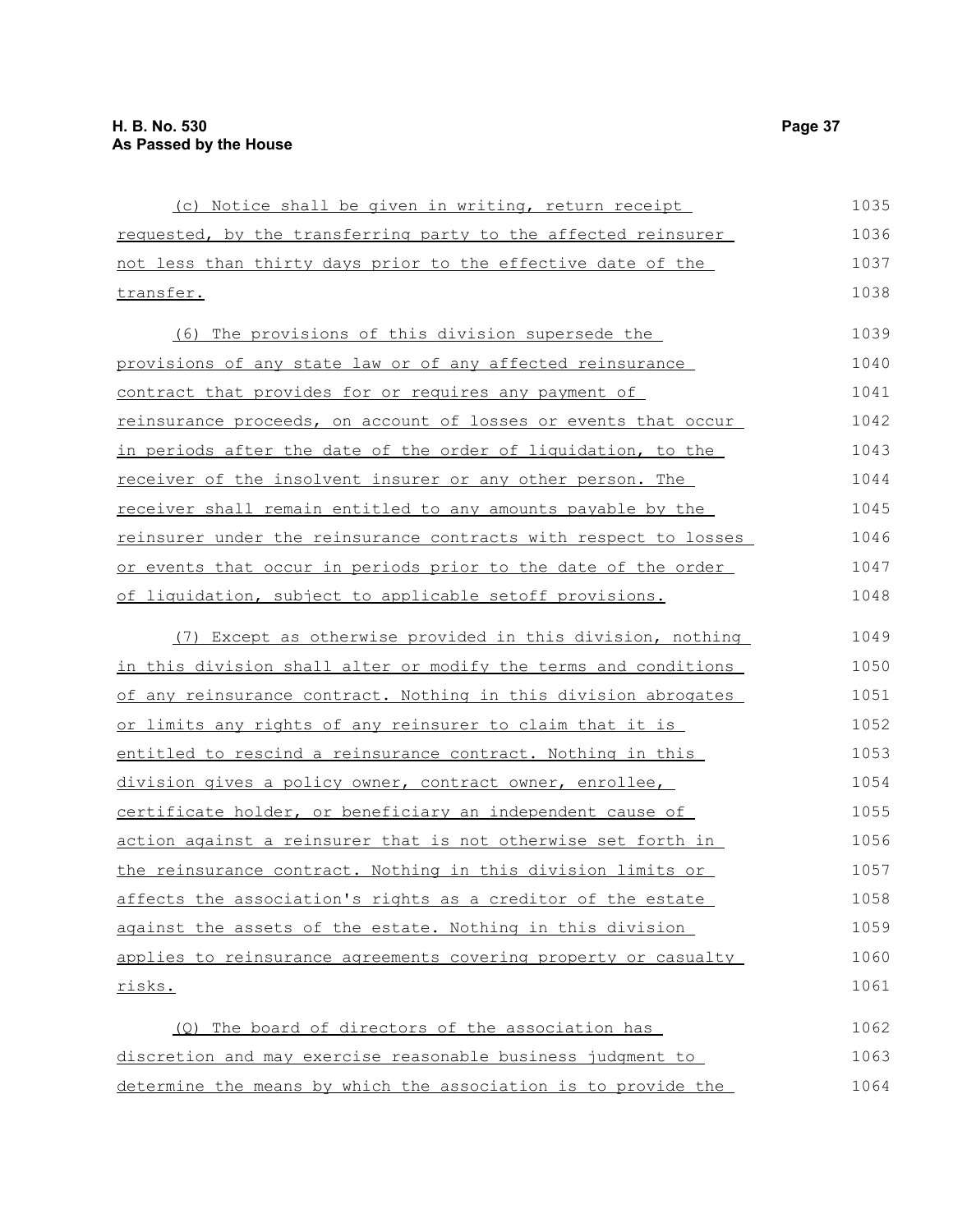| (c) Notice shall be given in writing, return receipt             | 1035 |
|------------------------------------------------------------------|------|
| requested, by the transferring party to the affected reinsurer   | 1036 |
| not less than thirty days prior to the effective date of the     | 1037 |
| transfer.                                                        | 1038 |
| (6) The provisions of this division supersede the                | 1039 |
| provisions of any state law or of any affected reinsurance       | 1040 |
| contract that provides for or requires any payment of            | 1041 |
| reinsurance proceeds, on account of losses or events that occur  | 1042 |
| in periods after the date of the order of liquidation, to the    | 1043 |
| receiver of the insolvent insurer or any other person. The       | 1044 |
| receiver shall remain entitled to any amounts payable by the     | 1045 |
| reinsurer under the reinsurance contracts with respect to losses | 1046 |
| or events that occur in periods prior to the date of the order   | 1047 |
| of liquidation, subject to applicable setoff provisions.         | 1048 |
| (7) Except as otherwise provided in this division, nothing       | 1049 |
| in this division shall alter or modify the terms and conditions  | 1050 |
| of any reinsurance contract. Nothing in this division abrogates  | 1051 |
| or limits any rights of any reinsurer to claim that it is        | 1052 |
| entitled to rescind a reinsurance contract. Nothing in this      | 1053 |
| division gives a policy owner, contract owner, enrollee,         | 1054 |
| certificate holder, or beneficiary an independent cause of       | 1055 |
| action against a reinsurer that is not otherwise set forth in    | 1056 |
| the reinsurance contract. Nothing in this division limits or     | 1057 |
| affects the association's rights as a creditor of the estate     | 1058 |
| against the assets of the estate. Nothing in this division       | 1059 |
| applies to reinsurance agreements covering property or casualty  | 1060 |
| risks.                                                           | 1061 |
| (Q) The board of directors of the association has                | 1062 |
| discretion and may exercise reasonable business judgment to      | 1063 |
| determine the means by which the association is to provide the   | 1064 |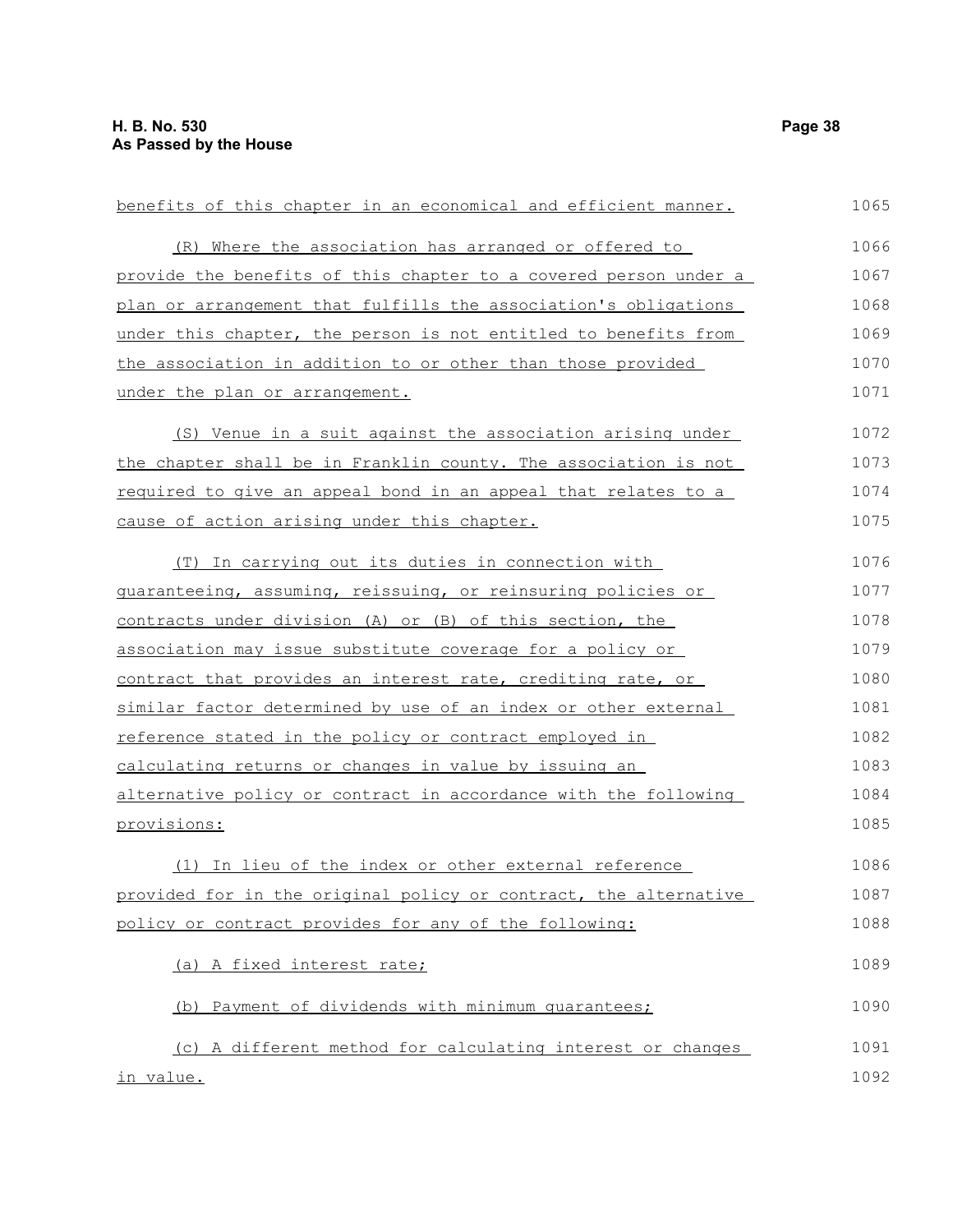| benefits of this chapter in an economical and efficient manner.  | 1065 |
|------------------------------------------------------------------|------|
| (R) Where the association has arranged or offered to             | 1066 |
| provide the benefits of this chapter to a covered person under a | 1067 |
| plan or arrangement that fulfills the association's obligations  | 1068 |
| under this chapter, the person is not entitled to benefits from  | 1069 |
| the association in addition to or other than those provided      | 1070 |
| under the plan or arrangement.                                   | 1071 |
| (S) Venue in a suit against the association arising under        | 1072 |
| the chapter shall be in Franklin county. The association is not  | 1073 |
| required to give an appeal bond in an appeal that relates to a   | 1074 |
| cause of action arising under this chapter.                      | 1075 |
| (T) In carrying out its duties in connection with                | 1076 |
| guaranteeing, assuming, reissuing, or reinsuring policies or     | 1077 |
| contracts under division (A) or (B) of this section, the         | 1078 |
| association may issue substitute coverage for a policy or        | 1079 |
| contract that provides an interest rate, crediting rate, or      | 1080 |
| similar factor determined by use of an index or other external   | 1081 |
| reference stated in the policy or contract employed in           | 1082 |
| calculating returns or changes in value by issuing an            | 1083 |
| alternative policy or contract in accordance with the following  | 1084 |
| provisions:                                                      | 1085 |
| (1) In lieu of the index or other external reference             | 1086 |
| provided for in the original policy or contract, the alternative | 1087 |
| policy or contract provides for any of the following:            | 1088 |
| (a) A fixed interest rate;                                       | 1089 |
| (b) Payment of dividends with minimum quarantees;                | 1090 |
| (c) A different method for calculating interest or changes       | 1091 |
| in value.                                                        | 1092 |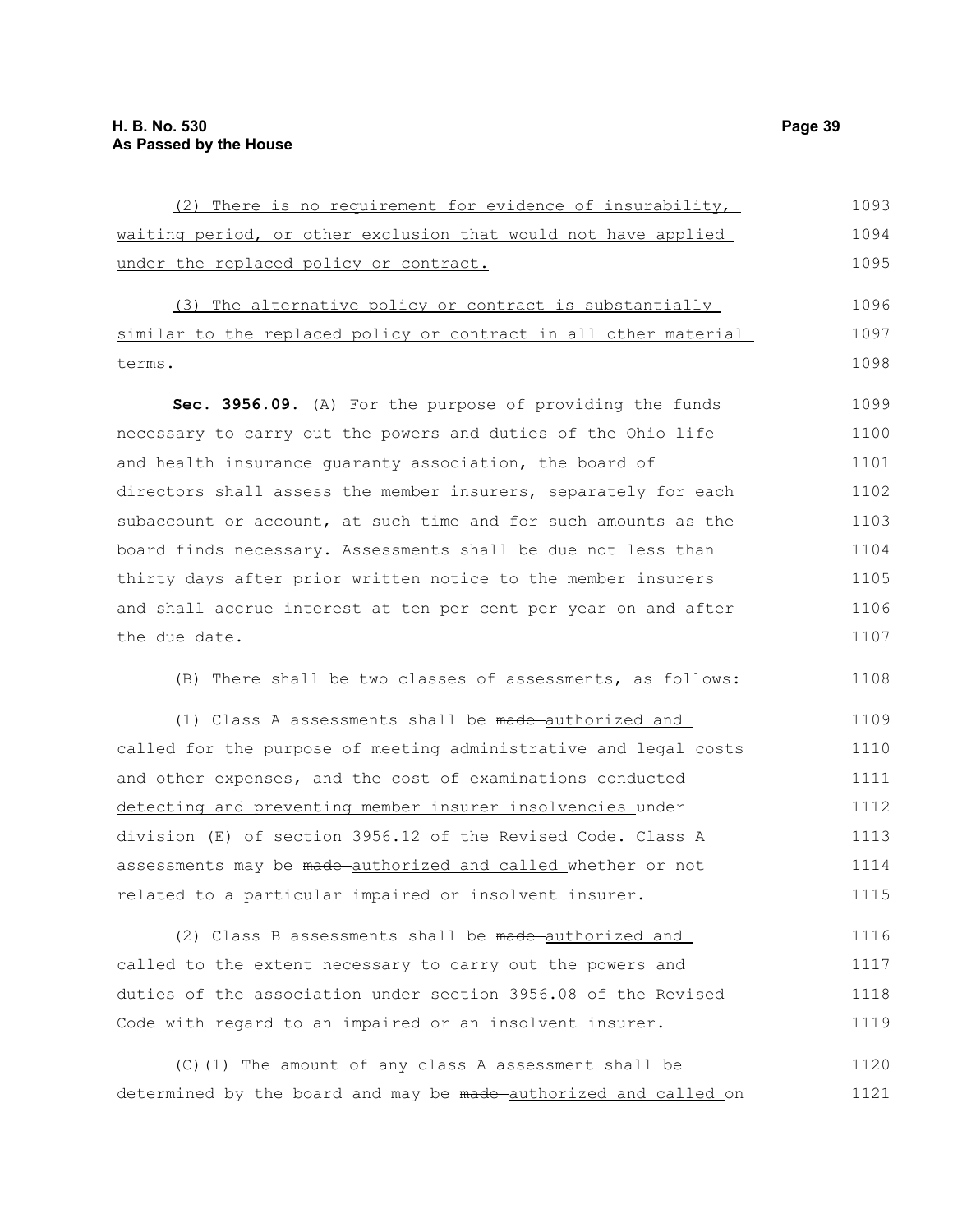| (2) There is no requirement for evidence of insurability,        | 1093 |
|------------------------------------------------------------------|------|
| waiting period, or other exclusion that would not have applied   | 1094 |
| under the replaced policy or contract.                           | 1095 |
| (3) The alternative policy or contract is substantially          | 1096 |
| similar to the replaced policy or contract in all other material | 1097 |
| <u>terms.</u>                                                    | 1098 |
| Sec. 3956.09. (A) For the purpose of providing the funds         | 1099 |
| necessary to carry out the powers and duties of the Ohio life    | 1100 |
| and health insurance quaranty association, the board of          | 1101 |
| directors shall assess the member insurers, separately for each  | 1102 |
| subaccount or account, at such time and for such amounts as the  | 1103 |
| board finds necessary. Assessments shall be due not less than    | 1104 |
| thirty days after prior written notice to the member insurers    | 1105 |
| and shall accrue interest at ten per cent per year on and after  | 1106 |
| the due date.                                                    | 1107 |
| (B) There shall be two classes of assessments, as follows:       | 1108 |
| (1) Class A assessments shall be made-authorized and             | 1109 |
| called for the purpose of meeting administrative and legal costs | 1110 |
| and other expenses, and the cost of examinations conducted-      | 1111 |
| detecting and preventing member insurer insolvencies under       | 1112 |
| division (E) of section 3956.12 of the Revised Code. Class A     | 1113 |
| assessments may be made-authorized and called whether or not     | 1114 |
| related to a particular impaired or insolvent insurer.           | 1115 |
| (2) Class B assessments shall be made-authorized and             | 1116 |
| called to the extent necessary to carry out the powers and       | 1117 |
| duties of the association under section 3956.08 of the Revised   | 1118 |
| Code with regard to an impaired or an insolvent insurer.         | 1119 |
|                                                                  |      |

(C)(1) The amount of any class A assessment shall be determined by the board and may be made authorized and called on 1120 1121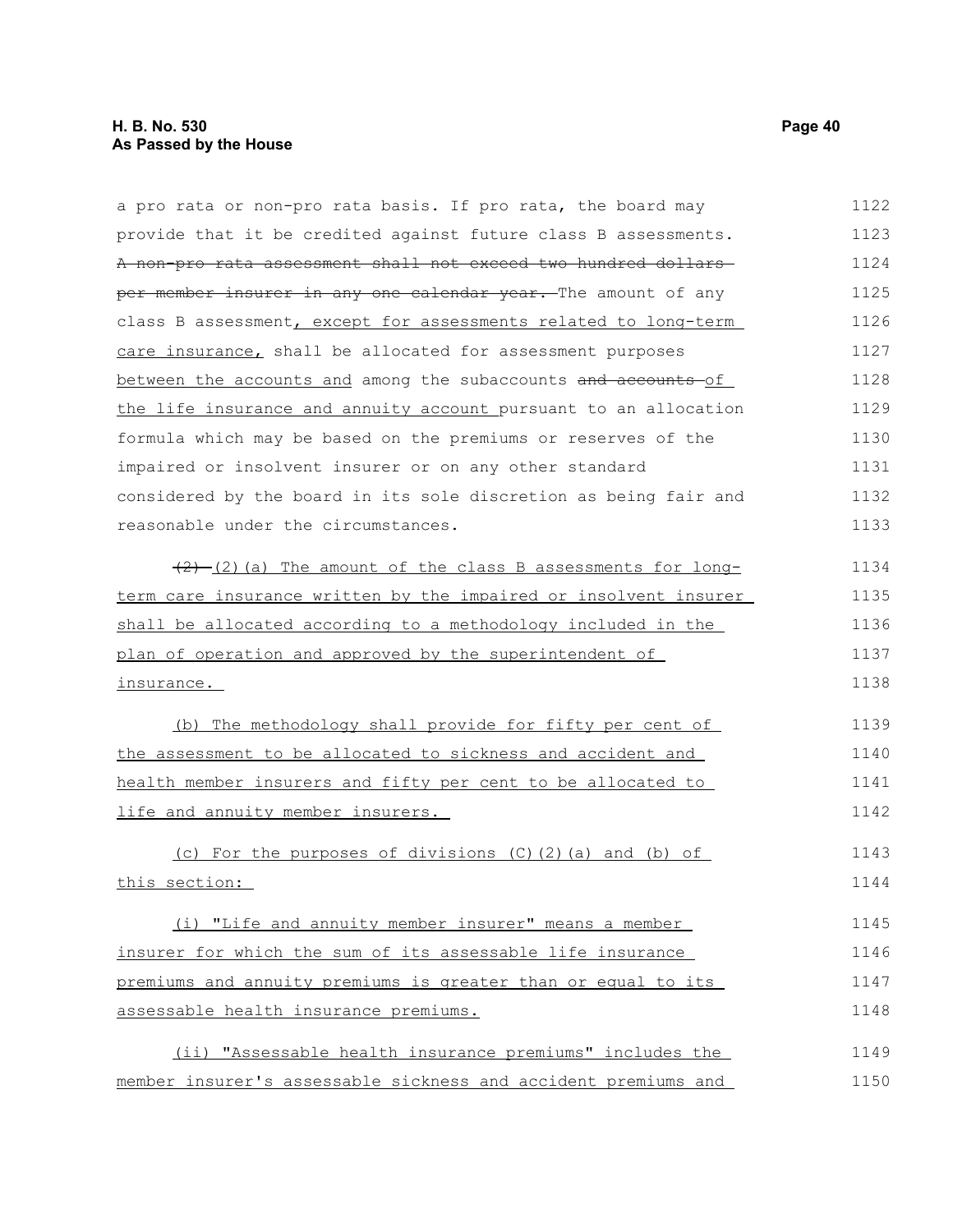### **H. B. No. 530 Page 40 As Passed by the House**

| a pro rata or non-pro rata basis. If pro rata, the board may     | 1122 |
|------------------------------------------------------------------|------|
| provide that it be credited against future class B assessments.  | 1123 |
| A non-pro rata assessment shall not exceed two hundred dollars-  | 1124 |
| per member insurer in any one calendar year. The amount of any   | 1125 |
| class B assessment, except for assessments related to long-term  | 1126 |
| care insurance, shall be allocated for assessment purposes       | 1127 |
| between the accounts and among the subaccounts and accounts-of   | 1128 |
| the life insurance and annuity account pursuant to an allocation | 1129 |
| formula which may be based on the premiums or reserves of the    | 1130 |
| impaired or insolvent insurer or on any other standard           | 1131 |
| considered by the board in its sole discretion as being fair and | 1132 |
| reasonable under the circumstances.                              | 1133 |
| $(2)$ (2) (a) The amount of the class B assessments for long-    | 1134 |
| term care insurance written by the impaired or insolvent insurer | 1135 |
| shall be allocated according to a methodology included in the    | 1136 |
| plan of operation and approved by the superintendent of          | 1137 |
| insurance.                                                       | 1138 |
| (b) The methodology shall provide for fifty per cent of          | 1139 |
| the assessment to be allocated to sickness and accident and      | 1140 |
| health member insurers and fifty per cent to be allocated to     | 1141 |
| life and annuity member insurers.                                | 1142 |
| (c) For the purposes of divisions (C)(2)(a) and (b) of           | 1143 |
| this section:                                                    | 1144 |
| (i) "Life and annuity member insurer" means a member             | 1145 |
| insurer for which the sum of its assessable life insurance       | 1146 |
| premiums and annuity premiums is greater than or equal to its    | 1147 |
| assessable health insurance premiums.                            | 1148 |
| (ii) "Assessable health insurance premiums" includes the         | 1149 |
| member insurer's assessable sickness and accident premiums and   | 1150 |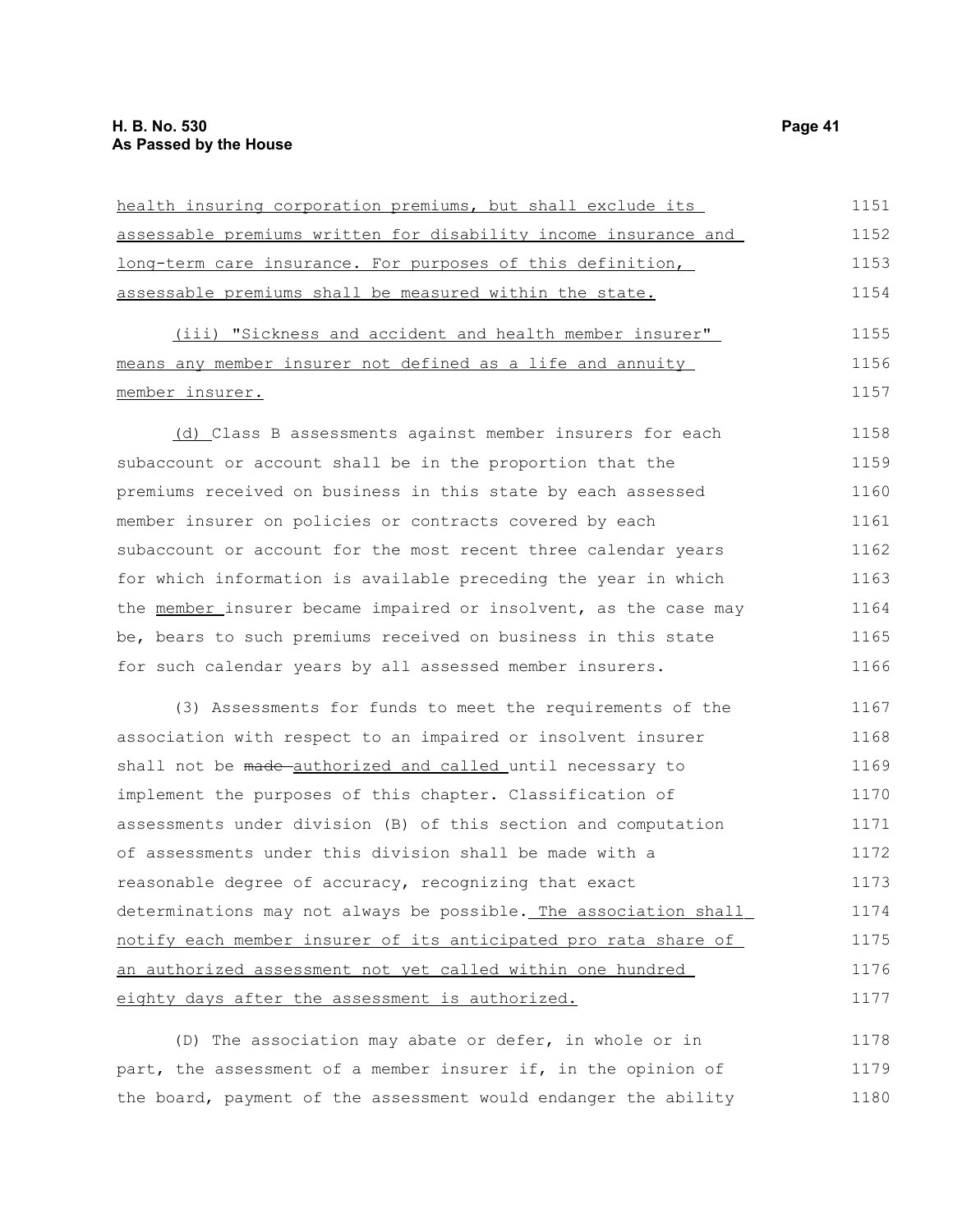| health insuring corporation premiums, but shall exclude its       | 1151 |
|-------------------------------------------------------------------|------|
| assessable premiums written for disability income insurance and   | 1152 |
| <u>long-term care insurance. For purposes of this definition,</u> | 1153 |
| assessable premiums shall be measured within the state.           | 1154 |
| (iii) "Sickness and accident and health member insurer"           | 1155 |
| means any member insurer not defined as a life and annuity        | 1156 |
| <u>member insurer.</u>                                            | 1157 |
| (d) Class B assessments against member insurers for each          | 1158 |
| subaccount or account shall be in the proportion that the         | 1159 |
| premiums received on business in this state by each assessed      | 1160 |
| member insurer on policies or contracts covered by each           | 1161 |
| subaccount or account for the most recent three calendar years    | 1162 |
| for which information is available preceding the year in which    | 1163 |
| the member insurer became impaired or insolvent, as the case may  | 1164 |
| be, bears to such premiums received on business in this state     | 1165 |
| for such calendar years by all assessed member insurers.          | 1166 |
| (3) Assessments for funds to meet the requirements of the         | 1167 |
| association with respect to an impaired or insolvent insurer      | 1168 |
| shall not be made authorized and called until necessary to        | 1169 |
| implement the purposes of this chapter. Classification of         | 1170 |
| assessments under division (B) of this section and computation    | 1171 |
| of assessments under this division shall be made with a           | 1172 |
| reasonable degree of accuracy, recognizing that exact             | 1173 |
| determinations may not always be possible. The association shall  | 1174 |
| notify each member insurer of its anticipated pro rata share of   | 1175 |
| an authorized assessment not yet called within one hundred        | 1176 |
| eighty days after the assessment is authorized.                   | 1177 |
|                                                                   |      |

(D) The association may abate or defer, in whole or in part, the assessment of a member insurer if, in the opinion of the board, payment of the assessment would endanger the ability 1178 1179 1180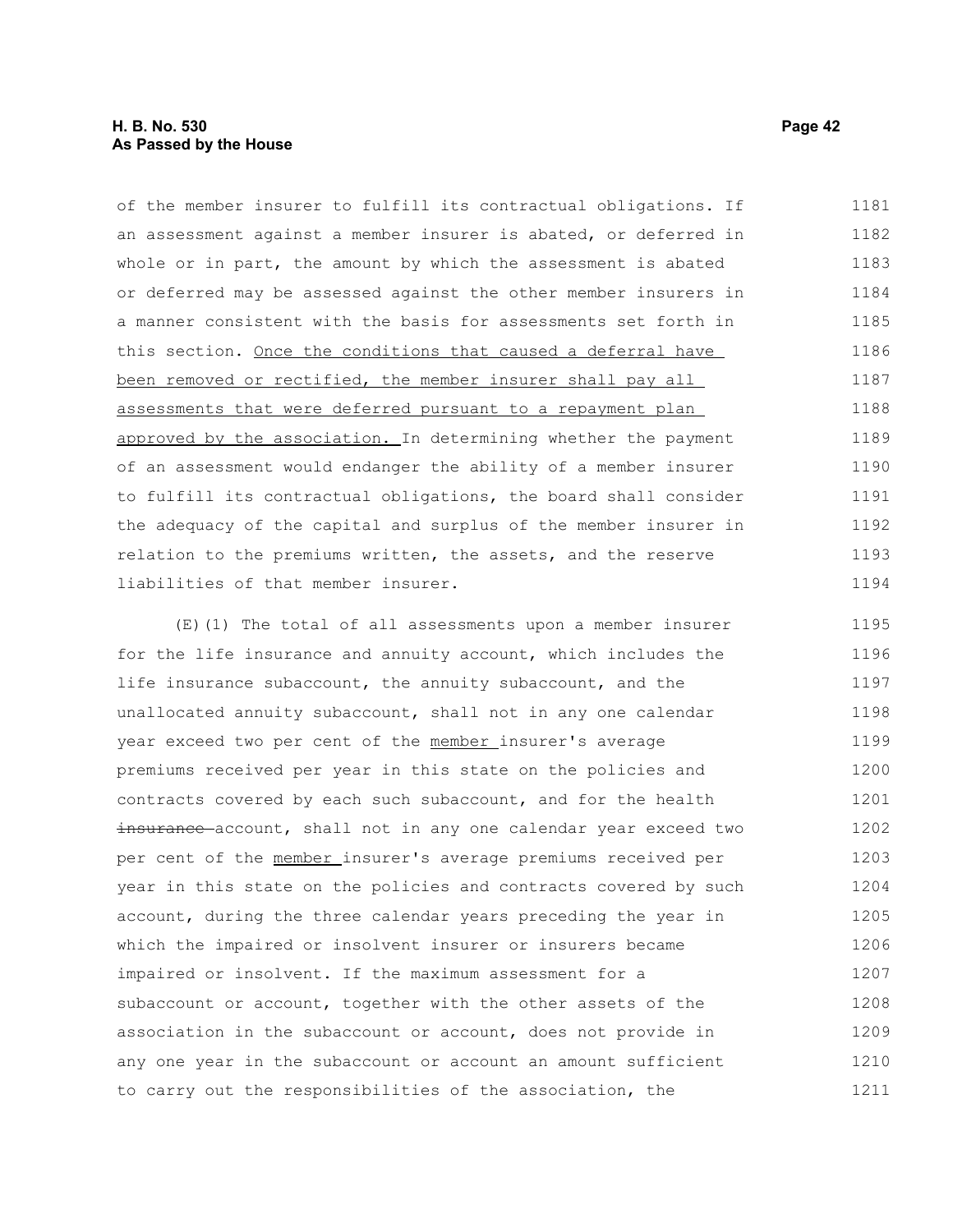of the member insurer to fulfill its contractual obligations. If an assessment against a member insurer is abated, or deferred in whole or in part, the amount by which the assessment is abated or deferred may be assessed against the other member insurers in a manner consistent with the basis for assessments set forth in this section. Once the conditions that caused a deferral have been removed or rectified, the member insurer shall pay all assessments that were deferred pursuant to a repayment plan approved by the association. In determining whether the payment of an assessment would endanger the ability of a member insurer to fulfill its contractual obligations, the board shall consider the adequacy of the capital and surplus of the member insurer in relation to the premiums written, the assets, and the reserve liabilities of that member insurer. 1181 1182 1183 1184 1185 1186 1187 1188 1189 1190 1191 1192 1193 1194

(E)(1) The total of all assessments upon a member insurer for the life insurance and annuity account, which includes the life insurance subaccount, the annuity subaccount, and the unallocated annuity subaccount, shall not in any one calendar year exceed two per cent of the member insurer's average premiums received per year in this state on the policies and contracts covered by each such subaccount, and for the health insurance account, shall not in any one calendar year exceed two per cent of the member insurer's average premiums received per year in this state on the policies and contracts covered by such account, during the three calendar years preceding the year in which the impaired or insolvent insurer or insurers became impaired or insolvent. If the maximum assessment for a subaccount or account, together with the other assets of the association in the subaccount or account, does not provide in any one year in the subaccount or account an amount sufficient to carry out the responsibilities of the association, the 1195 1196 1197 1198 1199 1200 1201 1202 1203 1204 1205 1206 1207 1208 1209 1210 1211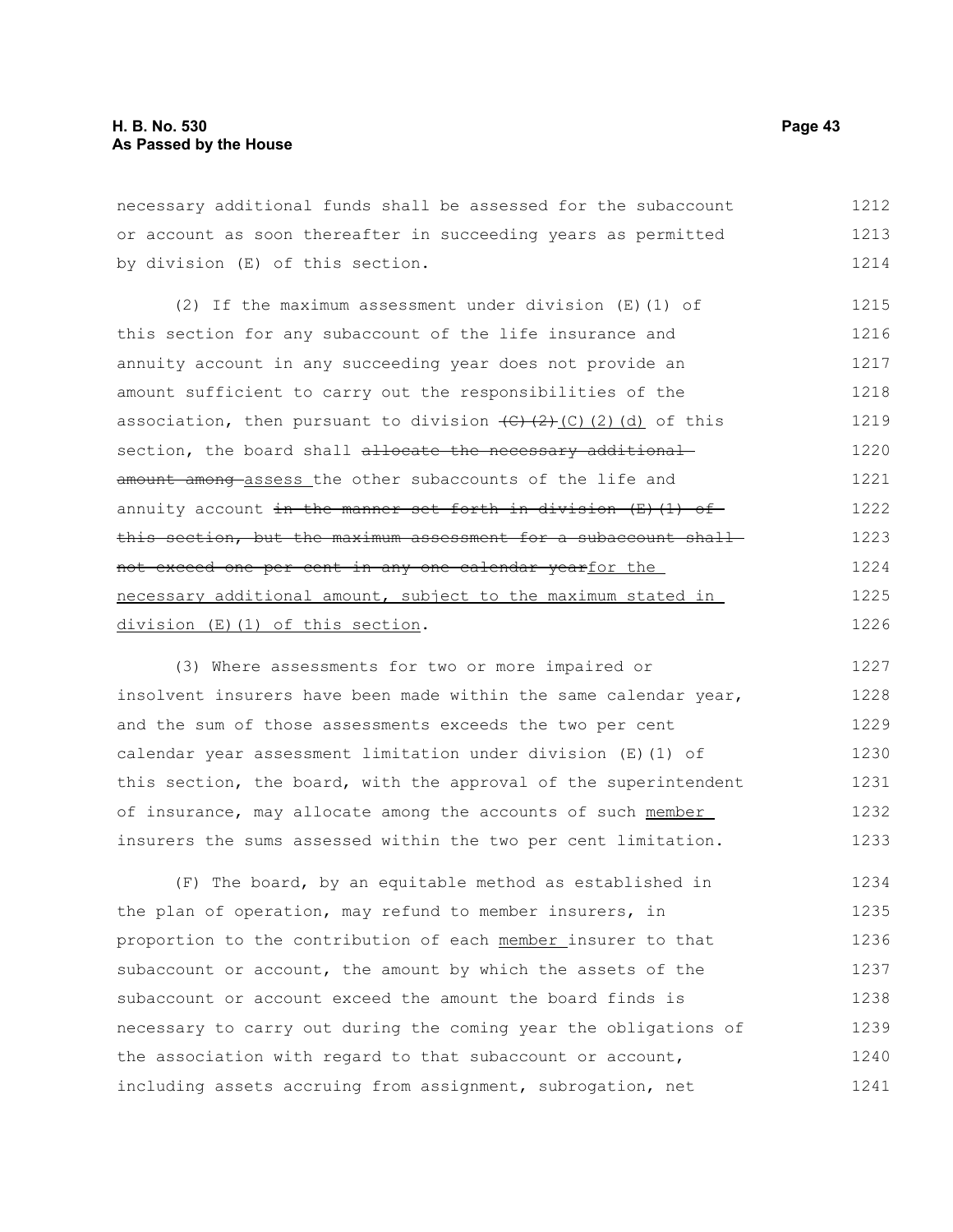necessary additional funds shall be assessed for the subaccount or account as soon thereafter in succeeding years as permitted by division (E) of this section. 1212 1213 1214

(2) If the maximum assessment under division (E)(1) of this section for any subaccount of the life insurance and annuity account in any succeeding year does not provide an amount sufficient to carry out the responsibilities of the association, then pursuant to division  $(C)$   $(2)$   $(C)$   $(d)$  of this section, the board shall allocate the necessary additionalamount among assess the other subaccounts of the life and annuity account in the manner set forth in division  $(E)$  (1) of this section, but the maximum assessment for a subaccount shallnot exceed one per cent in any one calendar yearfor the necessary additional amount, subject to the maximum stated in division (E)(1) of this section. 1215 1216 1217 1218 1219 1220 1221 1222 1223 1224 1225 1226

(3) Where assessments for two or more impaired or insolvent insurers have been made within the same calendar year, and the sum of those assessments exceeds the two per cent calendar year assessment limitation under division (E)(1) of this section, the board, with the approval of the superintendent of insurance, may allocate among the accounts of such member insurers the sums assessed within the two per cent limitation. 1227 1228 1229 1230 1231 1232 1233

(F) The board, by an equitable method as established in the plan of operation, may refund to member insurers, in proportion to the contribution of each member insurer to that subaccount or account, the amount by which the assets of the subaccount or account exceed the amount the board finds is necessary to carry out during the coming year the obligations of the association with regard to that subaccount or account, including assets accruing from assignment, subrogation, net 1234 1235 1236 1237 1238 1239 1240 1241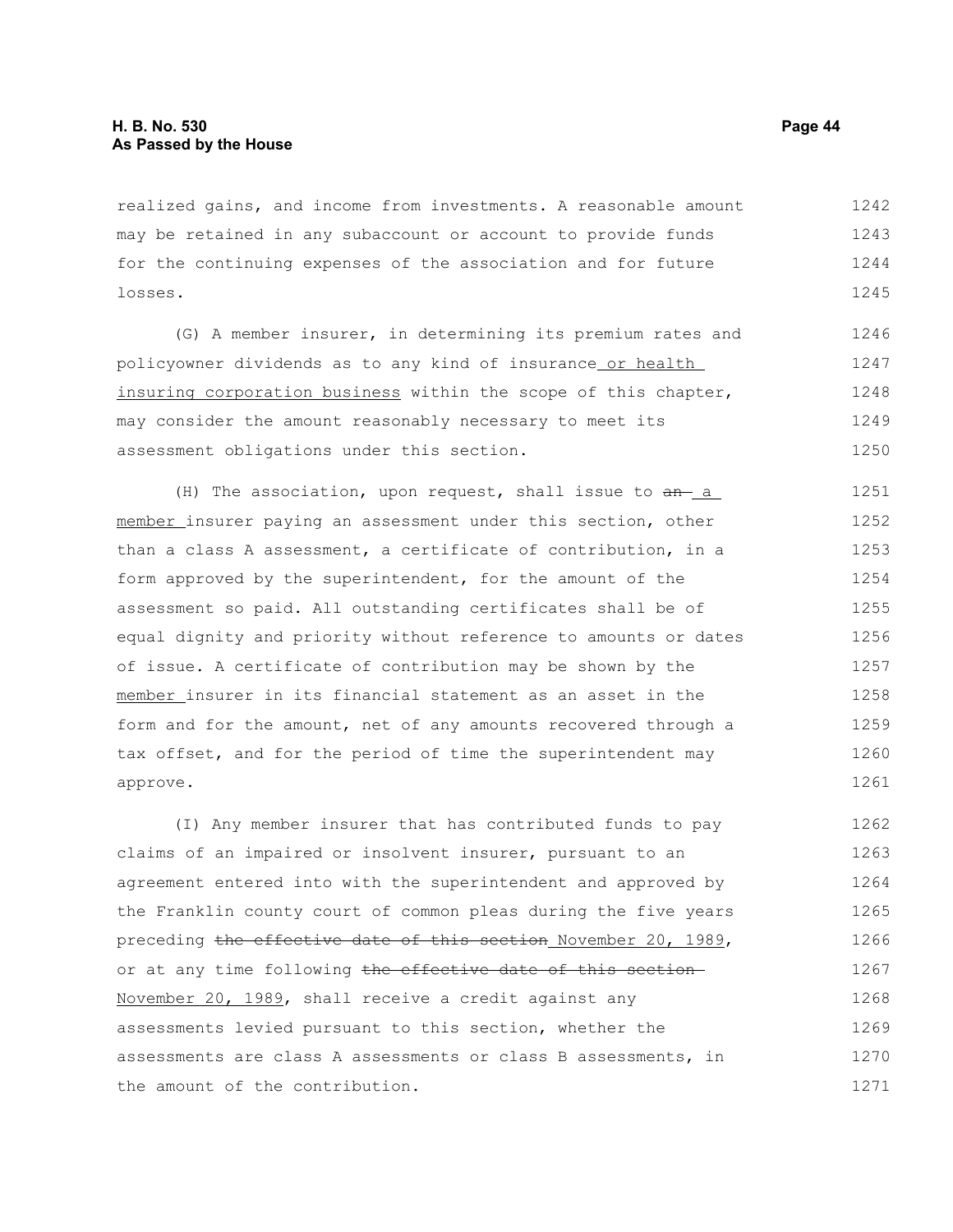realized gains, and income from investments. A reasonable amount may be retained in any subaccount or account to provide funds for the continuing expenses of the association and for future losses. 1242 1243 1244 1245

(G) A member insurer, in determining its premium rates and policyowner dividends as to any kind of insurance or health insuring corporation business within the scope of this chapter, may consider the amount reasonably necessary to meet its assessment obligations under this section. 1246 1247 1248 1249 1250

(H) The association, upon request, shall issue to  $a_n$  a member insurer paying an assessment under this section, other than a class A assessment, a certificate of contribution, in a form approved by the superintendent, for the amount of the assessment so paid. All outstanding certificates shall be of equal dignity and priority without reference to amounts or dates of issue. A certificate of contribution may be shown by the member insurer in its financial statement as an asset in the form and for the amount, net of any amounts recovered through a tax offset, and for the period of time the superintendent may approve. 1251 1252 1253 1254 1255 1256 1257 1258 1259 1260 1261

(I) Any member insurer that has contributed funds to pay claims of an impaired or insolvent insurer, pursuant to an agreement entered into with the superintendent and approved by the Franklin county court of common pleas during the five years preceding the effective date of this section November 20, 1989, or at any time following the effective date of this section November 20, 1989, shall receive a credit against any assessments levied pursuant to this section, whether the assessments are class A assessments or class B assessments, in the amount of the contribution. 1262 1263 1264 1265 1266 1267 1268 1269 1270 1271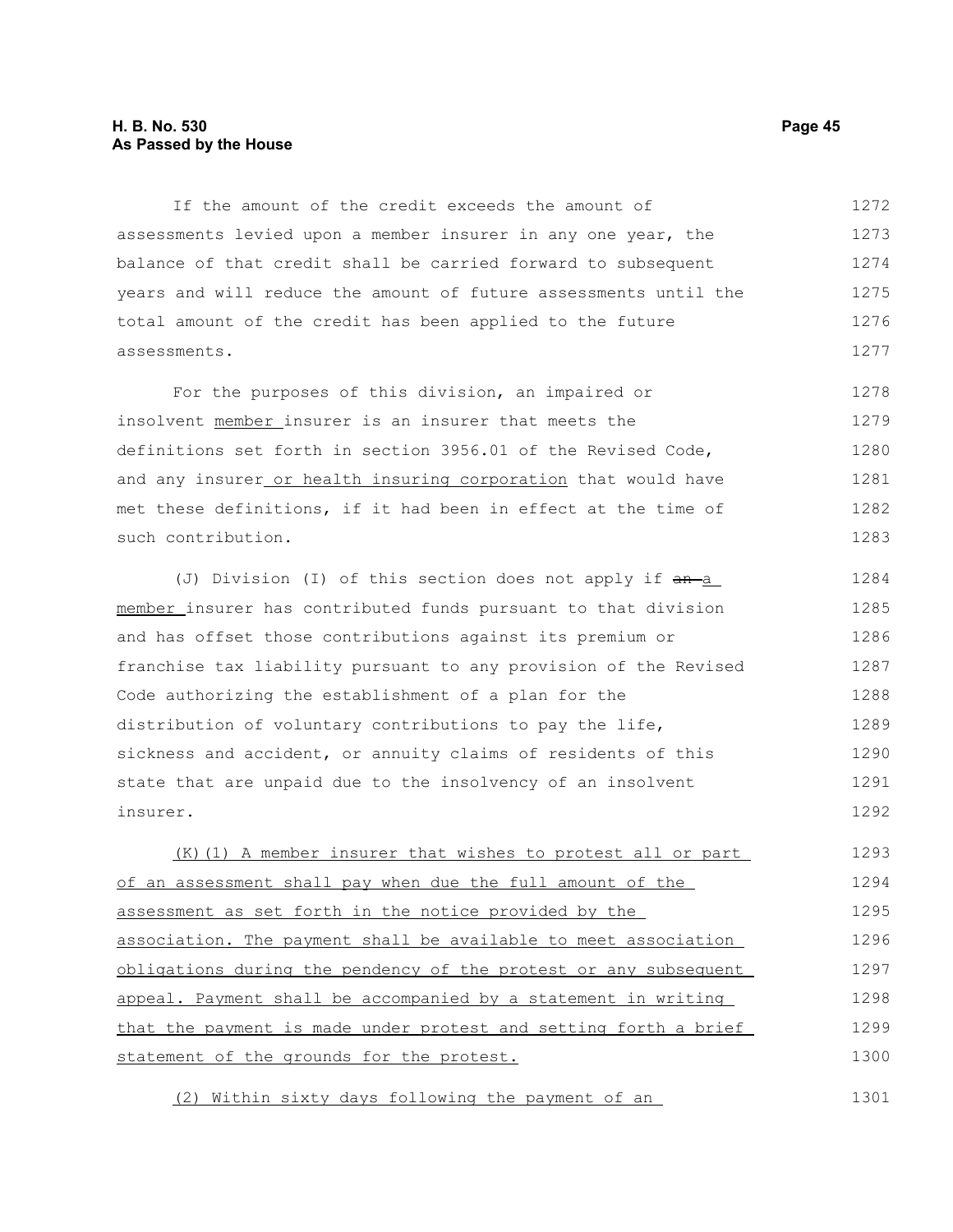#### **H. B. No. 530 Page 45 As Passed by the House**

If the amount of the credit exceeds the amount of assessments levied upon a member insurer in any one year, the balance of that credit shall be carried forward to subsequent years and will reduce the amount of future assessments until the total amount of the credit has been applied to the future assessments. 1272 1273 1274 1275 1276 1277

For the purposes of this division, an impaired or insolvent member insurer is an insurer that meets the definitions set forth in section 3956.01 of the Revised Code, and any insurer or health insuring corporation that would have met these definitions, if it had been in effect at the time of such contribution. 1278 1279 1280 1281 1282 1283

(J) Division (I) of this section does not apply if  $an-a$ member insurer has contributed funds pursuant to that division and has offset those contributions against its premium or franchise tax liability pursuant to any provision of the Revised Code authorizing the establishment of a plan for the distribution of voluntary contributions to pay the life, sickness and accident, or annuity claims of residents of this state that are unpaid due to the insolvency of an insolvent insurer. 1284 1285 1286 1287 1288 1289 1290 1291 1292

(K)(1) A member insurer that wishes to protest all or part of an assessment shall pay when due the full amount of the assessment as set forth in the notice provided by the association. The payment shall be available to meet association obligations during the pendency of the protest or any subsequent appeal. Payment shall be accompanied by a statement in writing that the payment is made under protest and setting forth a brief statement of the grounds for the protest. 1293 1294 1295 1296 1297 1298 1299 1300

(2) Within sixty days following the payment of an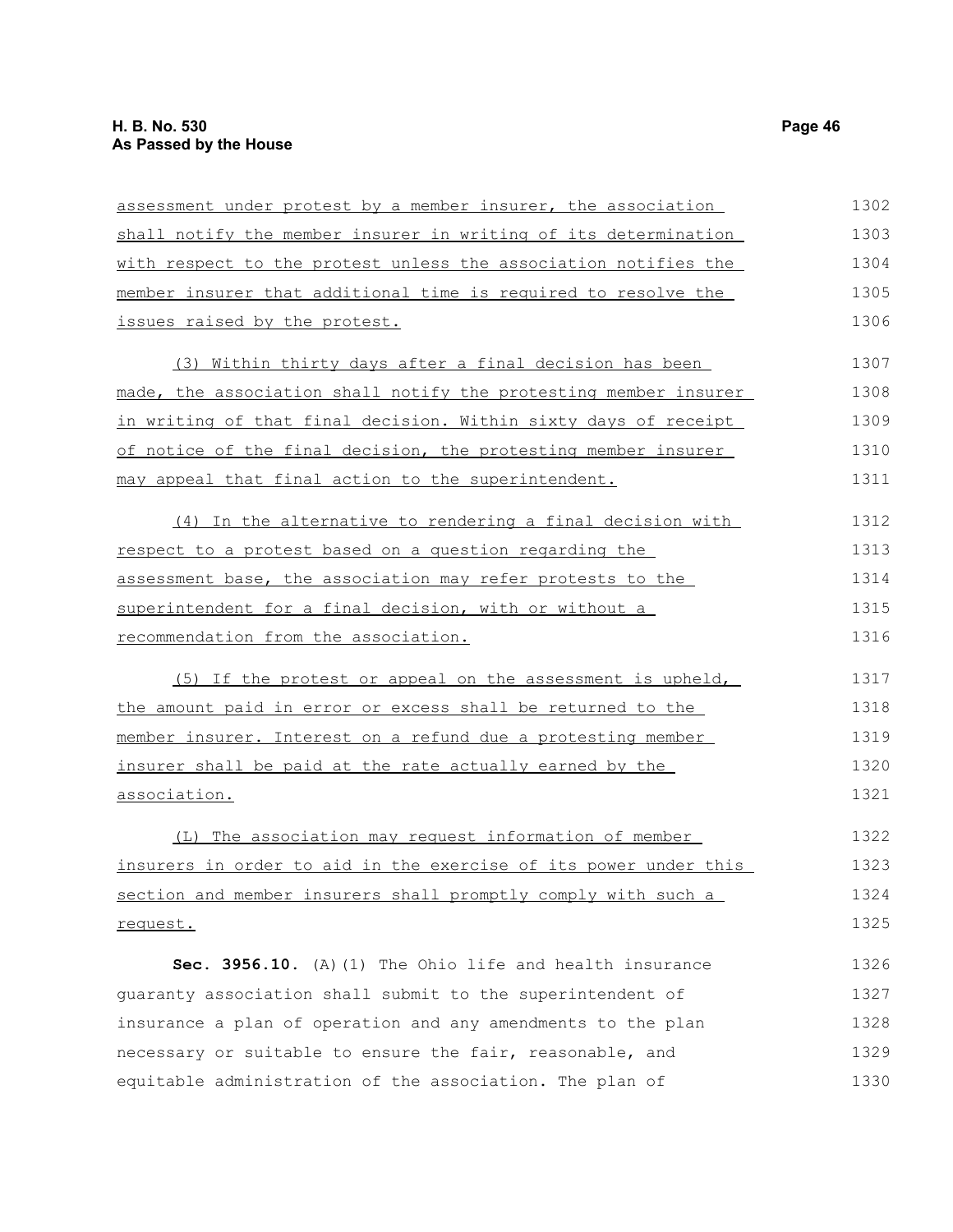| assessment under protest by a member insurer, the association    | 1302 |
|------------------------------------------------------------------|------|
| shall notify the member insurer in writing of its determination  | 1303 |
| with respect to the protest unless the association notifies the  | 1304 |
| member insurer that additional time is required to resolve the   | 1305 |
| issues raised by the protest.                                    | 1306 |
| (3) Within thirty days after a final decision has been           | 1307 |
| made, the association shall notify the protesting member insurer | 1308 |
| in writing of that final decision. Within sixty days of receipt  | 1309 |
| of notice of the final decision, the protesting member insurer   | 1310 |
| may appeal that final action to the superintendent.              | 1311 |
| (4) In the alternative to rendering a final decision with        | 1312 |
| respect to a protest based on a question regarding the           | 1313 |
| assessment base, the association may refer protests to the       | 1314 |
| superintendent for a final decision, with or without a           | 1315 |
| recommendation from the association.                             | 1316 |
| (5) If the protest or appeal on the assessment is upheld,        | 1317 |
| the amount paid in error or excess shall be returned to the      | 1318 |
| member insurer. Interest on a refund due a protesting member     | 1319 |
| insurer shall be paid at the rate actually earned by the         | 1320 |
| association.                                                     | 1321 |
| (L) The association may request information of member            | 1322 |
| insurers in order to aid in the exercise of its power under this | 1323 |
| section and member insurers shall promptly comply with such a    | 1324 |
| request.                                                         | 1325 |
| Sec. 3956.10. (A) (1) The Ohio life and health insurance         | 1326 |
| quaranty association shall submit to the superintendent of       | 1327 |
| insurance a plan of operation and any amendments to the plan     | 1328 |
| necessary or suitable to ensure the fair, reasonable, and        | 1329 |
| equitable administration of the association. The plan of         | 1330 |
|                                                                  |      |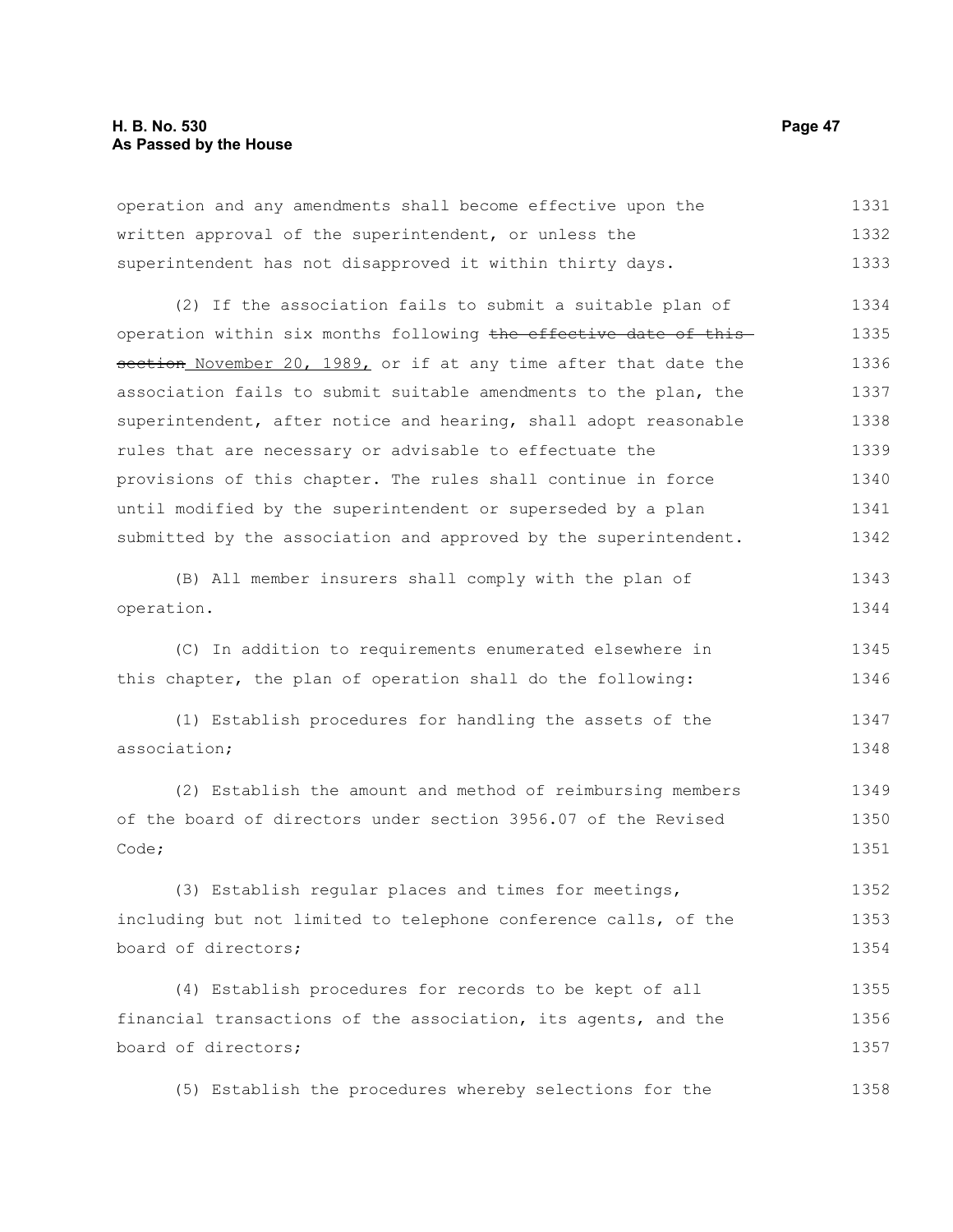#### **H. B. No. 530 Page 47 As Passed by the House**

operation and any amendments shall become effective upon the written approval of the superintendent, or unless the superintendent has not disapproved it within thirty days. 1331 1332 1333

(2) If the association fails to submit a suitable plan of operation within six months following the effective date of this section November 20, 1989, or if at any time after that date the association fails to submit suitable amendments to the plan, the superintendent, after notice and hearing, shall adopt reasonable rules that are necessary or advisable to effectuate the provisions of this chapter. The rules shall continue in force until modified by the superintendent or superseded by a plan submitted by the association and approved by the superintendent. 1334 1335 1336 1337 1338 1339 1340 1341 1342

(B) All member insurers shall comply with the plan of operation. 1343 1344

(C) In addition to requirements enumerated elsewhere in this chapter, the plan of operation shall do the following: 1345 1346

(1) Establish procedures for handling the assets of the association; 1347 1348

(2) Establish the amount and method of reimbursing members of the board of directors under section 3956.07 of the Revised Code; 1349 1350 1351

(3) Establish regular places and times for meetings, including but not limited to telephone conference calls, of the board of directors; 1352 1353 1354

(4) Establish procedures for records to be kept of all financial transactions of the association, its agents, and the board of directors; 1355 1356 1357

(5) Establish the procedures whereby selections for the 1358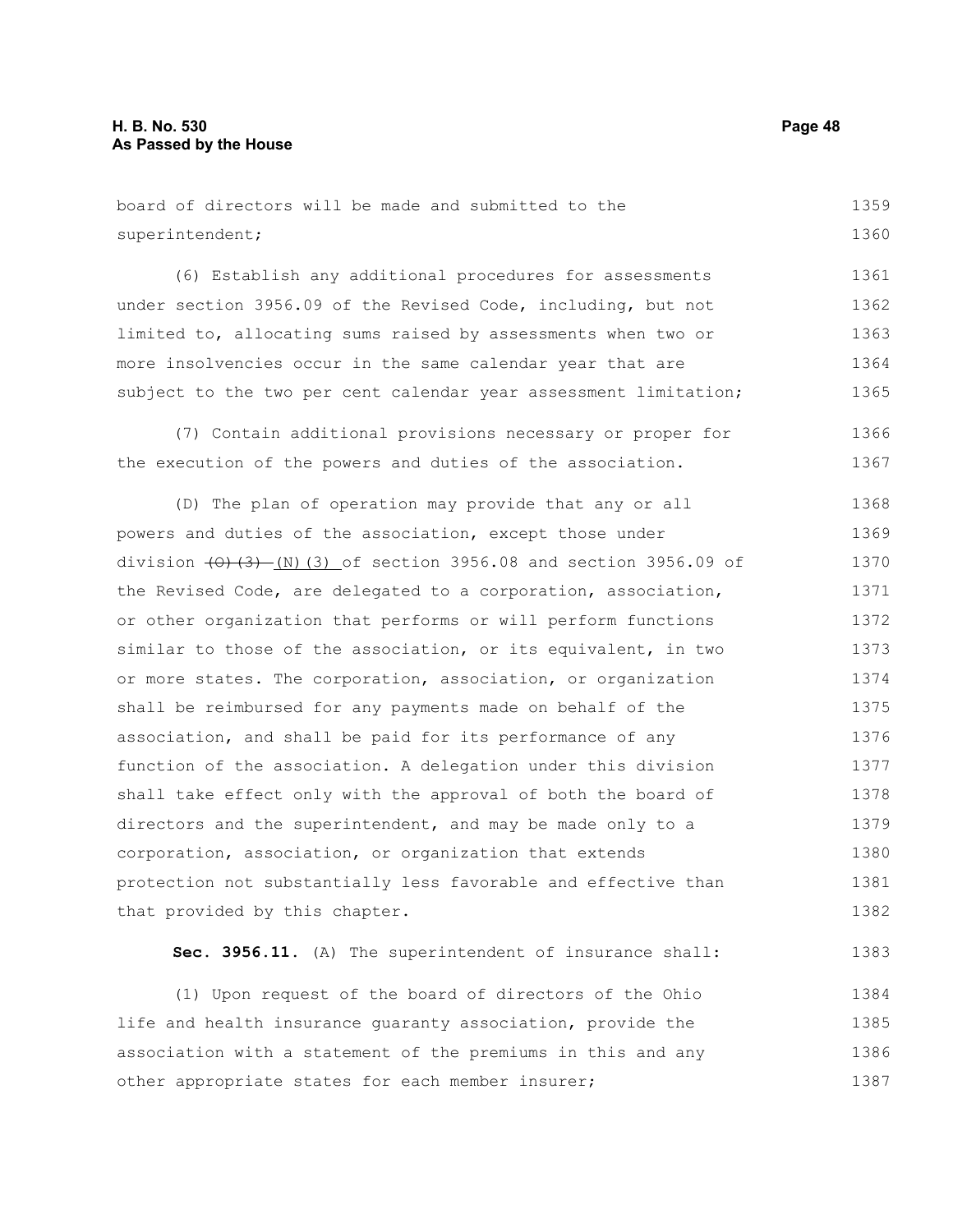board of directors will be made and submitted to the superintendent; 1359 1360

(6) Establish any additional procedures for assessments under section 3956.09 of the Revised Code, including, but not limited to, allocating sums raised by assessments when two or more insolvencies occur in the same calendar year that are subject to the two per cent calendar year assessment limitation; 1361 1362 1363 1364 1365

(7) Contain additional provisions necessary or proper for the execution of the powers and duties of the association. 1366 1367

(D) The plan of operation may provide that any or all powers and duties of the association, except those under division  $(0, 1)$   $(3)$  (3) of section 3956.08 and section 3956.09 of the Revised Code, are delegated to a corporation, association, or other organization that performs or will perform functions similar to those of the association, or its equivalent, in two or more states. The corporation, association, or organization shall be reimbursed for any payments made on behalf of the association, and shall be paid for its performance of any function of the association. A delegation under this division shall take effect only with the approval of both the board of directors and the superintendent, and may be made only to a corporation, association, or organization that extends protection not substantially less favorable and effective than that provided by this chapter. 1368 1369 1370 1371 1372 1373 1374 1375 1376 1377 1378 1379 1380 1381 1382

**Sec. 3956.11.** (A) The superintendent of insurance shall: 1383

(1) Upon request of the board of directors of the Ohio life and health insurance guaranty association, provide the association with a statement of the premiums in this and any other appropriate states for each member insurer; 1384 1385 1386 1387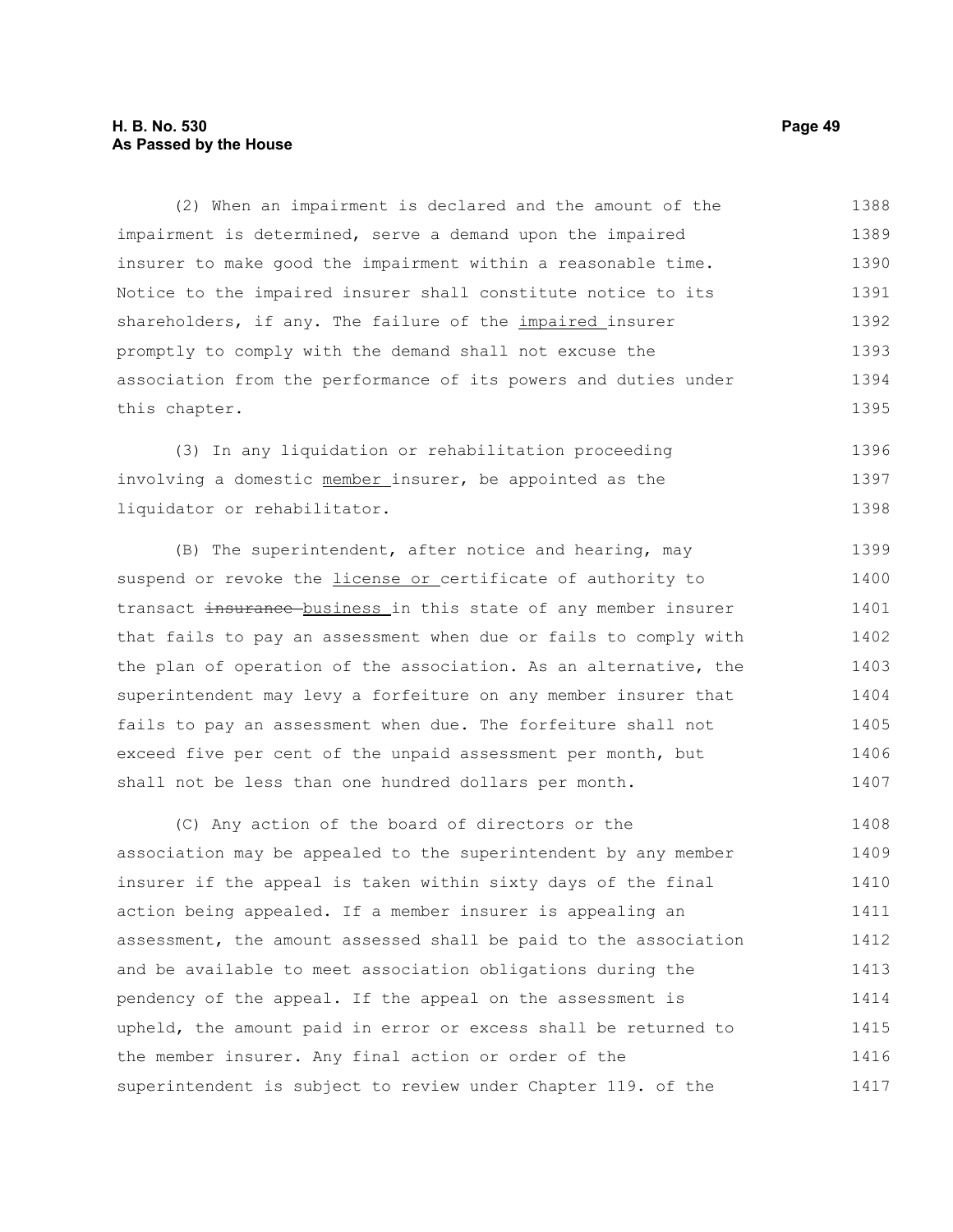#### **H. B. No. 530 Page 49 As Passed by the House**

(2) When an impairment is declared and the amount of the impairment is determined, serve a demand upon the impaired insurer to make good the impairment within a reasonable time. Notice to the impaired insurer shall constitute notice to its shareholders, if any. The failure of the *impaired* insurer promptly to comply with the demand shall not excuse the association from the performance of its powers and duties under this chapter. 1388 1389 1390 1391 1392 1393 1394 1395

(3) In any liquidation or rehabilitation proceeding involving a domestic member insurer, be appointed as the liquidator or rehabilitator. 1396 1397 1398

(B) The superintendent, after notice and hearing, may suspend or revoke the *license or* certificate of authority to transact insurance business in this state of any member insurer that fails to pay an assessment when due or fails to comply with the plan of operation of the association. As an alternative, the superintendent may levy a forfeiture on any member insurer that fails to pay an assessment when due. The forfeiture shall not exceed five per cent of the unpaid assessment per month, but shall not be less than one hundred dollars per month. 1399 1400 1401 1402 1403 1404 1405 1406 1407

(C) Any action of the board of directors or the association may be appealed to the superintendent by any member insurer if the appeal is taken within sixty days of the final action being appealed. If a member insurer is appealing an assessment, the amount assessed shall be paid to the association and be available to meet association obligations during the pendency of the appeal. If the appeal on the assessment is upheld, the amount paid in error or excess shall be returned to the member insurer. Any final action or order of the superintendent is subject to review under Chapter 119. of the 1408 1409 1410 1411 1412 1413 1414 1415 1416 1417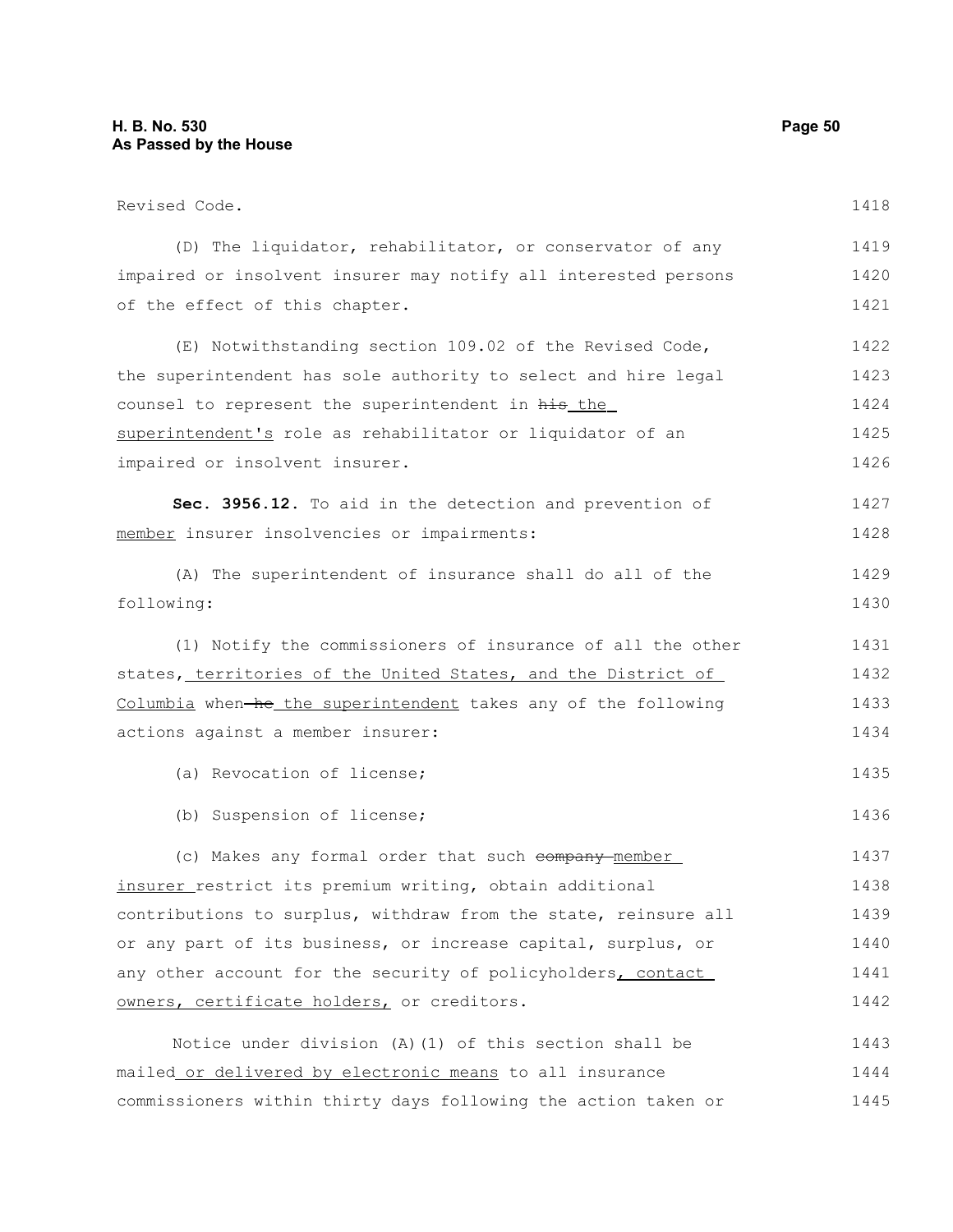| Revised Code.                                                   | 1418 |
|-----------------------------------------------------------------|------|
| (D) The liquidator, rehabilitator, or conservator of any        | 1419 |
| impaired or insolvent insurer may notify all interested persons | 1420 |
| of the effect of this chapter.                                  | 1421 |
| (E) Notwithstanding section 109.02 of the Revised Code,         | 1422 |
| the superintendent has sole authority to select and hire legal  | 1423 |
| counsel to represent the superintendent in his_the_             | 1424 |
| superintendent's role as rehabilitator or liquidator of an      | 1425 |
| impaired or insolvent insurer.                                  | 1426 |
| Sec. 3956.12. To aid in the detection and prevention of         | 1427 |
| member insurer insolvencies or impairments:                     | 1428 |
| (A) The superintendent of insurance shall do all of the         | 1429 |
| following:                                                      | 1430 |
| (1) Notify the commissioners of insurance of all the other      | 1431 |
| states, territories of the United States, and the District of   | 1432 |
| Columbia when-he the superintendent takes any of the following  | 1433 |
| actions against a member insurer:                               | 1434 |
| (a) Revocation of license;                                      | 1435 |
| (b) Suspension of license;                                      | 1436 |
| (c) Makes any formal order that such company member             | 1437 |
| insurer restrict its premium writing, obtain additional         | 1438 |
| contributions to surplus, withdraw from the state, reinsure all | 1439 |
| or any part of its business, or increase capital, surplus, or   | 1440 |
| any other account for the security of policyholders, contact    | 1441 |
| owners, certificate holders, or creditors.                      | 1442 |
| Notice under division (A) (1) of this section shall be          | 1443 |
| mailed or delivered by electronic means to all insurance        | 1444 |
| commissioners within thirty days following the action taken or  | 1445 |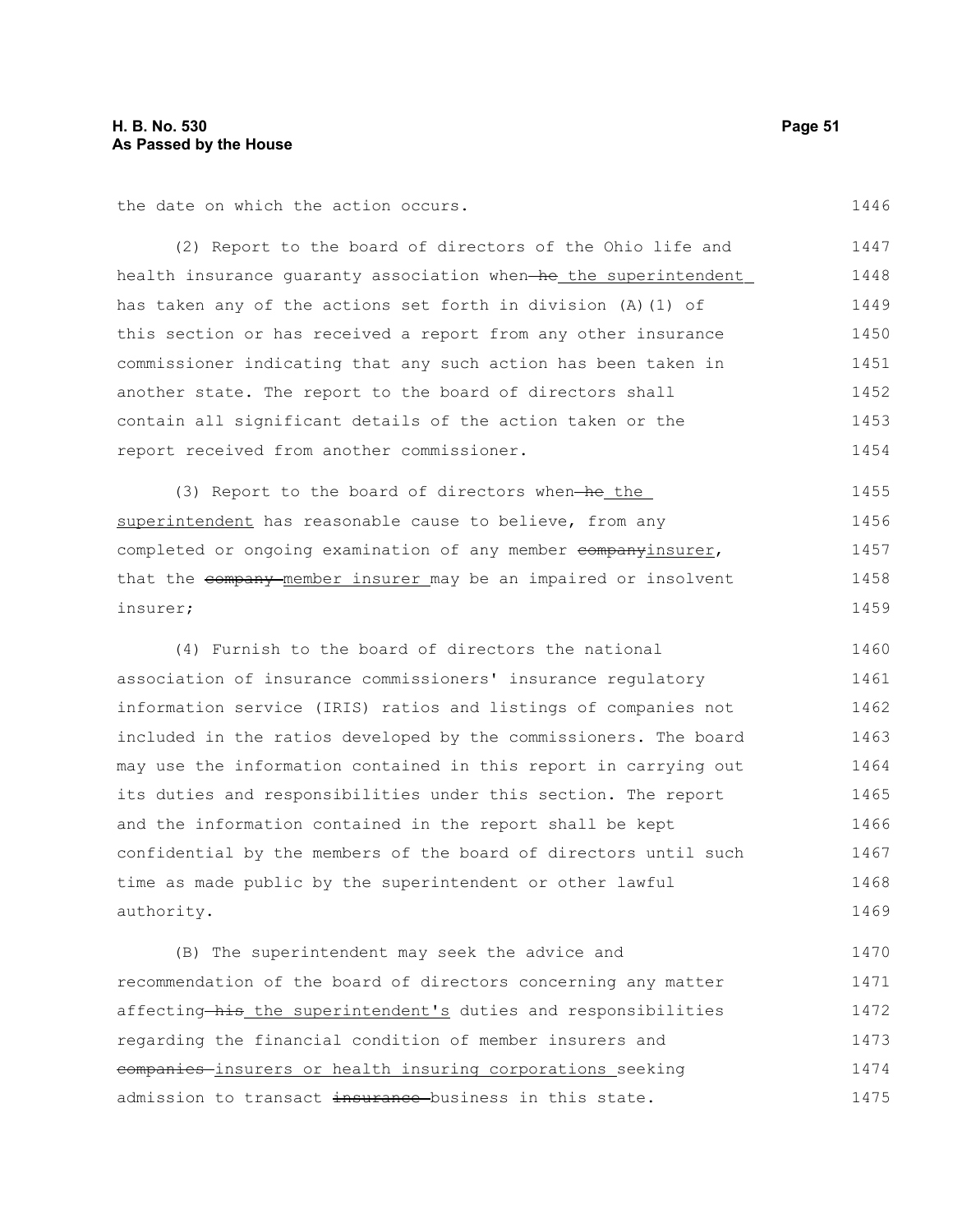the date on which the action occurs.

(2) Report to the board of directors of the Ohio life and health insurance quaranty association when he the superintendent has taken any of the actions set forth in division (A)(1) of this section or has received a report from any other insurance commissioner indicating that any such action has been taken in another state. The report to the board of directors shall contain all significant details of the action taken or the report received from another commissioner. 1447 1448 1449 1450 1451 1452 1453 1454

(3) Report to the board of directors when—he the superintendent has reasonable cause to believe, from any completed or ongoing examination of any member companyinsurer, that the company member insurer may be an impaired or insolvent insurer; 1455 1456 1457 1458 1459

(4) Furnish to the board of directors the national association of insurance commissioners' insurance regulatory information service (IRIS) ratios and listings of companies not included in the ratios developed by the commissioners. The board may use the information contained in this report in carrying out its duties and responsibilities under this section. The report and the information contained in the report shall be kept confidential by the members of the board of directors until such time as made public by the superintendent or other lawful authority. 1460 1461 1462 1463 1464 1465 1466 1467 1468 1469

(B) The superintendent may seek the advice and recommendation of the board of directors concerning any matter affecting his the superintendent's duties and responsibilities regarding the financial condition of member insurers and companies insurers or health insuring corporations seeking admission to transact insurance business in this state. 1470 1471 1472 1473 1474 1475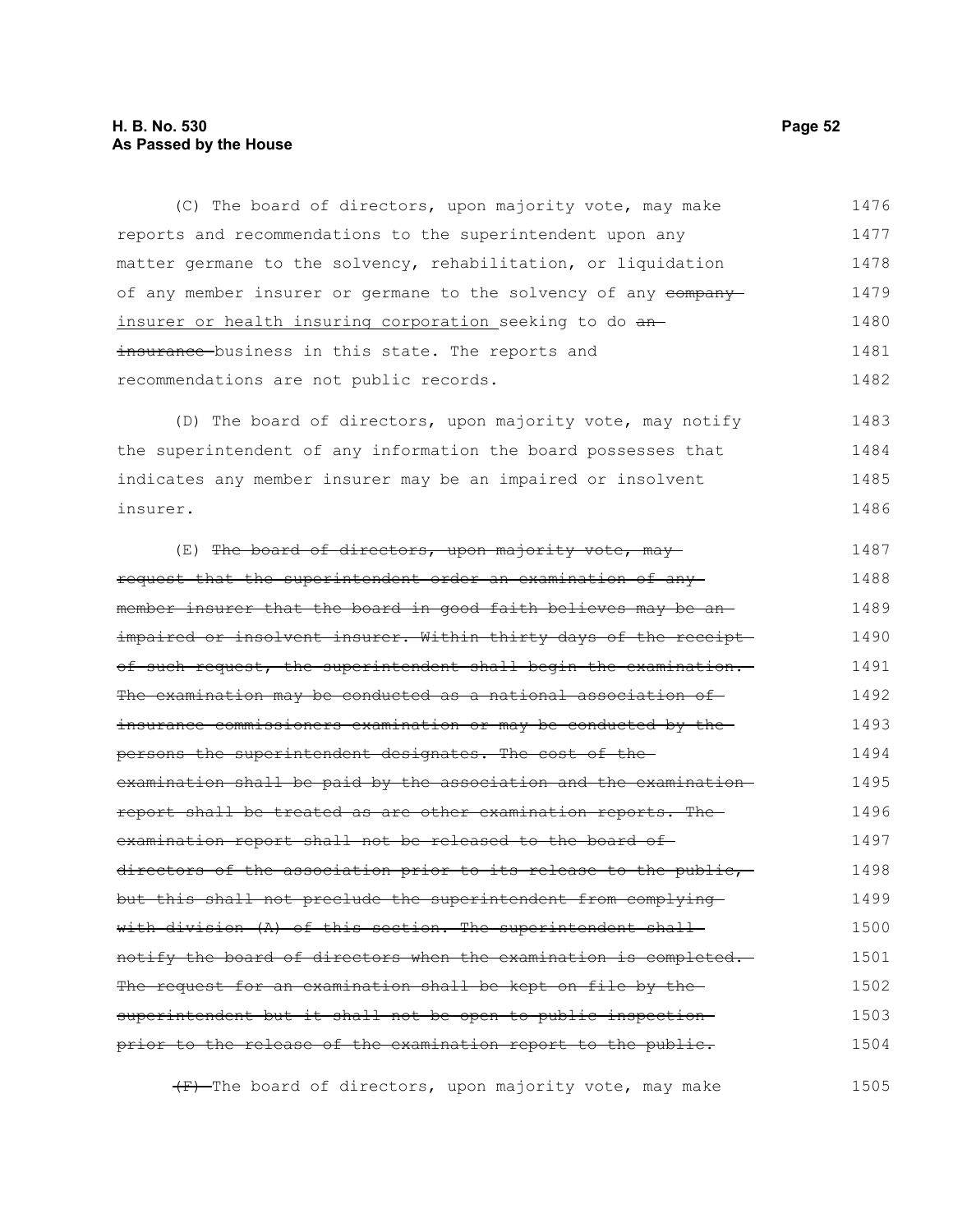#### **H. B. No. 530 Page 52 As Passed by the House**

(C) The board of directors, upon majority vote, may make reports and recommendations to the superintendent upon any matter germane to the solvency, rehabilitation, or liquidation of any member insurer or germane to the solvency of any company insurer or health insuring corporation seeking to do aninsurance business in this state. The reports and recommendations are not public records. 1476 1477 1478 1479 1480 1481 1482

(D) The board of directors, upon majority vote, may notify the superintendent of any information the board possesses that indicates any member insurer may be an impaired or insolvent insurer. 1483 1484 1485 1486

(E) The board of directors, upon majority vote, mayrequest that the superintendent order an examination of any member insurer that the board in good faith believes may be an impaired or insolvent insurer. Within thirty days of the receipt of such request, the superintendent shall begin the examination. The examination may be conducted as a national association of insurance commissioners examination or may be conducted by the persons the superintendent designates. The cost of the examination shall be paid by the association and the examination report shall be treated as are other examination reports. The examination report shall not be released to the board of directors of the association prior to its release to the public, but this shall not preclude the superintendent from complying with division (A) of this section. The superintendent shallnotify the board of directors when the examination is completed. The request for an examination shall be kept on file by the superintendent but it shall not be open to public inspection prior to the release of the examination report to the public. 1487 1488 1489 1490 1491 1492 1493 1494 1495 1496 1497 1498 1499 1500 1501 1502 1503 1504

(F) The board of directors, upon majority vote, may make 1505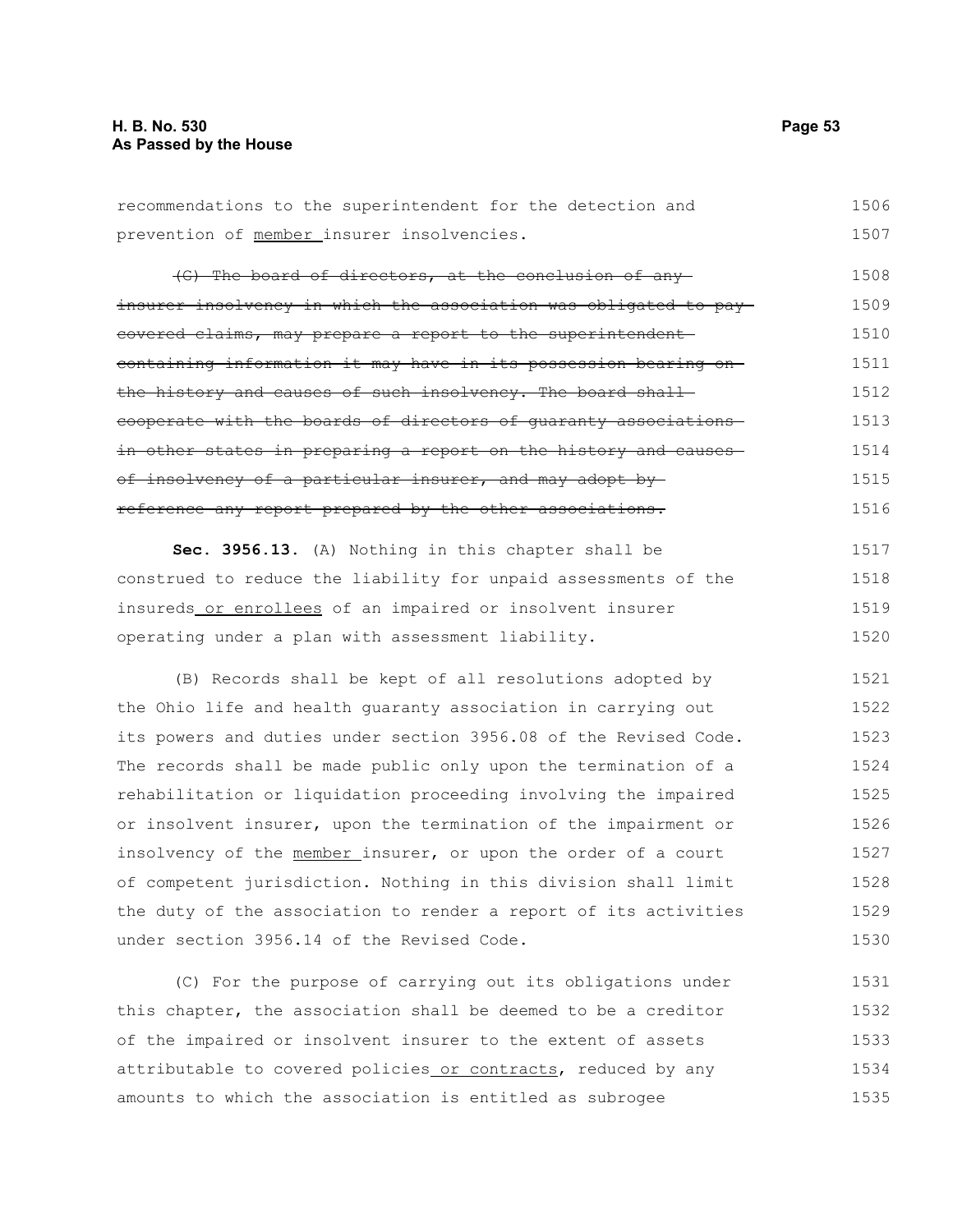#### **H. B. No. 530 Page 53 As Passed by the House**

recommendations to the superintendent for the detection and prevention of member insurer insolvencies. 1506 1507

(G) The board of directors, at the conclusion of any insurer insolvency in which the association was obligated to pay covered claims, may prepare a report to the superintendent containing information it may have in its possession bearing on the history and causes of such insolvency. The board shall cooperate with the boards of directors of guaranty associations in other states in preparing a report on the history and causesof insolvency of a particular insurer, and may adopt by reference any report prepared by the other associations. 1508 1509 1510 1511 1512 1513 1514 1515 1516

**Sec. 3956.13.** (A) Nothing in this chapter shall be construed to reduce the liability for unpaid assessments of the insureds or enrollees of an impaired or insolvent insurer operating under a plan with assessment liability. 1517 1518 1519 1520

(B) Records shall be kept of all resolutions adopted by the Ohio life and health guaranty association in carrying out its powers and duties under section 3956.08 of the Revised Code. The records shall be made public only upon the termination of a rehabilitation or liquidation proceeding involving the impaired or insolvent insurer, upon the termination of the impairment or insolvency of the member insurer, or upon the order of a court of competent jurisdiction. Nothing in this division shall limit the duty of the association to render a report of its activities under section 3956.14 of the Revised Code. 1521 1522 1523 1524 1525 1526 1527 1528 1529 1530

(C) For the purpose of carrying out its obligations under this chapter, the association shall be deemed to be a creditor of the impaired or insolvent insurer to the extent of assets attributable to covered policies or contracts, reduced by any amounts to which the association is entitled as subrogee 1531 1532 1533 1534 1535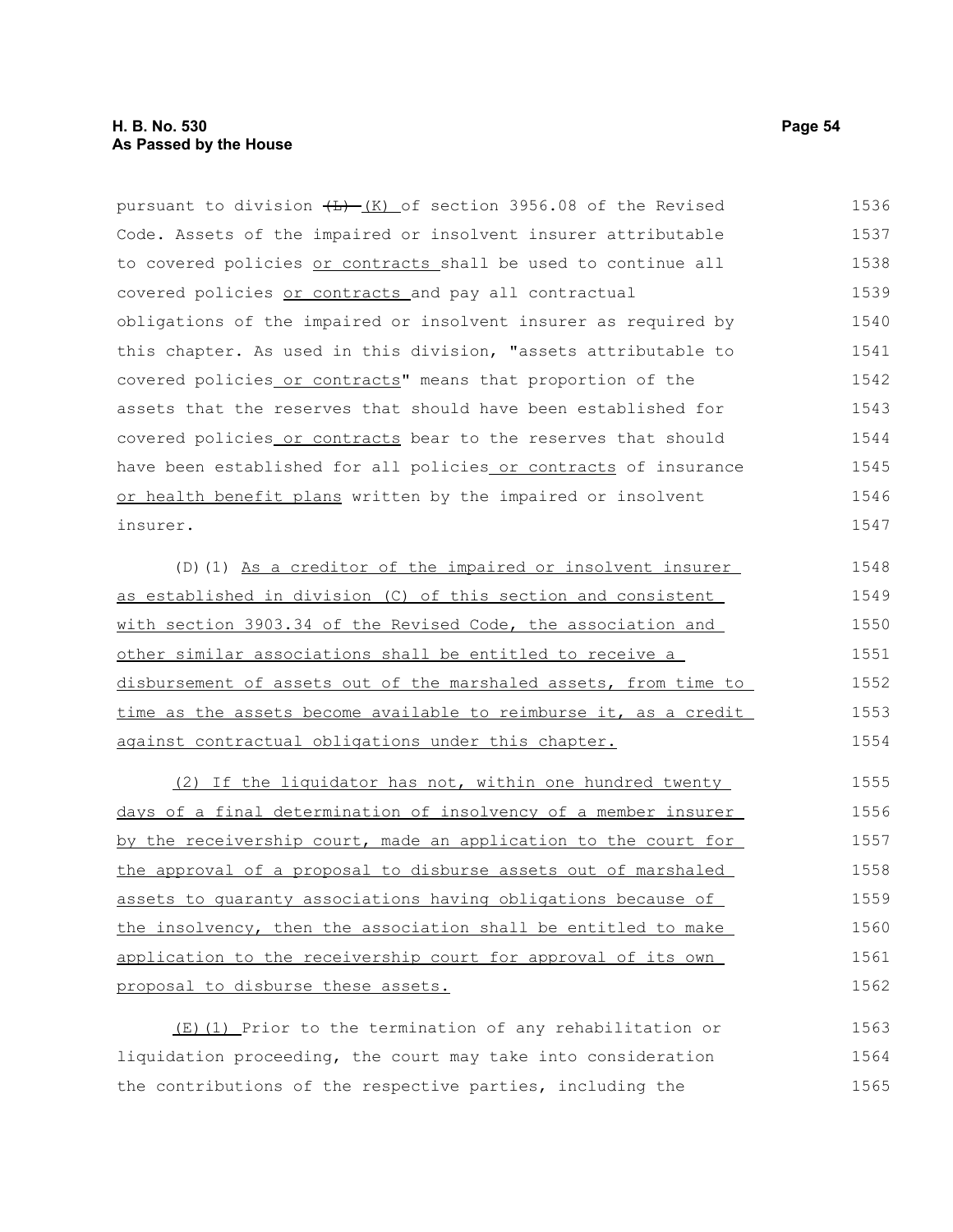pursuant to division  $(H)$  (K) of section 3956.08 of the Revised Code. Assets of the impaired or insolvent insurer attributable to covered policies or contracts shall be used to continue all covered policies or contracts and pay all contractual obligations of the impaired or insolvent insurer as required by this chapter. As used in this division, "assets attributable to covered policies or contracts" means that proportion of the assets that the reserves that should have been established for covered policies or contracts bear to the reserves that should have been established for all policies or contracts of insurance or health benefit plans written by the impaired or insolvent insurer. 1536 1537 1538 1539 1540 1541 1542 1543 1544 1545 1546 1547

(D)(1) As a creditor of the impaired or insolvent insurer as established in division (C) of this section and consistent with section 3903.34 of the Revised Code, the association and other similar associations shall be entitled to receive a disbursement of assets out of the marshaled assets, from time to time as the assets become available to reimburse it, as a credit against contractual obligations under this chapter. 1548 1549 1550 1551 1552 1553 1554

(2) If the liquidator has not, within one hundred twenty days of a final determination of insolvency of a member insurer by the receivership court, made an application to the court for the approval of a proposal to disburse assets out of marshaled assets to guaranty associations having obligations because of the insolvency, then the association shall be entitled to make application to the receivership court for approval of its own proposal to disburse these assets. 1555 1556 1557 1558 1559 1560 1561 1562

(E)(1) Prior to the termination of any rehabilitation or liquidation proceeding, the court may take into consideration the contributions of the respective parties, including the 1563 1564 1565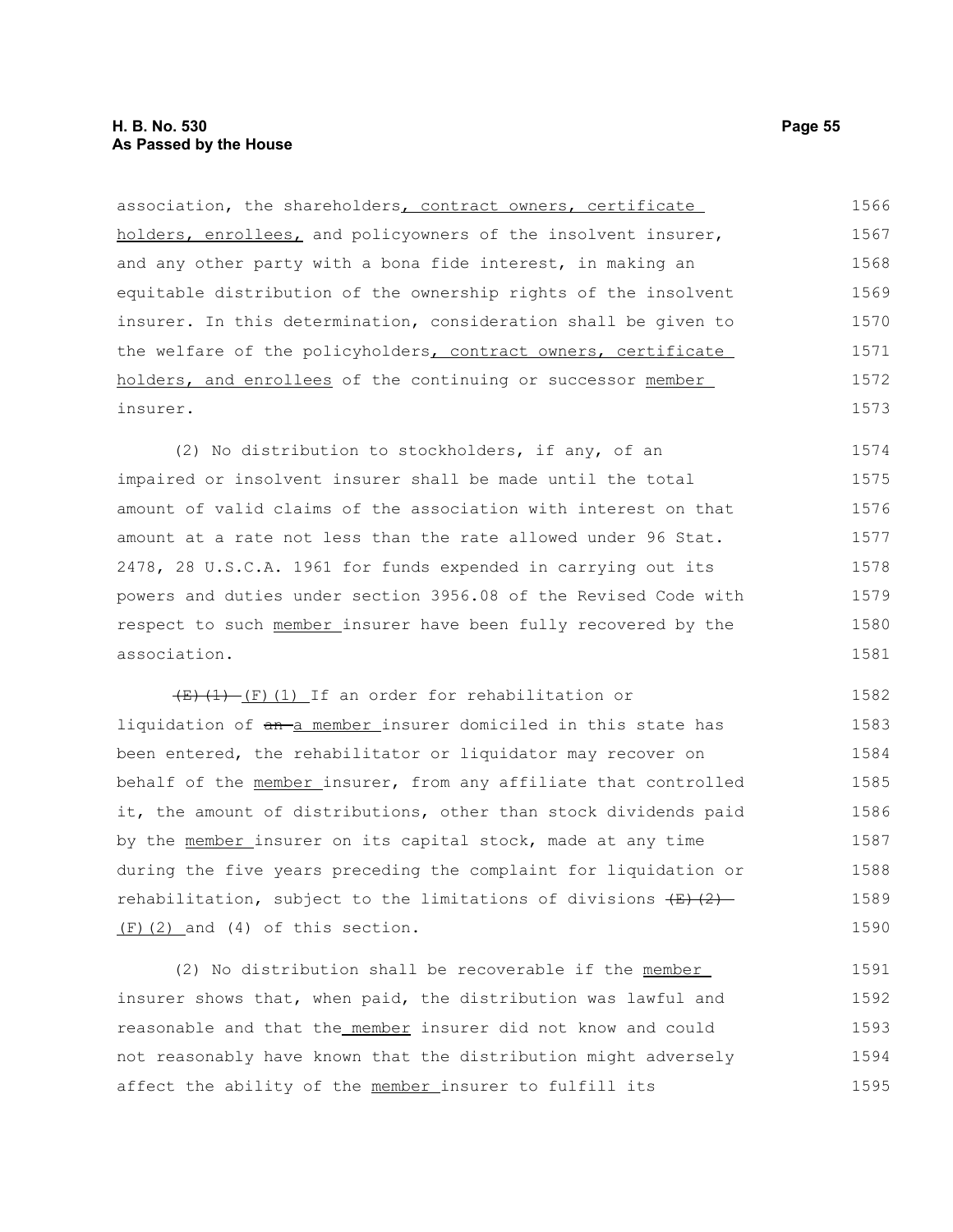#### **H. B. No. 530 Page 55 As Passed by the House**

association, the shareholders, contract owners, certificate holders, enrollees, and policyowners of the insolvent insurer, and any other party with a bona fide interest, in making an equitable distribution of the ownership rights of the insolvent insurer. In this determination, consideration shall be given to the welfare of the policyholders, contract owners, certificate holders, and enrollees of the continuing or successor member insurer. 1566 1567 1568 1569 1570 1571 1572 1573

(2) No distribution to stockholders, if any, of an impaired or insolvent insurer shall be made until the total amount of valid claims of the association with interest on that amount at a rate not less than the rate allowed under 96 Stat. 2478, 28 U.S.C.A. 1961 for funds expended in carrying out its powers and duties under section 3956.08 of the Revised Code with respect to such member insurer have been fully recovered by the association. 1574 1575 1576 1577 1578 1579 1580 1581

 $(E)$  (1) (F)(1) If an order for rehabilitation or liquidation of an-a member insurer domiciled in this state has been entered, the rehabilitator or liquidator may recover on behalf of the member insurer, from any affiliate that controlled it, the amount of distributions, other than stock dividends paid by the member insurer on its capital stock, made at any time during the five years preceding the complaint for liquidation or rehabilitation, subject to the limitations of divisions  $\left(\frac{E}{C}\right)\left(2\right)$ (F)(2) and (4) of this section. 1582 1583 1584 1585 1586 1587 1588 1589 1590

(2) No distribution shall be recoverable if the member insurer shows that, when paid, the distribution was lawful and reasonable and that the member insurer did not know and could not reasonably have known that the distribution might adversely affect the ability of the member insurer to fulfill its 1591 1592 1593 1594 1595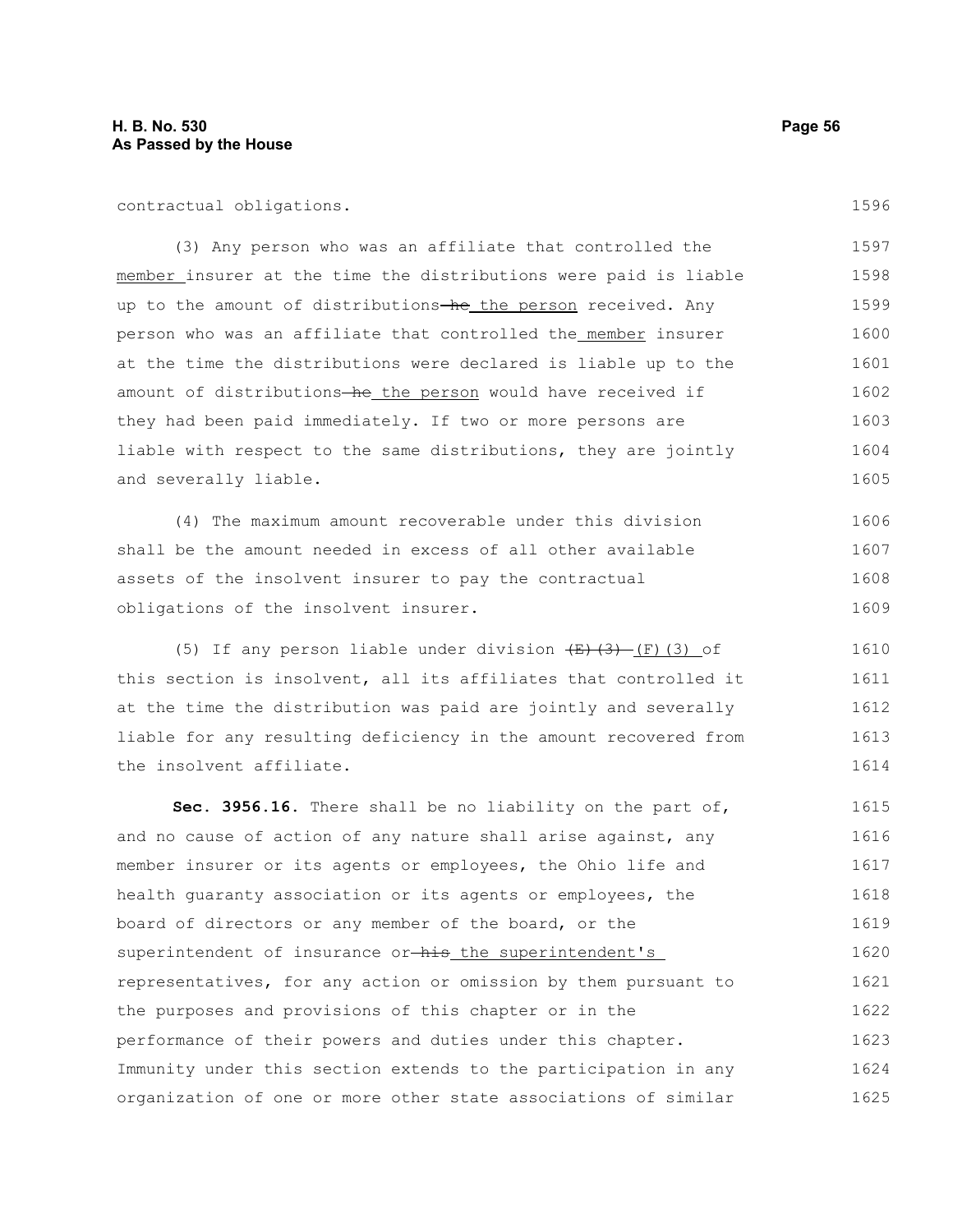contractual obligations.

(3) Any person who was an affiliate that controlled the member insurer at the time the distributions were paid is liable up to the amount of distributions-he the person received. Any person who was an affiliate that controlled the member insurer at the time the distributions were declared is liable up to the amount of distributions-he the person would have received if they had been paid immediately. If two or more persons are liable with respect to the same distributions, they are jointly and severally liable. 1597 1598 1599 1600 1601 1602 1603 1604 1605

(4) The maximum amount recoverable under this division shall be the amount needed in excess of all other available assets of the insolvent insurer to pay the contractual obligations of the insolvent insurer. 1606 1607 1608 1609

(5) If any person liable under division  $\overline{(E)(3)}$  (F)(3) of this section is insolvent, all its affiliates that controlled it at the time the distribution was paid are jointly and severally liable for any resulting deficiency in the amount recovered from the insolvent affiliate. 1610 1611 1612 1613 1614

**Sec. 3956.16.** There shall be no liability on the part of, and no cause of action of any nature shall arise against, any member insurer or its agents or employees, the Ohio life and health guaranty association or its agents or employees, the board of directors or any member of the board, or the superintendent of insurance or-his the superintendent's representatives, for any action or omission by them pursuant to the purposes and provisions of this chapter or in the performance of their powers and duties under this chapter. Immunity under this section extends to the participation in any organization of one or more other state associations of similar 1615 1616 1617 1618 1619 1620 1621 1622 1623 1624 1625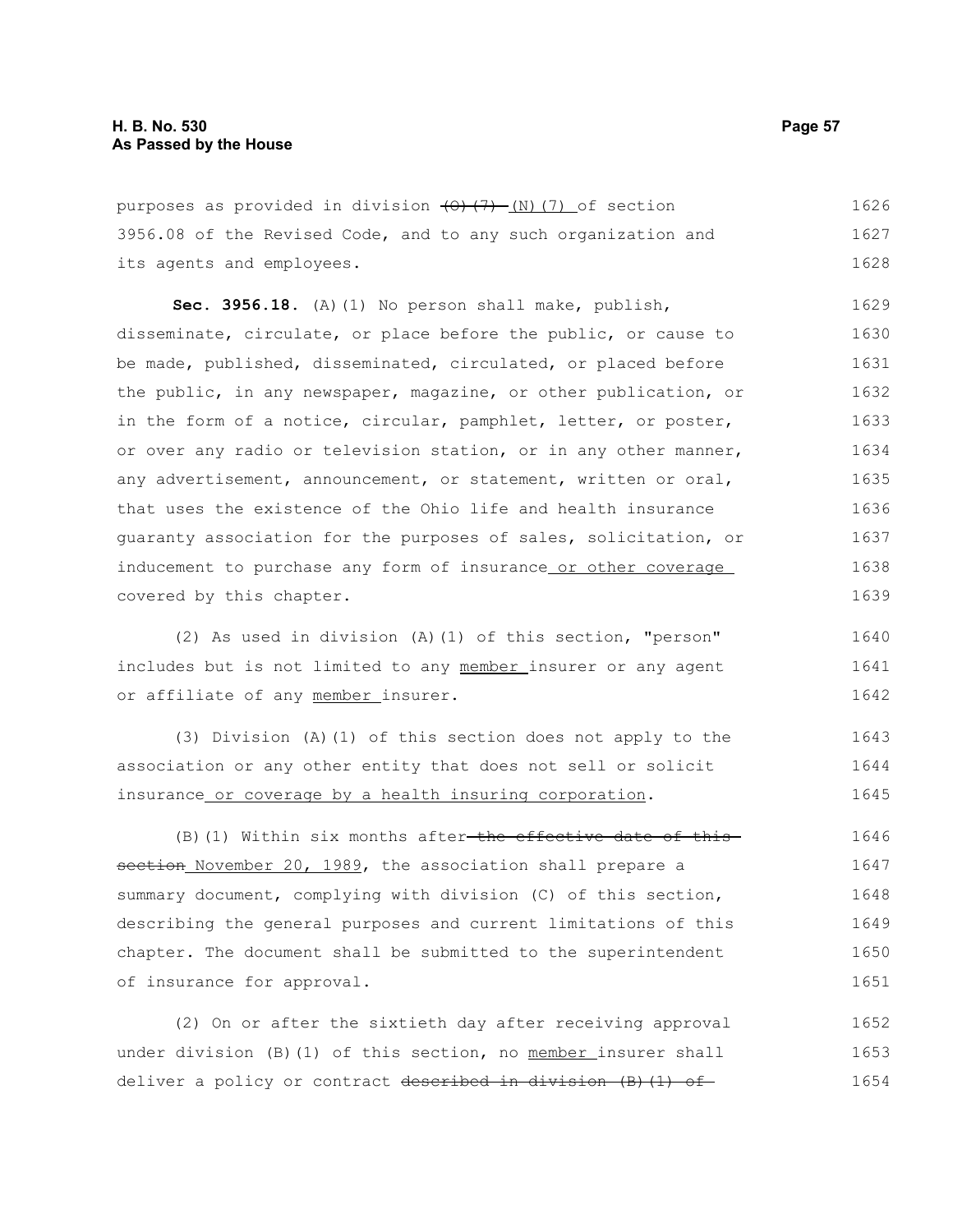purposes as provided in division  $(0)$   $(7)$  (N)(7) of section 3956.08 of the Revised Code, and to any such organization and its agents and employees. 1626 1627 1628

**Sec. 3956.18.** (A)(1) No person shall make, publish, disseminate, circulate, or place before the public, or cause to be made, published, disseminated, circulated, or placed before the public, in any newspaper, magazine, or other publication, or in the form of a notice, circular, pamphlet, letter, or poster, or over any radio or television station, or in any other manner, any advertisement, announcement, or statement, written or oral, that uses the existence of the Ohio life and health insurance guaranty association for the purposes of sales, solicitation, or inducement to purchase any form of insurance or other coverage covered by this chapter. 1629 1630 1631 1632 1633 1634 1635 1636 1637 1638 1639

(2) As used in division (A)(1) of this section, "person" includes but is not limited to any member insurer or any agent or affiliate of any member insurer. 1640 1641 1642

(3) Division (A)(1) of this section does not apply to the association or any other entity that does not sell or solicit insurance or coverage by a health insuring corporation. 1643 1644 1645

 $(B)$  (1) Within six months after-the effective date of thissection November 20, 1989, the association shall prepare a summary document, complying with division (C) of this section, describing the general purposes and current limitations of this chapter. The document shall be submitted to the superintendent of insurance for approval. 1646 1647 1648 1649 1650 1651

(2) On or after the sixtieth day after receiving approval under division (B)(1) of this section, no member insurer shall deliver a policy or contract described in division (B)(1) of 1652 1653 1654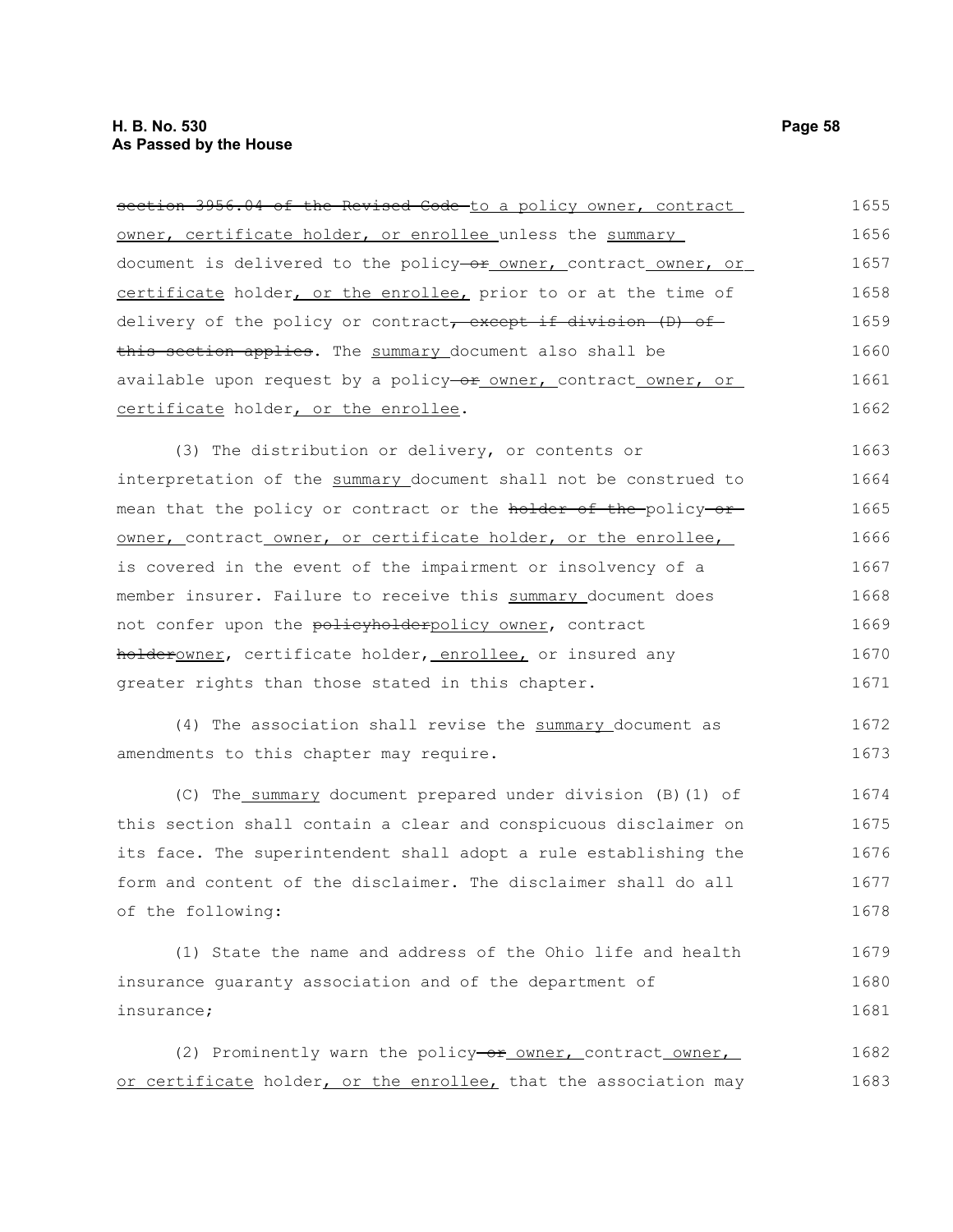section 3956.04 of the Revised Code-to a policy owner, contract owner, certificate holder, or enrollee unless the summary document is delivered to the policy-or owner, contract owner, or certificate holder, or the enrollee, prior to or at the time of delivery of the policy or contract, except if division (D) of this section applies. The summary document also shall be available upon request by a policy-or owner, contract owner, or certificate holder, or the enrollee. 1655 1656 1657 1658 1659 1660 1661 1662

(3) The distribution or delivery, or contents or interpretation of the summary document shall not be construed to mean that the policy or contract or the holder of the policy or owner, contract owner, or certificate holder, or the enrollee, is covered in the event of the impairment or insolvency of a member insurer. Failure to receive this summary document does not confer upon the policyholderpolicy owner, contract holderowner, certificate holder, enrollee, or insured any greater rights than those stated in this chapter. 1663 1664 1665 1666 1667 1668 1669 1670 1671

(4) The association shall revise the summary document as amendments to this chapter may require. 1672 1673

(C) The summary document prepared under division (B)(1) of this section shall contain a clear and conspicuous disclaimer on its face. The superintendent shall adopt a rule establishing the form and content of the disclaimer. The disclaimer shall do all of the following: 1674 1675 1676 1677 1678

(1) State the name and address of the Ohio life and health insurance guaranty association and of the department of insurance; 1679 1680 1681

(2) Prominently warn the policy-or owner, contract owner, or certificate holder, or the enrollee, that the association may 1682 1683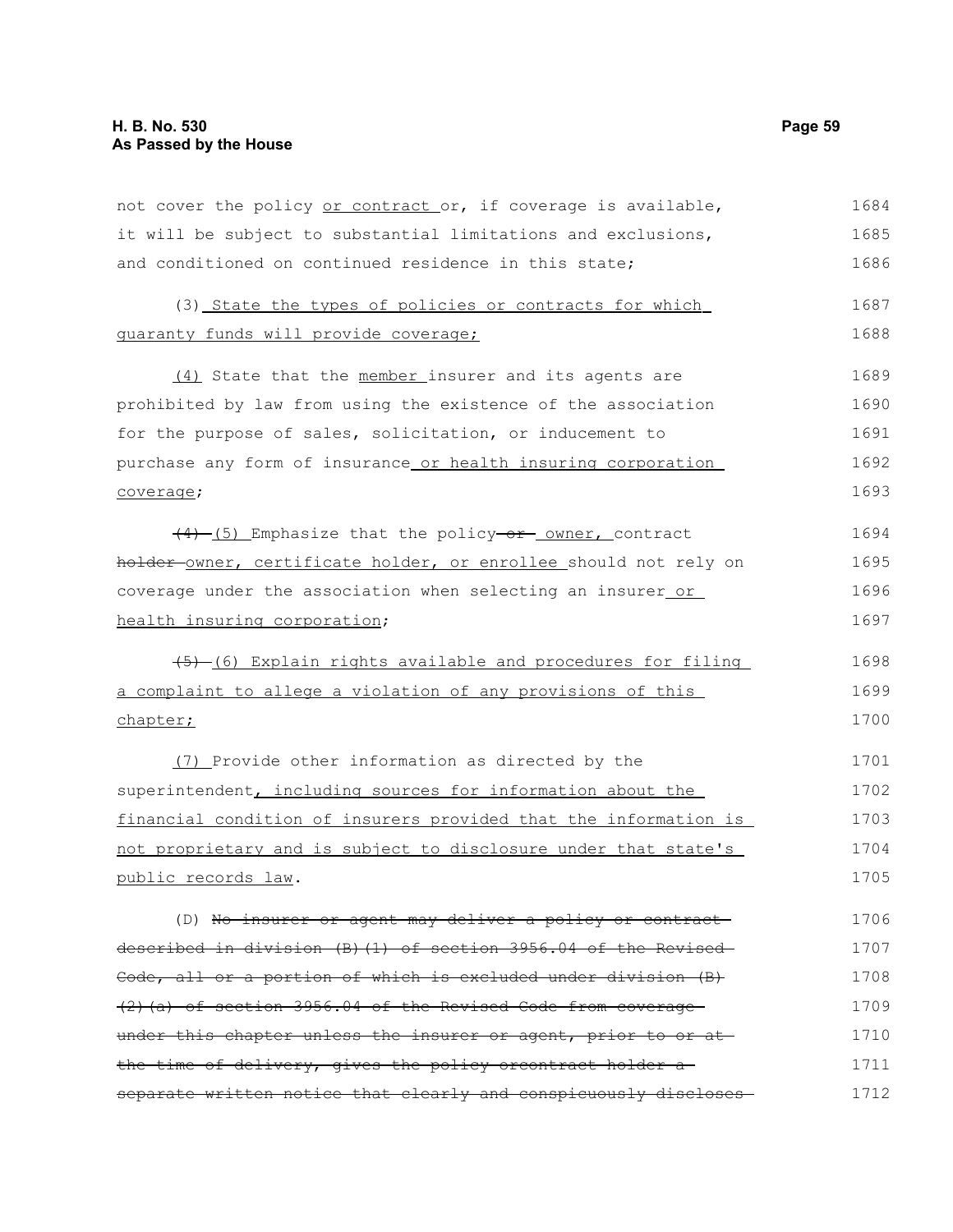not cover the policy or contract or, if coverage is available, it will be subject to substantial limitations and exclusions, and conditioned on continued residence in this state; 1684 1685 1686

|  |  |                                       | (3) State the types of policies or contracts for which |  | 1687 |
|--|--|---------------------------------------|--------------------------------------------------------|--|------|
|  |  | quaranty funds will provide coverage; |                                                        |  | 1688 |

(4) State that the member insurer and its agents are prohibited by law from using the existence of the association for the purpose of sales, solicitation, or inducement to purchase any form of insurance or health insuring corporation coverage; 1689 1690 1691 1692 1693

 $(4)$  (5) Emphasize that the policy-or owner, contract holder-owner, certificate holder, or enrollee should not rely on coverage under the association when selecting an insurer or health insuring corporation; 1694 1695 1696 1697

 $(5)$  (6) Explain rights available and procedures for filing a complaint to allege a violation of any provisions of this chapter;

(7) Provide other information as directed by the superintendent, including sources for information about the financial condition of insurers provided that the information is not proprietary and is subject to disclosure under that state's public records law. 1701 1702 1703 1704 1705

(D) No insurer or agent may deliver a policy or contractdescribed in division (B)(1) of section 3956.04 of the Revised Code, all or a portion of which is excluded under division (B) (2)(a) of section 3956.04 of the Revised Code from coverage under this chapter unless the insurer or agent, prior to or atthe time of delivery, gives the policy orcontract holder a separate written notice that clearly and conspicuously discloses 1706 1707 1708 1709 1710 1711 1712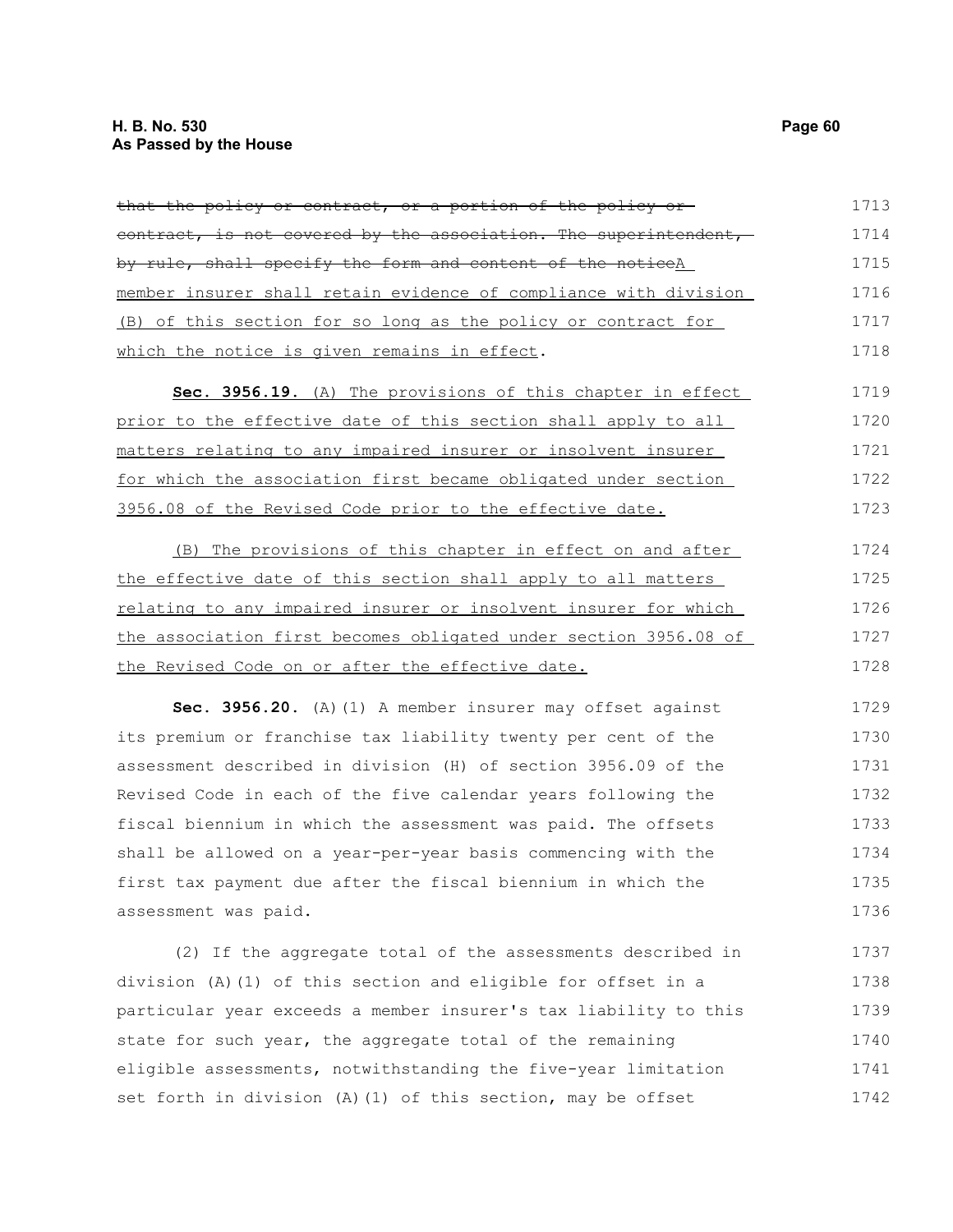| that the policy or contract, or a portion of the policy or-      | 1713 |
|------------------------------------------------------------------|------|
| contract, is not covered by the association. The superintendent, | 1714 |
| by rule, shall specify the form and content of the noticeA       | 1715 |
| member insurer shall retain evidence of compliance with division | 1716 |
| (B) of this section for so long as the policy or contract for    | 1717 |
| which the notice is given remains in effect.                     | 1718 |
| Sec. 3956.19. (A) The provisions of this chapter in effect       | 1719 |
| prior to the effective date of this section shall apply to all   | 1720 |
| matters relating to any impaired insurer or insolvent insurer    | 1721 |
| for which the association first became obligated under section   | 1722 |
| 3956.08 of the Revised Code prior to the effective date.         | 1723 |
| (B) The provisions of this chapter in effect on and after        | 1724 |
| the effective date of this section shall apply to all matters    | 1725 |
| relating to any impaired insurer or insolvent insurer for which  | 1726 |
| the association first becomes obligated under section 3956.08 of | 1727 |
| the Revised Code on or after the effective date.                 | 1728 |
| Sec. 3956.20. (A) (1) A member insurer may offset against        | 1729 |
| its premium or franchise tax liability twenty per cent of the    | 1730 |
| assessment described in division (H) of section 3956.09 of the   | 1731 |
| Revised Code in each of the five calendar years following the    | 1732 |
| fiscal biennium in which the assessment was paid. The offsets    | 1733 |
| shall be allowed on a year-per-year basis commencing with the    | 1734 |
| first tax payment due after the fiscal biennium in which the     | 1735 |
| assessment was paid.                                             | 1736 |

(2) If the aggregate total of the assessments described in division (A)(1) of this section and eligible for offset in a particular year exceeds a member insurer's tax liability to this state for such year, the aggregate total of the remaining eligible assessments, notwithstanding the five-year limitation set forth in division (A)(1) of this section, may be offset 1737 1738 1739 1740 1741 1742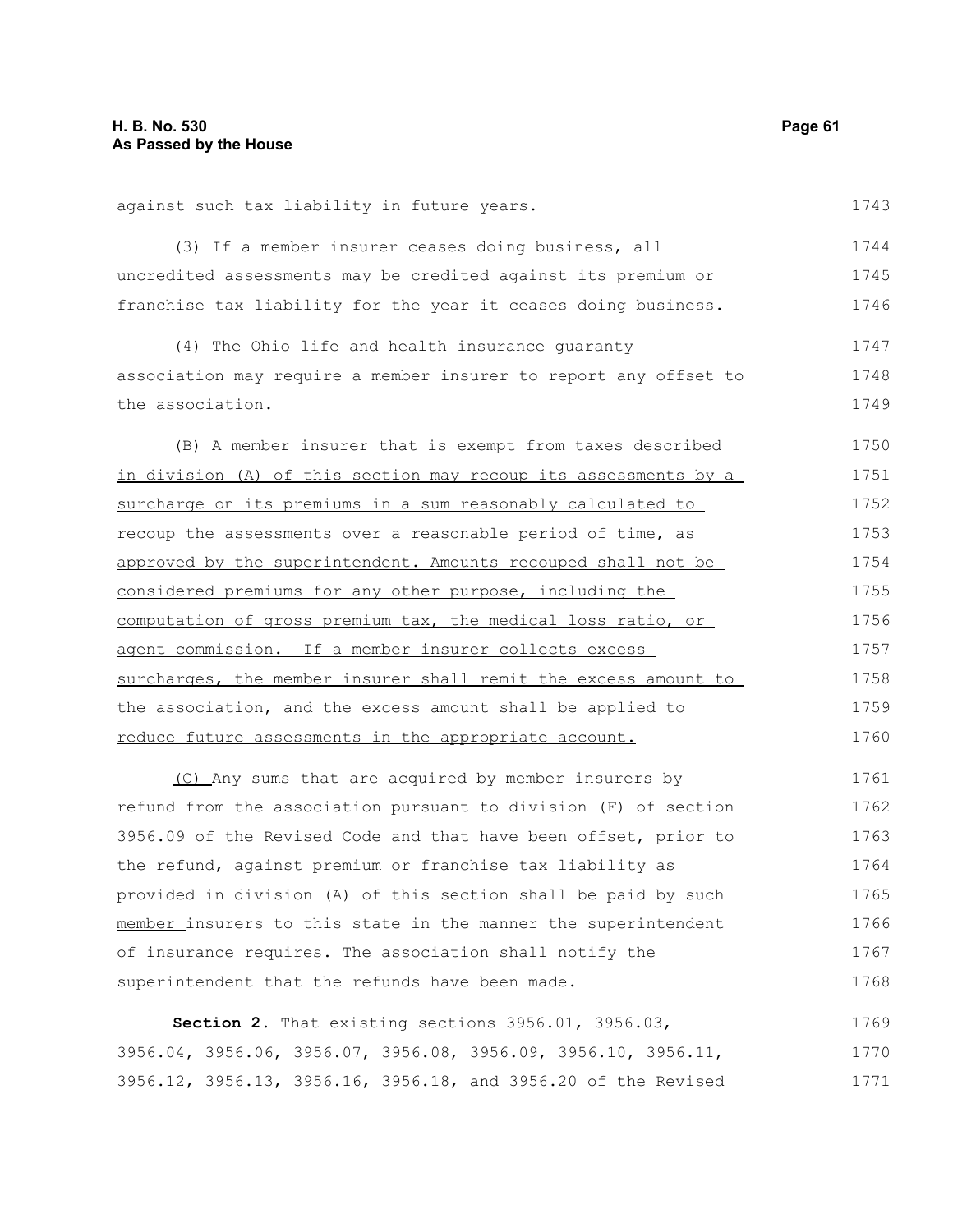| against such tax liability in future years.                      | 1743 |
|------------------------------------------------------------------|------|
| (3) If a member insurer ceases doing business, all               | 1744 |
| uncredited assessments may be credited against its premium or    | 1745 |
| franchise tax liability for the year it ceases doing business.   | 1746 |
| (4) The Ohio life and health insurance quaranty                  | 1747 |
| association may require a member insurer to report any offset to | 1748 |
| the association.                                                 | 1749 |
| (B) A member insurer that is exempt from taxes described         | 1750 |
| in division (A) of this section may recoup its assessments by a  | 1751 |
| surcharge on its premiums in a sum reasonably calculated to      | 1752 |
| recoup the assessments over a reasonable period of time, as      | 1753 |
| approved by the superintendent. Amounts recouped shall not be    | 1754 |
| considered premiums for any other purpose, including the         | 1755 |
| computation of gross premium tax, the medical loss ratio, or     | 1756 |
| agent commission. If a member insurer collects excess            | 1757 |
| surcharges, the member insurer shall remit the excess amount to  | 1758 |
| the association, and the excess amount shall be applied to       | 1759 |
| reduce future assessments in the appropriate account.            | 1760 |
| (C) Any sums that are acquired by member insurers by             | 1761 |
| refund from the association pursuant to division (F) of section  | 1762 |
|                                                                  |      |

3956.09 of the Revised Code and that have been offset, prior to the refund, against premium or franchise tax liability as provided in division (A) of this section shall be paid by such member insurers to this state in the manner the superintendent of insurance requires. The association shall notify the superintendent that the refunds have been made. 1763 1764 1765 1766 1767 1768

**Section 2.** That existing sections 3956.01, 3956.03, 3956.04, 3956.06, 3956.07, 3956.08, 3956.09, 3956.10, 3956.11, 3956.12, 3956.13, 3956.16, 3956.18, and 3956.20 of the Revised 1769 1770 1771